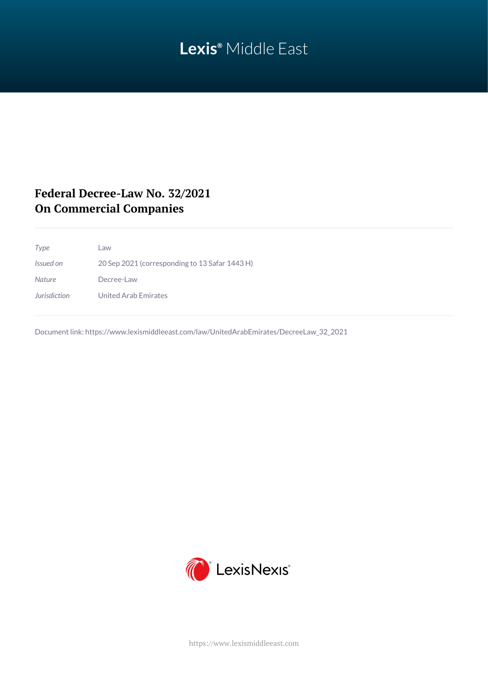# **Lexis®** Middle East

## **Federal Decree-Law No. 32/2021 On Commercial Companies**

*Type* Law *Issued on* 20 Sep 2021 (corresponding to 13 Safar 1443 H) *Nature* Decree-Law *Jurisdiction* United Arab Emirates

Document link: [https://www.lexismiddleeast.com/law/UnitedArabEmirates/DecreeLaw\\_32\\_2021](https://www.lexismiddleeast.com/law/UnitedArabEmirates/DecreeLaw_32_2021)



<https://www.lexismiddleeast.com>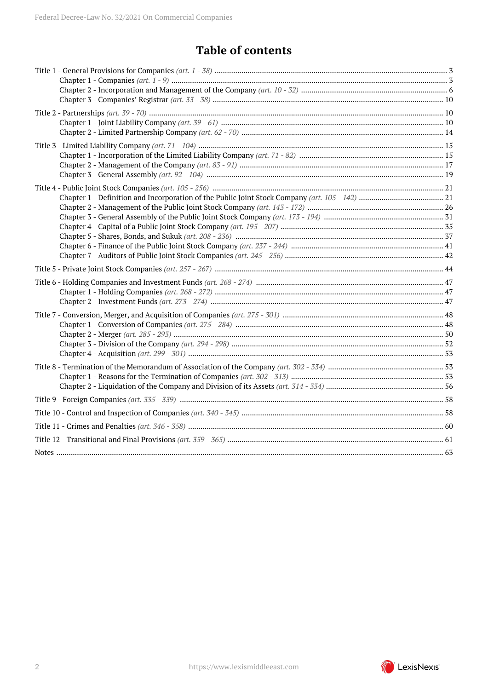# **Table of contents**

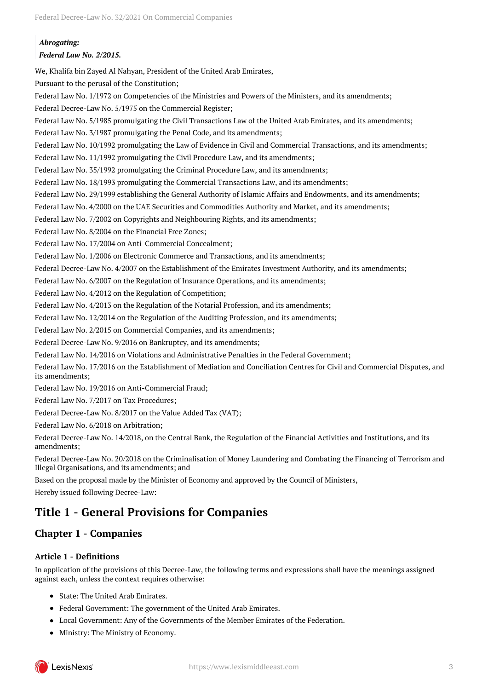*Abrogating: Federal Law No. 2/2015.*

We, Khalifa bin Zayed Al Nahyan, President of the United Arab Emirates,

Pursuant to the perusal of the Constitution;

Federal Law No. 1/1972 on Competencies of the Ministries and Powers of the Ministers, and its amendments; Federal Decree-Law No. 5/1975 on the Commercial Register;

Federal Law No. 5/1985 promulgating the Civil Transactions Law of the United Arab Emirates, and its amendments;

Federal Law No. 3/1987 promulgating the Penal Code, and its amendments;

Federal Law No. 10/1992 promulgating the Law of Evidence in Civil and Commercial Transactions, and its amendments;

Federal Law No. 11/1992 promulgating the Civil Procedure Law, and its amendments;

Federal Law No. 35/1992 promulgating the Criminal Procedure Law, and its amendments;

Federal Law No. 18/1993 promulgating the Commercial Transactions Law, and its amendments;

Federal Law No. 29/1999 establishing the General Authority of Islamic Affairs and Endowments, and its amendments;

Federal Law No. 4/2000 on the UAE Securities and Commodities Authority and Market, and its amendments;

Federal Law No. 7/2002 on Copyrights and Neighbouring Rights, and its amendments;

Federal Law No. 8/2004 on the Financial Free Zones;

Federal Law No. 17/2004 on Anti-Commercial Concealment;

Federal Law No. 1/2006 on Electronic Commerce and Transactions, and its amendments;

Federal Decree-Law No. 4/2007 on the Establishment of the Emirates Investment Authority, and its amendments;

Federal Law No. 6/2007 on the Regulation of Insurance Operations, and its amendments;

Federal Law No. 4/2012 on the Regulation of Competition;

Federal Law No. 4/2013 on the Regulation of the Notarial Profession, and its amendments;

Federal Law No. 12/2014 on the Regulation of the Auditing Profession, and its amendments;

Federal Law No. 2/2015 on Commercial Companies, and its amendments;

Federal Decree-Law No. 9/2016 on Bankruptcy, and its amendments;

Federal Law No. 14/2016 on Violations and Administrative Penalties in the Federal Government;

Federal Law No. 17/2016 on the Establishment of Mediation and Conciliation Centres for Civil and Commercial Disputes, and its amendments;

Federal Law No. 19/2016 on Anti-Commercial Fraud;

Federal Law No. 7/2017 on Tax Procedures;

Federal Decree-Law No. 8/2017 on the Value Added Tax (VAT);

Federal Law No. 6/2018 on Arbitration;

Federal Decree-Law No. 14/2018, on the Central Bank, the Regulation of the Financial Activities and Institutions, and its amendments;

Federal Decree-Law No. 20/2018 on the Criminalisation of Money Laundering and Combating the Financing of Terrorism and Illegal Organisations, and its amendments; and

Based on the proposal made by the Minister of Economy and approved by the Council of Ministers, Hereby issued following Decree-Law:

## <span id="page-2-0"></span>**Title 1 - General Provisions for Companies**

## <span id="page-2-1"></span>**Chapter 1 - Companies**

## **Article 1 - Definitions**

In application of the provisions of this Decree-Law, the following terms and expressions shall have the meanings assigned against each, unless the context requires otherwise:

- State: The United Arab Emirates.
- Federal Government: The government of the United Arab Emirates.
- Local Government: Any of the Governments of the Member Emirates of the Federation.
- Ministry: The Ministry of Economy.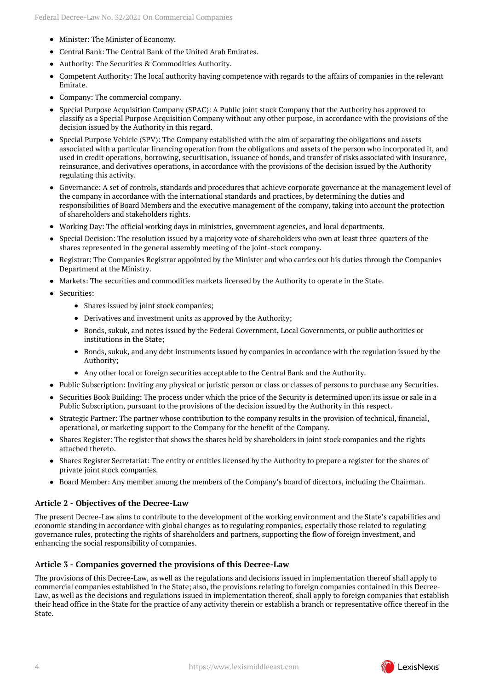- Minister: The Minister of Economy.
- Central Bank: The Central Bank of the United Arab Emirates.
- Authority: The Securities & Commodities Authority.
- Competent Authority: The local authority having competence with regards to the affairs of companies in the relevant  $\bullet$ Emirate.
- Company: The commercial company.
- Special Purpose Acquisition Company (SPAC): A Public joint stock Company that the Authority has approved to classify as a Special Purpose Acquisition Company without any other purpose, in accordance with the provisions of the decision issued by the Authority in this regard.
- Special Purpose Vehicle (SPV): The Company established with the aim of separating the obligations and assets associated with a particular financing operation from the obligations and assets of the person who incorporated it, and used in credit operations, borrowing, securitisation, issuance of bonds, and transfer of risks associated with insurance, reinsurance, and derivatives operations, in accordance with the provisions of the decision issued by the Authority regulating this activity.
- Governance: A set of controls, standards and procedures that achieve corporate governance at the management level of the company in accordance with the international standards and practices, by determining the duties and responsibilities of Board Members and the executive management of the company, taking into account the protection of shareholders and stakeholders rights.
- Working Day: The official working days in ministries, government agencies, and local departments.
- Special Decision: The resolution issued by a majority vote of shareholders who own at least three-quarters of the shares represented in the general assembly meeting of the joint-stock company.
- Registrar: The Companies Registrar appointed by the Minister and who carries out his duties through the Companies Department at the Ministry.
- Markets: The securities and commodities markets licensed by the Authority to operate in the State.
- Securities:
	- Shares issued by joint stock companies;
	- Derivatives and investment units as approved by the Authority;
	- Bonds, sukuk, and notes issued by the Federal Government, Local Governments, or public authorities or institutions in the State;
	- Bonds, sukuk, and any debt instruments issued by companies in accordance with the regulation issued by the Authority;
	- Any other local or foreign securities acceptable to the Central Bank and the Authority.
- Public Subscription: Inviting any physical or juristic person or class or classes of persons to purchase any Securities.
- Securities Book Building: The process under which the price of the Security is determined upon its issue or sale in a Public Subscription, pursuant to the provisions of the decision issued by the Authority in this respect.
- Strategic Partner: The partner whose contribution to the company results in the provision of technical, financial, operational, or marketing support to the Company for the benefit of the Company.
- Shares Register: The register that shows the shares held by shareholders in joint stock companies and the rights  $\bullet$ attached thereto.
- Shares Register Secretariat: The entity or entities licensed by the Authority to prepare a register for the shares of  $\bullet$ private joint stock companies.
- Board Member: Any member among the members of the Company's board of directors, including the Chairman.

#### **Article 2 - Objectives of the Decree-Law**

The present Decree-Law aims to contribute to the development of the working environment and the State's capabilities and economic standing in accordance with global changes as to regulating companies, especially those related to regulating governance rules, protecting the rights of shareholders and partners, supporting the flow of foreign investment, and enhancing the social responsibility of companies.

#### **Article 3 - Companies governed the provisions of this Decree-Law**

The provisions of this Decree-Law, as well as the regulations and decisions issued in implementation thereof shall apply to commercial companies established in the State; also, the provisions relating to foreign companies contained in this Decree-Law, as well as the decisions and regulations issued in implementation thereof, shall apply to foreign companies that establish their head office in the State for the practice of any activity therein or establish a branch or representative office thereof in the State.

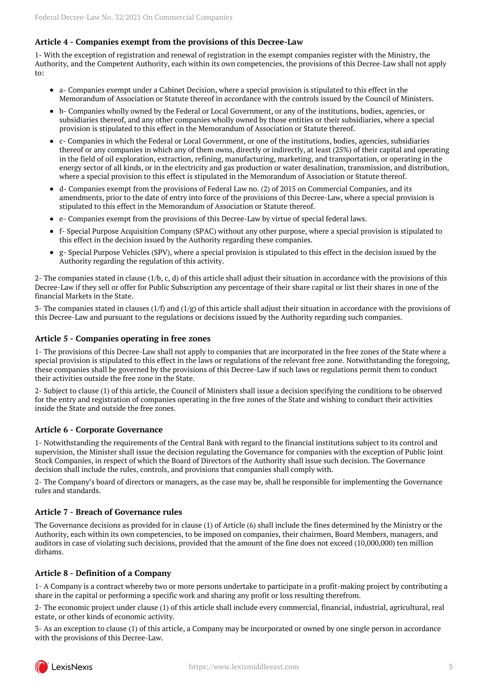## **Article 4 - Companies exempt from the provisions of this Decree-Law**

1- With the exception of registration and renewal of registration in the exempt companies register with the Ministry, the Authority, and the Competent Authority, each within its own competencies, the provisions of this Decree-Law shall not apply to:

- a- Companies exempt under a Cabinet Decision, where a special provision is stipulated to this effect in the Memorandum of Association or Statute thereof in accordance with the controls issued by the Council of Ministers.
- b- Companies wholly owned by the Federal or Local Government, or any of the institutions, bodies, agencies, or subsidiaries thereof, and any other companies wholly owned by those entities or their subsidiaries, where a special provision is stipulated to this effect in the Memorandum of Association or Statute thereof.
- c- Companies in which the Federal or Local Government, or one of the institutions, bodies, agencies, subsidiaries thereof or any companies in which any of them owns, directly or indirectly, at least (25%) of their capital and operating in the field of oil exploration, extraction, refining, manufacturing, marketing, and transportation, or operating in the energy sector of all kinds, or in the electricity and gas production or water desalination, transmission, and distribution, where a special provision to this effect is stipulated in the Memorandum of Association or Statute thereof.
- d- Companies exempt from the provisions of Federal Law no. (2) of 2015 on Commercial Companies, and its amendments, prior to the date of entry into force of the provisions of this Decree-Law, where a special provision is stipulated to this effect in the Memorandum of Association or Statute thereof.
- e- Companies exempt from the provisions of this Decree-Law by virtue of special federal laws.
- f- Special Purpose Acquisition Company (SPAC) without any other purpose, where a special provision is stipulated to this effect in the decision issued by the Authority regarding these companies.
- g- Special Purpose Vehicles (SPV), where a special provision is stipulated to this effect in the decision issued by the  $\bullet$ Authority regarding the regulation of this activity.

2- The companies stated in clause (1/b, c, d) of this article shall adjust their situation in accordance with the provisions of this Decree-Law if they sell or offer for Public Subscription any percentage of their share capital or list their shares in one of the financial Markets in the State.

3- The companies stated in clauses (1/f) and (1/g) of this article shall adjust their situation in accordance with the provisions of this Decree-Law and pursuant to the regulations or decisions issued by the Authority regarding such companies.

#### **Article 5 - Companies operating in free zones**

1- The provisions of this Decree-Law shall not apply to companies that are incorporated in the free zones of the State where a special provision is stipulated to this effect in the laws or regulations of the relevant free zone. Notwithstanding the foregoing, these companies shall be governed by the provisions of this Decree-Law if such laws or regulations permit them to conduct their activities outside the free zone in the State.

2- Subject to clause (1) of this article, the Council of Ministers shall issue a decision specifying the conditions to be observed for the entry and registration of companies operating in the free zones of the State and wishing to conduct their activities inside the State and outside the free zones.

#### **Article 6 - Corporate Governance**

1- Notwithstanding the requirements of the Central Bank with regard to the financial institutions subject to its control and supervision, the Minister shall issue the decision regulating the Governance for companies with the exception of Public Joint Stock Companies, in respect of which the Board of Directors of the Authority shall issue such decision. The Governance decision shall include the rules, controls, and provisions that companies shall comply with.

2- The Company's board of directors or managers, as the case may be, shall be responsible for implementing the Governance rules and standards.

#### **Article 7 - Breach of Governance rules**

The Governance decisions as provided for in clause (1) of Article (6) shall include the fines determined by the Ministry or the Authority, each within its own competencies, to be imposed on companies, their chairmen, Board Members, managers, and auditors in case of violating such decisions, provided that the amount of the fine does not exceed (10,000,000) ten million dirhams.

## **Article 8 - Definition of a Company**

1- A Company is a contract whereby two or more persons undertake to participate in a profit-making project by contributing a share in the capital or performing a specific work and sharing any profit or loss resulting therefrom.

2- The economic project under clause (1) of this article shall include every commercial, financial, industrial, agricultural, real estate, or other kinds of economic activity.

3- As an exception to clause (1) of this article, a Company may be incorporated or owned by one single person in accordance with the provisions of this Decree-Law.

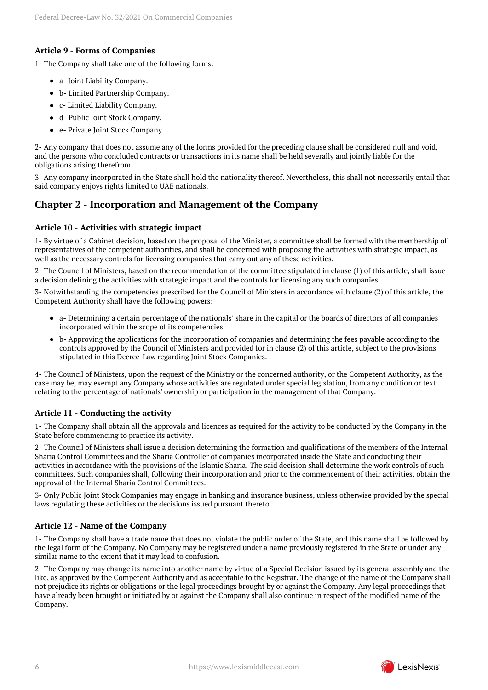## **Article 9 - Forms of Companies**

1- The Company shall take one of the following forms:

- a- Joint Liability Company.
- b- Limited Partnership Company.
- c- Limited Liability Company.
- d- Public Joint Stock Company.
- e- Private Joint Stock Company.

2- Any company that does not assume any of the forms provided for the preceding clause shall be considered null and void, and the persons who concluded contracts or transactions in its name shall be held severally and jointly liable for the obligations arising therefrom.

3- Any company incorporated in the State shall hold the nationality thereof. Nevertheless, this shall not necessarily entail that said company enjoys rights limited to UAE nationals.

## <span id="page-5-0"></span>**Chapter 2 - Incorporation and Management of the Company**

#### **Article 10 - Activities with strategic impact**

1- By virtue of a Cabinet decision, based on the proposal of the Minister, a committee shall be formed with the membership of representatives of the competent authorities, and shall be concerned with proposing the activities with strategic impact, as well as the necessary controls for licensing companies that carry out any of these activities.

2- The Council of Ministers, based on the recommendation of the committee stipulated in clause (1) of this article, shall issue a decision defining the activities with strategic impact and the controls for licensing any such companies.

3- Notwithstanding the competencies prescribed for the Council of Ministers in accordance with clause (2) of this article, the Competent Authority shall have the following powers:

- a- Determining a certain percentage of the nationals' share in the capital or the boards of directors of all companies incorporated within the scope of its competencies.
- b- Approving the applications for the incorporation of companies and determining the fees payable according to the controls approved by the Council of Ministers and provided for in clause (2) of this article, subject to the provisions stipulated in this Decree-Law regarding Joint Stock Companies.

4- The Council of Ministers, upon the request of the Ministry or the concerned authority, or the Competent Authority, as the case may be, may exempt any Company whose activities are regulated under special legislation, from any condition or text relating to the percentage of nationals' ownership or participation in the management of that Company.

## **Article 11 - Conducting the activity**

1- The Company shall obtain all the approvals and licences as required for the activity to be conducted by the Company in the State before commencing to practice its activity.

2- The Council of Ministers shall issue a decision determining the formation and qualifications of the members of the Internal Sharia Control Committees and the Sharia Controller of companies incorporated inside the State and conducting their activities in accordance with the provisions of the Islamic Sharia. The said decision shall determine the work controls of such committees. Such companies shall, following their incorporation and prior to the commencement of their activities, obtain the approval of the Internal Sharia Control Committees.

3- Only Public Joint Stock Companies may engage in banking and insurance business, unless otherwise provided by the special laws regulating these activities or the decisions issued pursuant thereto.

#### **Article 12 - Name of the Company**

1- The Company shall have a trade name that does not violate the public order of the State, and this name shall be followed by the legal form of the Company. No Company may be registered under a name previously registered in the State or under any similar name to the extent that it may lead to confusion.

2- The Company may change its name into another name by virtue of a Special Decision issued by its general assembly and the like, as approved by the Competent Authority and as acceptable to the Registrar. The change of the name of the Company shall not prejudice its rights or obligations or the legal proceedings brought by or against the Company. Any legal proceedings that have already been brought or initiated by or against the Company shall also continue in respect of the modified name of the Company.

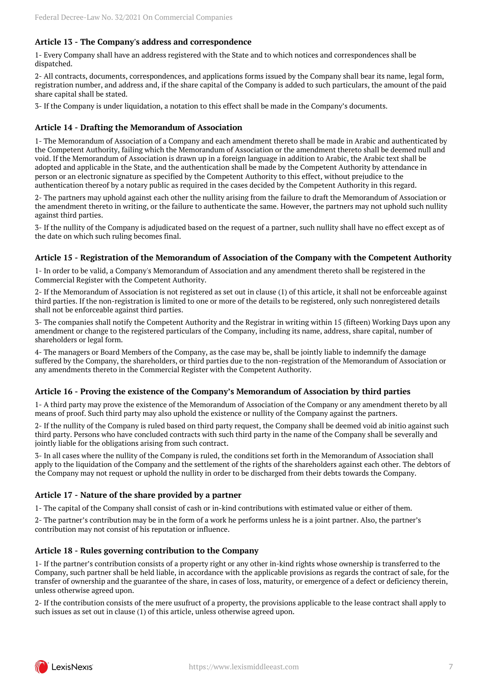## **Article 13 - The Company's address and correspondence**

1- Every Company shall have an address registered with the State and to which notices and correspondences shall be dispatched.

2- All contracts, documents, correspondences, and applications forms issued by the Company shall bear its name, legal form, registration number, and address and, if the share capital of the Company is added to such particulars, the amount of the paid share capital shall be stated.

3- If the Company is under liquidation, a notation to this effect shall be made in the Company's documents.

#### **Article 14 - Drafting the Memorandum of Association**

1- The Memorandum of Association of a Company and each amendment thereto shall be made in Arabic and authenticated by the Competent Authority, failing which the Memorandum of Association or the amendment thereto shall be deemed null and void. If the Memorandum of Association is drawn up in a foreign language in addition to Arabic, the Arabic text shall be adopted and applicable in the State, and the authentication shall be made by the Competent Authority by attendance in person or an electronic signature as specified by the Competent Authority to this effect, without prejudice to the authentication thereof by a notary public as required in the cases decided by the Competent Authority in this regard.

2- The partners may uphold against each other the nullity arising from the failure to draft the Memorandum of Association or the amendment thereto in writing, or the failure to authenticate the same. However, the partners may not uphold such nullity against third parties.

3- If the nullity of the Company is adjudicated based on the request of a partner, such nullity shall have no effect except as of the date on which such ruling becomes final.

#### **Article 15 - Registration of the Memorandum of Association of the Company with the Competent Authority**

1- In order to be valid, a Company's Memorandum of Association and any amendment thereto shall be registered in the Commercial Register with the Competent Authority.

2- If the Memorandum of Association is not registered as set out in clause (1) of this article, it shall not be enforceable against third parties. If the non-registration is limited to one or more of the details to be registered, only such nonregistered details shall not be enforceable against third parties.

3- The companies shall notify the Competent Authority and the Registrar in writing within 15 (fifteen) Working Days upon any amendment or change to the registered particulars of the Company, including its name, address, share capital, number of shareholders or legal form.

4- The managers or Board Members of the Company, as the case may be, shall be jointly liable to indemnify the damage suffered by the Company, the shareholders, or third parties due to the non-registration of the Memorandum of Association or any amendments thereto in the Commercial Register with the Competent Authority.

#### **Article 16 - Proving the existence of the Company's Memorandum of Association by third parties**

1- A third party may prove the existence of the Memorandum of Association of the Company or any amendment thereto by all means of proof. Such third party may also uphold the existence or nullity of the Company against the partners.

2- If the nullity of the Company is ruled based on third party request, the Company shall be deemed void ab initio against such third party. Persons who have concluded contracts with such third party in the name of the Company shall be severally and jointly liable for the obligations arising from such contract.

3- In all cases where the nullity of the Company is ruled, the conditions set forth in the Memorandum of Association shall apply to the liquidation of the Company and the settlement of the rights of the shareholders against each other. The debtors of the Company may not request or uphold the nullity in order to be discharged from their debts towards the Company.

## **Article 17 - Nature of the share provided by a partner**

1- The capital of the Company shall consist of cash or in-kind contributions with estimated value or either of them.

2- The partner's contribution may be in the form of a work he performs unless he is a joint partner. Also, the partner's contribution may not consist of his reputation or influence.

#### **Article 18 - Rules governing contribution to the Company**

1- If the partner's contribution consists of a property right or any other in-kind rights whose ownership is transferred to the Company, such partner shall be held liable, in accordance with the applicable provisions as regards the contract of sale, for the transfer of ownership and the guarantee of the share, in cases of loss, maturity, or emergence of a defect or deficiency therein, unless otherwise agreed upon.

2- If the contribution consists of the mere usufruct of a property, the provisions applicable to the lease contract shall apply to such issues as set out in clause (1) of this article, unless otherwise agreed upon.

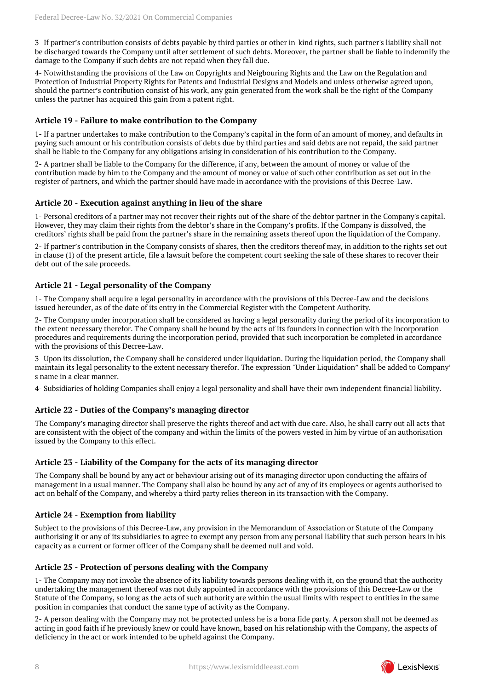3- If partner's contribution consists of debts payable by third parties or other in-kind rights, such partner's liability shall not be discharged towards the Company until after settlement of such debts. Moreover, the partner shall be liable to indemnify the damage to the Company if such debts are not repaid when they fall due.

4- Notwithstanding the provisions of the Law on Copyrights and Neigbouring Rights and the Law on the Regulation and Protection of Industrial Property Rights for Patents and Industrial Designs and Models and unless otherwise agreed upon, should the partner's contribution consist of his work, any gain generated from the work shall be the right of the Company unless the partner has acquired this gain from a patent right.

### **Article 19 - Failure to make contribution to the Company**

1- If a partner undertakes to make contribution to the Company's capital in the form of an amount of money, and defaults in paying such amount or his contribution consists of debts due by third parties and said debts are not repaid, the said partner shall be liable to the Company for any obligations arising in consideration of his contribution to the Company.

2- A partner shall be liable to the Company for the difference, if any, between the amount of money or value of the contribution made by him to the Company and the amount of money or value of such other contribution as set out in the register of partners, and which the partner should have made in accordance with the provisions of this Decree-Law.

#### **Article 20 - Execution against anything in lieu of the share**

1- Personal creditors of a partner may not recover their rights out of the share of the debtor partner in the Company's capital. However, they may claim their rights from the debtor's share in the Company's profits. If the Company is dissolved, the creditors' rights shall be paid from the partner's share in the remaining assets thereof upon the liquidation of the Company.

2- If partner's contribution in the Company consists of shares, then the creditors thereof may, in addition to the rights set out in clause (1) of the present article, file a lawsuit before the competent court seeking the sale of these shares to recover their debt out of the sale proceeds.

#### **Article 21 - Legal personality of the Company**

1- The Company shall acquire a legal personality in accordance with the provisions of this Decree-Law and the decisions issued hereunder, as of the date of its entry in the Commercial Register with the Competent Authority.

2- The Company under incorporation shall be considered as having a legal personality during the period of its incorporation to the extent necessary therefor. The Company shall be bound by the acts of its founders in connection with the incorporation procedures and requirements during the incorporation period, provided that such incorporation be completed in accordance with the provisions of this Decree-Law.

3- Upon its dissolution, the Company shall be considered under liquidation. During the liquidation period, the Company shall maintain its legal personality to the extent necessary therefor. The expression "Under Liquidation" shall be added to Company' s name in a clear manner.

4- Subsidiaries of holding Companies shall enjoy a legal personality and shall have their own independent financial liability.

## **Article 22 - Duties of the Company's managing director**

The Company's managing director shall preserve the rights thereof and act with due care. Also, he shall carry out all acts that are consistent with the object of the company and within the limits of the powers vested in him by virtue of an authorisation issued by the Company to this effect.

#### **Article 23 - Liability of the Company for the acts of its managing director**

The Company shall be bound by any act or behaviour arising out of its managing director upon conducting the affairs of management in a usual manner. The Company shall also be bound by any act of any of its employees or agents authorised to act on behalf of the Company, and whereby a third party relies thereon in its transaction with the Company.

## **Article 24 - Exemption from liability**

Subject to the provisions of this Decree-Law, any provision in the Memorandum of Association or Statute of the Company authorising it or any of its subsidiaries to agree to exempt any person from any personal liability that such person bears in his capacity as a current or former officer of the Company shall be deemed null and void.

#### **Article 25 - Protection of persons dealing with the Company**

1- The Company may not invoke the absence of its liability towards persons dealing with it, on the ground that the authority undertaking the management thereof was not duly appointed in accordance with the provisions of this Decree-Law or the Statute of the Company, so long as the acts of such authority are within the usual limits with respect to entities in the same position in companies that conduct the same type of activity as the Company.

2- A person dealing with the Company may not be protected unless he is a bona fide party. A person shall not be deemed as acting in good faith if he previously knew or could have known, based on his relationship with the Company, the aspects of deficiency in the act or work intended to be upheld against the Company.

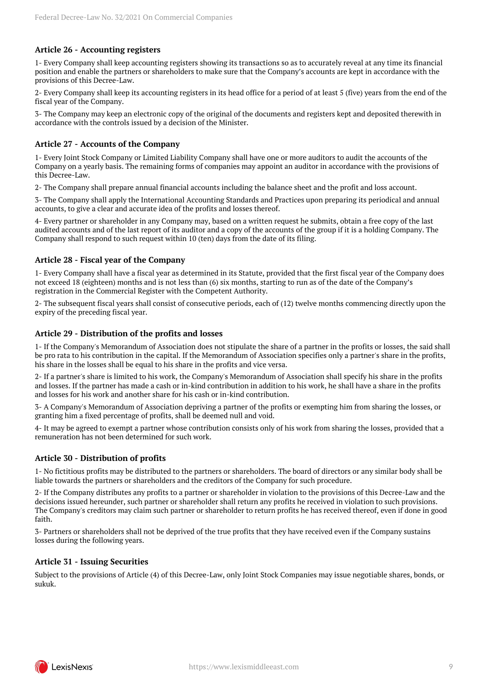## **Article 26 - Accounting registers**

1- Every Company shall keep accounting registers showing its transactions so as to accurately reveal at any time its financial position and enable the partners or shareholders to make sure that the Company's accounts are kept in accordance with the provisions of this Decree-Law.

2- Every Company shall keep its accounting registers in its head office for a period of at least 5 (five) years from the end of the fiscal year of the Company.

3- The Company may keep an electronic copy of the original of the documents and registers kept and deposited therewith in accordance with the controls issued by a decision of the Minister.

#### **Article 27 - Accounts of the Company**

1- Every Joint Stock Company or Limited Liability Company shall have one or more auditors to audit the accounts of the Company on a yearly basis. The remaining forms of companies may appoint an auditor in accordance with the provisions of this Decree-Law.

2- The Company shall prepare annual financial accounts including the balance sheet and the profit and loss account.

3- The Company shall apply the International Accounting Standards and Practices upon preparing its periodical and annual accounts, to give a clear and accurate idea of the profits and losses thereof.

4- Every partner or shareholder in any Company may, based on a written request he submits, obtain a free copy of the last audited accounts and of the last report of its auditor and a copy of the accounts of the group if it is a holding Company. The Company shall respond to such request within 10 (ten) days from the date of its filing.

#### **Article 28 - Fiscal year of the Company**

1- Every Company shall have a fiscal year as determined in its Statute, provided that the first fiscal year of the Company does not exceed 18 (eighteen) months and is not less than (6) six months, starting to run as of the date of the Company's registration in the Commercial Register with the Competent Authority.

2- The subsequent fiscal years shall consist of consecutive periods, each of (12) twelve months commencing directly upon the expiry of the preceding fiscal year.

#### **Article 29 - Distribution of the profits and losses**

1- If the Company's Memorandum of Association does not stipulate the share of a partner in the profits or losses, the said shall be pro rata to his contribution in the capital. If the Memorandum of Association specifies only a partner's share in the profits, his share in the losses shall be equal to his share in the profits and vice versa.

2- If a partner's share is limited to his work, the Company's Memorandum of Association shall specify his share in the profits and losses. If the partner has made a cash or in-kind contribution in addition to his work, he shall have a share in the profits and losses for his work and another share for his cash or in-kind contribution.

3- A Company's Memorandum of Association depriving a partner of the profits or exempting him from sharing the losses, or granting him a fixed percentage of profits, shall be deemed null and void.

4- It may be agreed to exempt a partner whose contribution consists only of his work from sharing the losses, provided that a remuneration has not been determined for such work.

## **Article 30 - Distribution of profits**

1- No fictitious profits may be distributed to the partners or shareholders. The board of directors or any similar body shall be liable towards the partners or shareholders and the creditors of the Company for such procedure.

2- If the Company distributes any profits to a partner or shareholder in violation to the provisions of this Decree-Law and the decisions issued hereunder, such partner or shareholder shall return any profits he received in violation to such provisions. The Company's creditors may claim such partner or shareholder to return profits he has received thereof, even if done in good faith.

3- Partners or shareholders shall not be deprived of the true profits that they have received even if the Company sustains losses during the following years.

#### **Article 31 - Issuing Securities**

Subject to the provisions of Article (4) of this Decree-Law, only Joint Stock Companies may issue negotiable shares, bonds, or sukuk.

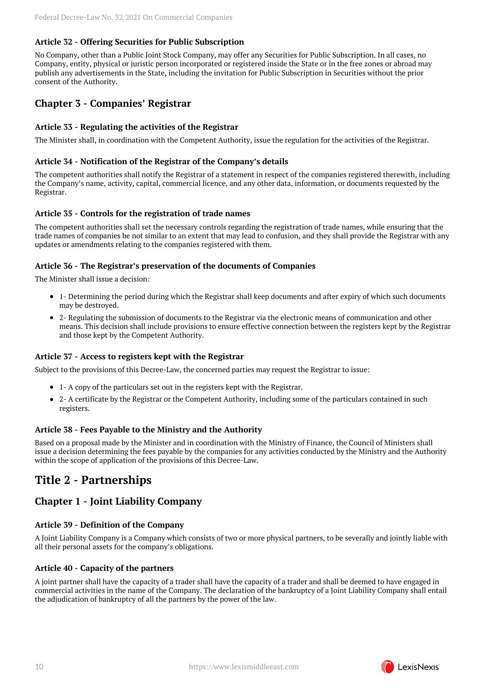## **Article 32 - Offering Securities for Public Subscription**

No Company, other than a Public Joint Stock Company, may offer any Securities for Public Subscription. In all cases, no Company, entity, physical or juristic person incorporated or registered inside the State or in the free zones or abroad may publish any advertisements in the State, including the invitation for Public Subscription in Securities without the prior consent of the Authority.

## <span id="page-9-0"></span>**Chapter 3 - Companies' Registrar**

## **Article 33 - Regulating the activities of the Registrar**

The Minister shall, in coordination with the Competent Authority, issue the regulation for the activities of the Registrar.

#### **Article 34 - Notification of the Registrar of the Company's details**

The competent authorities shall notify the Registrar of a statement in respect of the companies registered therewith, including the Company's name, activity, capital, commercial licence, and any other data, information, or documents requested by the Registrar.

## **Article 35 - Controls for the registration of trade names**

The competent authorities shall set the necessary controls regarding the registration of trade names, while ensuring that the trade names of companies be not similar to an extent that may lead to confusion, and they shall provide the Registrar with any updates or amendments relating to the companies registered with them.

#### **Article 36 - The Registrar's preservation of the documents of Companies**

The Minister shall issue a decision:

- 1- Determining the period during which the Registrar shall keep documents and after expiry of which such documents may be destroyed.
- 2- Regulating the submission of documents to the Registrar via the electronic means of communication and other means. This decision shall include provisions to ensure effective connection between the registers kept by the Registrar and those kept by the Competent Authority.

## **Article 37 - Access to registers kept with the Registrar**

Subject to the provisions of this Decree-Law, the concerned parties may request the Registrar to issue:

- 1- A copy of the particulars set out in the registers kept with the Registrar.
- 2- A certificate by the Registrar or the Competent Authority, including some of the particulars contained in such registers.

## **Article 38 - Fees Payable to the Ministry and the Authority**

Based on a proposal made by the Minister and in coordination with the Ministry of Finance, the Council of Ministers shall issue a decision determining the fees payable by the companies for any activities conducted by the Ministry and the Authority within the scope of application of the provisions of this Decree-Law.

## <span id="page-9-1"></span>**Title 2 - Partnerships**

## <span id="page-9-2"></span>**Chapter 1 - Joint Liability Company**

## **Article 39 - Definition of the Company**

A Joint Liability Company is a Company which consists of two or more physical partners, to be severally and jointly liable with all their personal assets for the company's obligations.

#### **Article 40 - Capacity of the partners**

A joint partner shall have the capacity of a trader shall have the capacity of a trader and shall be deemed to have engaged in commercial activities in the name of the Company. The declaration of the bankruptcy of a Joint Liability Company shall entail the adjudication of bankruptcy of all the partners by the power of the law.

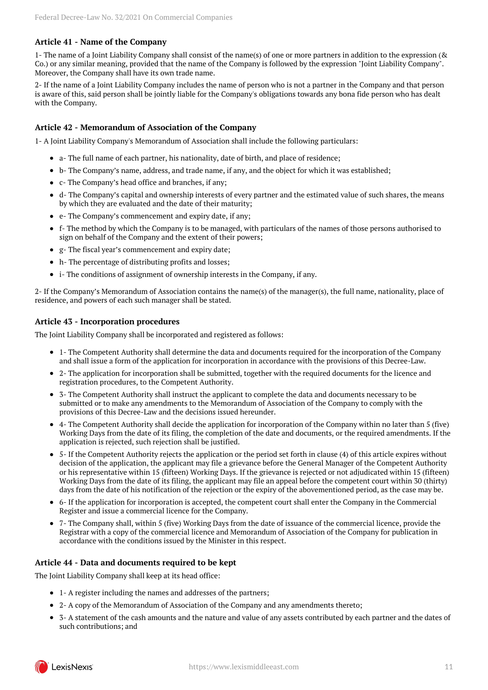## **Article 41 - Name of the Company**

1- The name of a Joint Liability Company shall consist of the name(s) of one or more partners in addition to the expression (& Co.) or any similar meaning, provided that the name of the Company is followed by the expression "Joint Liability Company". Moreover, the Company shall have its own trade name.

2- If the name of a Joint Liability Company includes the name of person who is not a partner in the Company and that person is aware of this, said person shall be jointly liable for the Company's obligations towards any bona fide person who has dealt with the Company.

## **Article 42 - Memorandum of Association of the Company**

1- A Joint Liability Company's Memorandum of Association shall include the following particulars:

- a- The full name of each partner, his nationality, date of birth, and place of residence;
- b- The Company's name, address, and trade name, if any, and the object for which it was established;
- c- The Company's head office and branches, if any;
- d- The Company's capital and ownership interests of every partner and the estimated value of such shares, the means by which they are evaluated and the date of their maturity;
- e- The Company's commencement and expiry date, if any;
- f- The method by which the Company is to be managed, with particulars of the names of those persons authorised to sign on behalf of the Company and the extent of their powers;
- g- The fiscal year's commencement and expiry date;
- h- The percentage of distributing profits and losses;
- i- The conditions of assignment of ownership interests in the Company, if any.

2- If the Company's Memorandum of Association contains the name(s) of the manager(s), the full name, nationality, place of residence, and powers of each such manager shall be stated.

## **Article 43 - Incorporation procedures**

The Joint Liability Company shall be incorporated and registered as follows:

- 1- The Competent Authority shall determine the data and documents required for the incorporation of the Company and shall issue a form of the application for incorporation in accordance with the provisions of this Decree-Law.
- 2- The application for incorporation shall be submitted, together with the required documents for the licence and registration procedures, to the Competent Authority.
- 3- The Competent Authority shall instruct the applicant to complete the data and documents necessary to be submitted or to make any amendments to the Memorandum of Association of the Company to comply with the provisions of this Decree-Law and the decisions issued hereunder.
- 4- The Competent Authority shall decide the application for incorporation of the Company within no later than 5 (five) Working Days from the date of its filing, the completion of the date and documents, or the required amendments. If the application is rejected, such rejection shall be justified.
- 5- If the Competent Authority rejects the application or the period set forth in clause (4) of this article expires without decision of the application, the applicant may file a grievance before the General Manager of the Competent Authority or his representative within 15 (fifteen) Working Days. If the grievance is rejected or not adjudicated within 15 (fifteen) Working Days from the date of its filing, the applicant may file an appeal before the competent court within 30 (thirty) days from the date of his notification of the rejection or the expiry of the abovementioned period, as the case may be.
- 6- If the application for incorporation is accepted, the competent court shall enter the Company in the Commercial Register and issue a commercial licence for the Company.
- 7- The Company shall, within 5 (five) Working Days from the date of issuance of the commercial licence, provide the Registrar with a copy of the commercial licence and Memorandum of Association of the Company for publication in accordance with the conditions issued by the Minister in this respect.

## **Article 44 - Data and documents required to be kept**

The Joint Liability Company shall keep at its head office:

- 1- A register including the names and addresses of the partners;
- 2- A copy of the Memorandum of Association of the Company and any amendments thereto;
- 3- A statement of the cash amounts and the nature and value of any assets contributed by each partner and the dates of such contributions; and

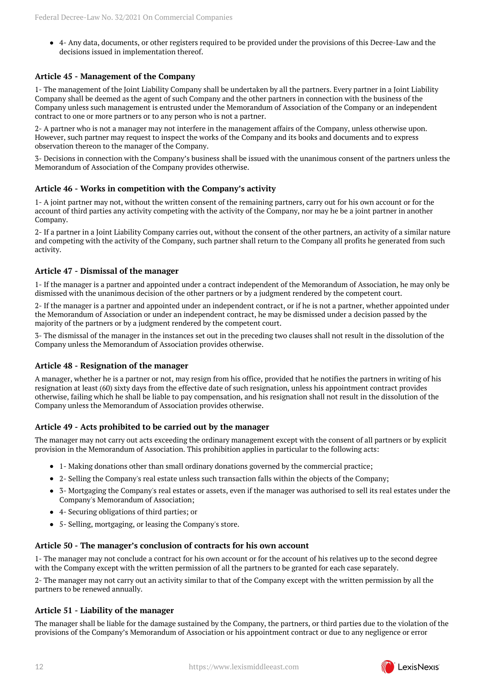4- Any data, documents, or other registers required to be provided under the provisions of this Decree-Law and the decisions issued in implementation thereof.

## **Article 45 - Management of the Company**

1- The management of the Joint Liability Company shall be undertaken by all the partners. Every partner in a Joint Liability Company shall be deemed as the agent of such Company and the other partners in connection with the business of the Company unless such management is entrusted under the Memorandum of Association of the Company or an independent contract to one or more partners or to any person who is not a partner.

2- A partner who is not a manager may not interfere in the management affairs of the Company, unless otherwise upon. However, such partner may request to inspect the works of the Company and its books and documents and to express observation thereon to the manager of the Company.

3- Decisions in connection with the Company's business shall be issued with the unanimous consent of the partners unless the Memorandum of Association of the Company provides otherwise.

## **Article 46 - Works in competition with the Company's activity**

1- A joint partner may not, without the written consent of the remaining partners, carry out for his own account or for the account of third parties any activity competing with the activity of the Company, nor may he be a joint partner in another Company.

2- If a partner in a Joint Liability Company carries out, without the consent of the other partners, an activity of a similar nature and competing with the activity of the Company, such partner shall return to the Company all profits he generated from such activity.

#### **Article 47 - Dismissal of the manager**

1- If the manager is a partner and appointed under a contract independent of the Memorandum of Association, he may only be dismissed with the unanimous decision of the other partners or by a judgment rendered by the competent court.

2- If the manager is a partner and appointed under an independent contract, or if he is not a partner, whether appointed under the Memorandum of Association or under an independent contract, he may be dismissed under a decision passed by the majority of the partners or by a judgment rendered by the competent court.

3- The dismissal of the manager in the instances set out in the preceding two clauses shall not result in the dissolution of the Company unless the Memorandum of Association provides otherwise.

## **Article 48 - Resignation of the manager**

A manager, whether he is a partner or not, may resign from his office, provided that he notifies the partners in writing of his resignation at least (60) sixty days from the effective date of such resignation, unless his appointment contract provides otherwise, failing which he shall be liable to pay compensation, and his resignation shall not result in the dissolution of the Company unless the Memorandum of Association provides otherwise.

## **Article 49 - Acts prohibited to be carried out by the manager**

The manager may not carry out acts exceeding the ordinary management except with the consent of all partners or by explicit provision in the Memorandum of Association. This prohibition applies in particular to the following acts:

- 1- Making donations other than small ordinary donations governed by the commercial practice;
- 2- Selling the Company's real estate unless such transaction falls within the objects of the Company;
- 3- Mortgaging the Company's real estates or assets, even if the manager was authorised to sell its real estates under the Company's Memorandum of Association;
- 4- Securing obligations of third parties; or
- 5- Selling, mortgaging, or leasing the Company's store.

#### **Article 50 - The manager's conclusion of contracts for his own account**

1- The manager may not conclude a contract for his own account or for the account of his relatives up to the second degree with the Company except with the written permission of all the partners to be granted for each case separately.

2- The manager may not carry out an activity similar to that of the Company except with the written permission by all the partners to be renewed annually.

## **Article 51 - Liability of the manager**

The manager shall be liable for the damage sustained by the Company, the partners, or third parties due to the violation of the provisions of the Company's Memorandum of Association or his appointment contract or due to any negligence or error

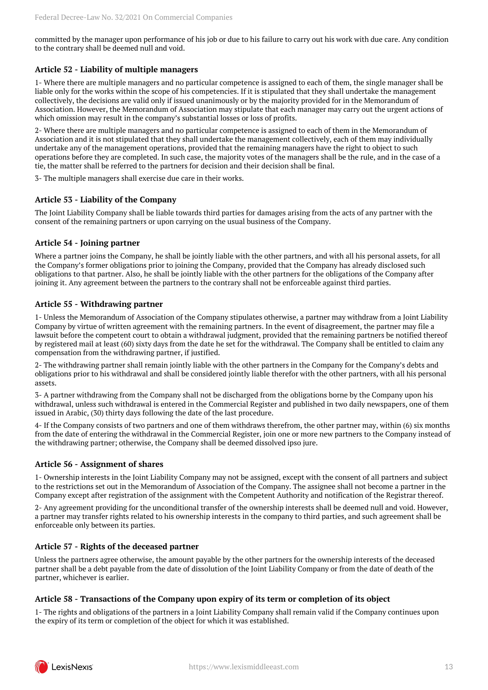committed by the manager upon performance of his job or due to his failure to carry out his work with due care. Any condition to the contrary shall be deemed null and void.

## **Article 52 - Liability of multiple managers**

1- Where there are multiple managers and no particular competence is assigned to each of them, the single manager shall be liable only for the works within the scope of his competencies. If it is stipulated that they shall undertake the management collectively, the decisions are valid only if issued unanimously or by the majority provided for in the Memorandum of Association. However, the Memorandum of Association may stipulate that each manager may carry out the urgent actions of which omission may result in the company's substantial losses or loss of profits.

2- Where there are multiple managers and no particular competence is assigned to each of them in the Memorandum of Association and it is not stipulated that they shall undertake the management collectively, each of them may individually undertake any of the management operations, provided that the remaining managers have the right to object to such operations before they are completed. In such case, the majority votes of the managers shall be the rule, and in the case of a tie, the matter shall be referred to the partners for decision and their decision shall be final.

3- The multiple managers shall exercise due care in their works.

## **Article 53 - Liability of the Company**

The Joint Liability Company shall be liable towards third parties for damages arising from the acts of any partner with the consent of the remaining partners or upon carrying on the usual business of the Company.

#### **Article 54 - Joining partner**

Where a partner joins the Company, he shall be jointly liable with the other partners, and with all his personal assets, for all the Company's former obligations prior to joining the Company, provided that the Company has already disclosed such obligations to that partner. Also, he shall be jointly liable with the other partners for the obligations of the Company after joining it. Any agreement between the partners to the contrary shall not be enforceable against third parties.

#### **Article 55 - Withdrawing partner**

1- Unless the Memorandum of Association of the Company stipulates otherwise, a partner may withdraw from a Joint Liability Company by virtue of written agreement with the remaining partners. In the event of disagreement, the partner may file a lawsuit before the competent court to obtain a withdrawal judgment, provided that the remaining partners be notified thereof by registered mail at least (60) sixty days from the date he set for the withdrawal. The Company shall be entitled to claim any compensation from the withdrawing partner, if justified.

2- The withdrawing partner shall remain jointly liable with the other partners in the Company for the Company's debts and obligations prior to his withdrawal and shall be considered jointly liable therefor with the other partners, with all his personal assets.

3- A partner withdrawing from the Company shall not be discharged from the obligations borne by the Company upon his withdrawal, unless such withdrawal is entered in the Commercial Register and published in two daily newspapers, one of them issued in Arabic, (30) thirty days following the date of the last procedure.

4- If the Company consists of two partners and one of them withdraws therefrom, the other partner may, within (6) six months from the date of entering the withdrawal in the Commercial Register, join one or more new partners to the Company instead of the withdrawing partner; otherwise, the Company shall be deemed dissolved ipso jure.

## **Article 56 - Assignment of shares**

1- Ownership interests in the Joint Liability Company may not be assigned, except with the consent of all partners and subject to the restrictions set out in the Memorandum of Association of the Company. The assignee shall not become a partner in the Company except after registration of the assignment with the Competent Authority and notification of the Registrar thereof.

2- Any agreement providing for the unconditional transfer of the ownership interests shall be deemed null and void. However, a partner may transfer rights related to his ownership interests in the company to third parties, and such agreement shall be enforceable only between its parties.

#### **Article 57 - Rights of the deceased partner**

Unless the partners agree otherwise, the amount payable by the other partners for the ownership interests of the deceased partner shall be a debt payable from the date of dissolution of the Joint Liability Company or from the date of death of the partner, whichever is earlier.

#### **Article 58 - Transactions of the Company upon expiry of its term or completion of its object**

1- The rights and obligations of the partners in a Joint Liability Company shall remain valid if the Company continues upon the expiry of its term or completion of the object for which it was established.

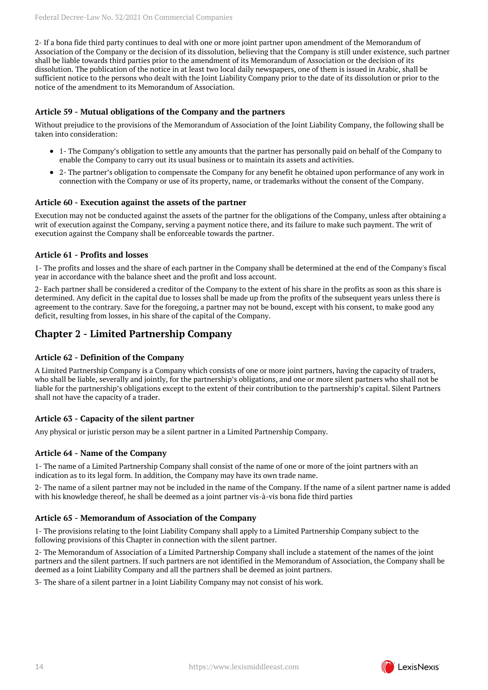2- If a bona fide third party continues to deal with one or more joint partner upon amendment of the Memorandum of Association of the Company or the decision of its dissolution, believing that the Company is still under existence, such partner shall be liable towards third parties prior to the amendment of its Memorandum of Association or the decision of its dissolution. The publication of the notice in at least two local daily newspapers, one of them is issued in Arabic, shall be sufficient notice to the persons who dealt with the Joint Liability Company prior to the date of its dissolution or prior to the notice of the amendment to its Memorandum of Association.

### **Article 59 - Mutual obligations of the Company and the partners**

Without prejudice to the provisions of the Memorandum of Association of the Joint Liability Company, the following shall be taken into consideration:

- 1- The Company's obligation to settle any amounts that the partner has personally paid on behalf of the Company to enable the Company to carry out its usual business or to maintain its assets and activities.
- 2- The partner's obligation to compensate the Company for any benefit he obtained upon performance of any work in connection with the Company or use of its property, name, or trademarks without the consent of the Company.

#### **Article 60 - Execution against the assets of the partner**

Execution may not be conducted against the assets of the partner for the obligations of the Company, unless after obtaining a writ of execution against the Company, serving a payment notice there, and its failure to make such payment. The writ of execution against the Company shall be enforceable towards the partner.

#### **Article 61 - Profits and losses**

1- The profits and losses and the share of each partner in the Company shall be determined at the end of the Company's fiscal year in accordance with the balance sheet and the profit and loss account.

2- Each partner shall be considered a creditor of the Company to the extent of his share in the profits as soon as this share is determined. Any deficit in the capital due to losses shall be made up from the profits of the subsequent years unless there is agreement to the contrary. Save for the foregoing, a partner may not be bound, except with his consent, to make good any deficit, resulting from losses, in his share of the capital of the Company.

## <span id="page-13-0"></span>**Chapter 2 - Limited Partnership Company**

#### **Article 62 - Definition of the Company**

A Limited Partnership Company is a Company which consists of one or more joint partners, having the capacity of traders, who shall be liable, severally and jointly, for the partnership's obligations, and one or more silent partners who shall not be liable for the partnership's obligations except to the extent of their contribution to the partnership's capital. Silent Partners shall not have the capacity of a trader.

#### **Article 63 - Capacity of the silent partner**

Any physical or juristic person may be a silent partner in a Limited Partnership Company.

#### **Article 64 - Name of the Company**

1- The name of a Limited Partnership Company shall consist of the name of one or more of the joint partners with an indication as to its legal form. In addition, the Company may have its own trade name.

2- The name of a silent partner may not be included in the name of the Company. If the name of a silent partner name is added with his knowledge thereof, he shall be deemed as a joint partner vis-à-vis bona fide third parties

#### **Article 65 - Memorandum of Association of the Company**

1- The provisions relating to the Joint Liability Company shall apply to a Limited Partnership Company subject to the following provisions of this Chapter in connection with the silent partner.

2- The Memorandum of Association of a Limited Partnership Company shall include a statement of the names of the joint partners and the silent partners. If such partners are not identified in the Memorandum of Association, the Company shall be deemed as a Joint Liability Company and all the partners shall be deemed as joint partners.

3- The share of a silent partner in a Joint Liability Company may not consist of his work.

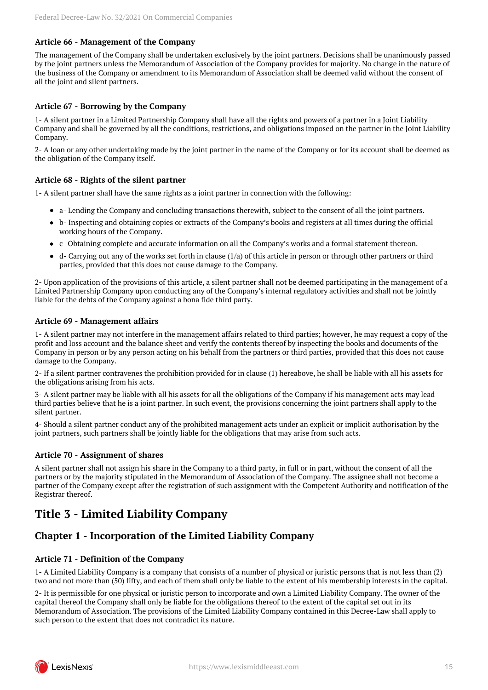## **Article 66 - Management of the Company**

The management of the Company shall be undertaken exclusively by the joint partners. Decisions shall be unanimously passed by the joint partners unless the Memorandum of Association of the Company provides for majority. No change in the nature of the business of the Company or amendment to its Memorandum of Association shall be deemed valid without the consent of all the joint and silent partners.

## **Article 67 - Borrowing by the Company**

1- A silent partner in a Limited Partnership Company shall have all the rights and powers of a partner in a Joint Liability Company and shall be governed by all the conditions, restrictions, and obligations imposed on the partner in the Joint Liability Company.

2- A loan or any other undertaking made by the joint partner in the name of the Company or for its account shall be deemed as the obligation of the Company itself.

## **Article 68 - Rights of the silent partner**

1- A silent partner shall have the same rights as a joint partner in connection with the following:

- a- Lending the Company and concluding transactions therewith, subject to the consent of all the joint partners.
- b- Inspecting and obtaining copies or extracts of the Company's books and registers at all times during the official working hours of the Company.
- c- Obtaining complete and accurate information on all the Company's works and a formal statement thereon.
- $\bullet$  d- Carrying out any of the works set forth in clause (1/a) of this article in person or through other partners or third parties, provided that this does not cause damage to the Company.

2- Upon application of the provisions of this article, a silent partner shall not be deemed participating in the management of a Limited Partnership Company upon conducting any of the Company's internal regulatory activities and shall not be jointly liable for the debts of the Company against a bona fide third party.

## **Article 69 - Management affairs**

1- A silent partner may not interfere in the management affairs related to third parties; however, he may request a copy of the profit and loss account and the balance sheet and verify the contents thereof by inspecting the books and documents of the Company in person or by any person acting on his behalf from the partners or third parties, provided that this does not cause damage to the Company.

2- If a silent partner contravenes the prohibition provided for in clause (1) hereabove, he shall be liable with all his assets for the obligations arising from his acts.

3- A silent partner may be liable with all his assets for all the obligations of the Company if his management acts may lead third parties believe that he is a joint partner. In such event, the provisions concerning the joint partners shall apply to the silent partner.

4- Should a silent partner conduct any of the prohibited management acts under an explicit or implicit authorisation by the joint partners, such partners shall be jointly liable for the obligations that may arise from such acts.

## **Article 70 - Assignment of shares**

A silent partner shall not assign his share in the Company to a third party, in full or in part, without the consent of all the partners or by the majority stipulated in the Memorandum of Association of the Company. The assignee shall not become a partner of the Company except after the registration of such assignment with the Competent Authority and notification of the Registrar thereof.

## <span id="page-14-0"></span>**Title 3 - Limited Liability Company**

## <span id="page-14-1"></span>**Chapter 1 - Incorporation of the Limited Liability Company**

## **Article 71 - Definition of the Company**

1- A Limited Liability Company is a company that consists of a number of physical or juristic persons that is not less than (2) two and not more than (50) fifty, and each of them shall only be liable to the extent of his membership interests in the capital.

2- It is permissible for one physical or juristic person to incorporate and own a Limited Liability Company. The owner of the capital thereof the Company shall only be liable for the obligations thereof to the extent of the capital set out in its Memorandum of Association. The provisions of the Limited Liability Company contained in this Decree-Law shall apply to such person to the extent that does not contradict its nature.

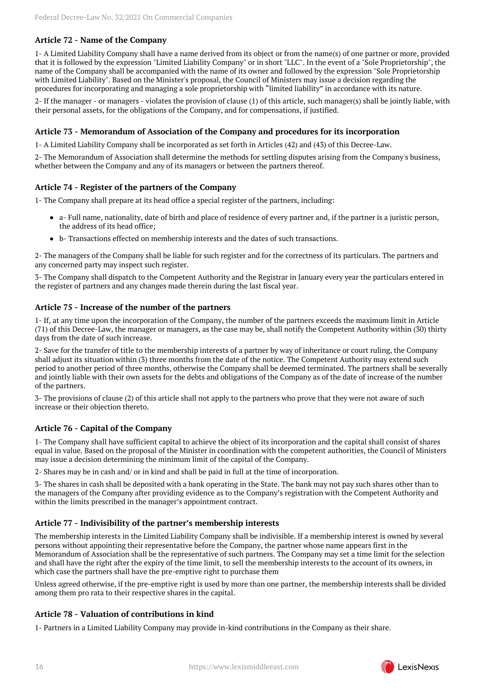## **Article 72 - Name of the Company**

1- A Limited Liability Company shall have a name derived from its object or from the name(s) of one partner or more, provided that it is followed by the expression "Limited Liability Company" or in short "LLC". In the event of a "Sole Proprietorship", the name of the Company shall be accompanied with the name of its owner and followed by the expression "Sole Proprietorship with Limited Liability". Based on the Minister's proposal, the Council of Ministers may issue a decision regarding the procedures for incorporating and managing a sole proprietorship with "limited liability" in accordance with its nature.

2- If the manager - or managers - violates the provision of clause (1) of this article, such manager(s) shall be jointly liable, with their personal assets, for the obligations of the Company, and for compensations, if justified.

#### **Article 73 - Memorandum of Association of the Company and procedures for its incorporation**

1- A Limited Liability Company shall be incorporated as set forth in Articles (42) and (43) of this Decree-Law.

2- The Memorandum of Association shall determine the methods for settling disputes arising from the Company's business, whether between the Company and any of its managers or between the partners thereof.

#### **Article 74 - Register of the partners of the Company**

1- The Company shall prepare at its head office a special register of the partners, including:

- a- Full name, nationality, date of birth and place of residence of every partner and, if the partner is a juristic person, the address of its head office;
- b- Transactions effected on membership interests and the dates of such transactions.

2- The managers of the Company shall be liable for such register and for the correctness of its particulars. The partners and any concerned party may inspect such register.

3- The Company shall dispatch to the Competent Authority and the Registrar in January every year the particulars entered in the register of partners and any changes made therein during the last fiscal year.

#### **Article 75 - Increase of the number of the partners**

1- If, at any time upon the incorporation of the Company, the number of the partners exceeds the maximum limit in Article (71) of this Decree-Law, the manager or managers, as the case may be, shall notify the Competent Authority within (30) thirty days from the date of such increase.

2- Save for the transfer of title to the membership interests of a partner by way of inheritance or court ruling, the Company shall adjust its situation within (3) three months from the date of the notice. The Competent Authority may extend such period to another period of three months, otherwise the Company shall be deemed terminated. The partners shall be severally and jointly liable with their own assets for the debts and obligations of the Company as of the date of increase of the number of the partners.

3- The provisions of clause (2) of this article shall not apply to the partners who prove that they were not aware of such increase or their objection thereto.

#### **Article 76 - Capital of the Company**

1- The Company shall have sufficient capital to achieve the object of its incorporation and the capital shall consist of shares equal in value. Based on the proposal of the Minister in coordination with the competent authorities, the Council of Ministers may issue a decision determining the minimum limit of the capital of the Company.

2- Shares may be in cash and/ or in kind and shall be paid in full at the time of incorporation.

3- The shares in cash shall be deposited with a bank operating in the State. The bank may not pay such shares other than to the managers of the Company after providing evidence as to the Company's registration with the Competent Authority and within the limits prescribed in the manager's appointment contract.

#### **Article 77 - Indivisibility of the partner's membership interests**

The membership interests in the Limited Liability Company shall be indivisible. If a membership interest is owned by several persons without appointing their representative before the Company, the partner whose name appears first in the Memorandum of Association shall be the representative of such partners. The Company may set a time limit for the selection and shall have the right after the expiry of the time limit, to sell the membership interests to the account of its owners, in which case the partners shall have the pre-emptive right to purchase them

Unless agreed otherwise, if the pre-emptive right is used by more than one partner, the membership interests shall be divided among them pro rata to their respective shares in the capital.

#### **Article 78 - Valuation of contributions in kind**

1- Partners in a Limited Liability Company may provide in-kind contributions in the Company as their share.

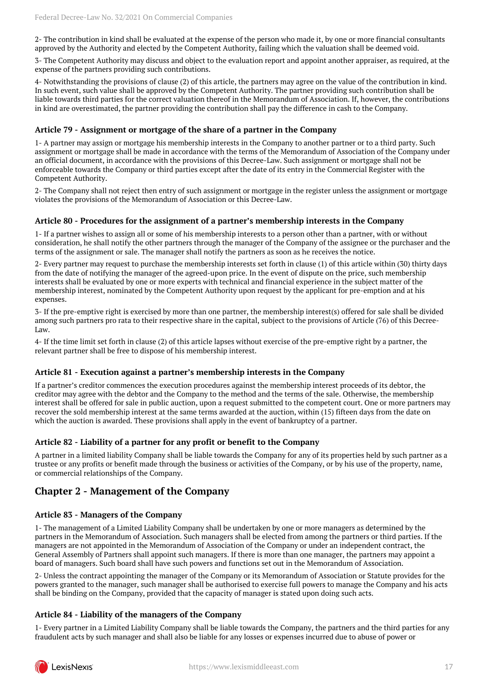2- The contribution in kind shall be evaluated at the expense of the person who made it, by one or more financial consultants approved by the Authority and elected by the Competent Authority, failing which the valuation shall be deemed void.

3- The Competent Authority may discuss and object to the evaluation report and appoint another appraiser, as required, at the expense of the partners providing such contributions.

4- Notwithstanding the provisions of clause (2) of this article, the partners may agree on the value of the contribution in kind. In such event, such value shall be approved by the Competent Authority. The partner providing such contribution shall be liable towards third parties for the correct valuation thereof in the Memorandum of Association. If, however, the contributions in kind are overestimated, the partner providing the contribution shall pay the difference in cash to the Company.

#### **Article 79 - Assignment or mortgage of the share of a partner in the Company**

1- A partner may assign or mortgage his membership interests in the Company to another partner or to a third party. Such assignment or mortgage shall be made in accordance with the terms of the Memorandum of Association of the Company under an official document, in accordance with the provisions of this Decree-Law. Such assignment or mortgage shall not be enforceable towards the Company or third parties except after the date of its entry in the Commercial Register with the Competent Authority.

2- The Company shall not reject then entry of such assignment or mortgage in the register unless the assignment or mortgage violates the provisions of the Memorandum of Association or this Decree-Law.

#### **Article 80 - Procedures for the assignment of a partner's membership interests in the Company**

1- If a partner wishes to assign all or some of his membership interests to a person other than a partner, with or without consideration, he shall notify the other partners through the manager of the Company of the assignee or the purchaser and the terms of the assignment or sale. The manager shall notify the partners as soon as he receives the notice.

2- Every partner may request to purchase the membership interests set forth in clause (1) of this article within (30) thirty days from the date of notifying the manager of the agreed-upon price. In the event of dispute on the price, such membership interests shall be evaluated by one or more experts with technical and financial experience in the subject matter of the membership interest, nominated by the Competent Authority upon request by the applicant for pre-emption and at his expenses.

3- If the pre-emptive right is exercised by more than one partner, the membership interest(s) offered for sale shall be divided among such partners pro rata to their respective share in the capital, subject to the provisions of Article (76) of this Decree-Law.

4- If the time limit set forth in clause (2) of this article lapses without exercise of the pre-emptive right by a partner, the relevant partner shall be free to dispose of his membership interest.

#### **Article 81 - Execution against a partner's membership interests in the Company**

If a partner's creditor commences the execution procedures against the membership interest proceeds of its debtor, the creditor may agree with the debtor and the Company to the method and the terms of the sale. Otherwise, the membership interest shall be offered for sale in public auction, upon a request submitted to the competent court. One or more partners may recover the sold membership interest at the same terms awarded at the auction, within (15) fifteen days from the date on which the auction is awarded. These provisions shall apply in the event of bankruptcy of a partner.

#### **Article 82 - Liability of a partner for any profit or benefit to the Company**

A partner in a limited liability Company shall be liable towards the Company for any of its properties held by such partner as a trustee or any profits or benefit made through the business or activities of the Company, or by his use of the property, name, or commercial relationships of the Company.

## <span id="page-16-0"></span>**Chapter 2 - Management of the Company**

#### **Article 83 - Managers of the Company**

1- The management of a Limited Liability Company shall be undertaken by one or more managers as determined by the partners in the Memorandum of Association. Such managers shall be elected from among the partners or third parties. If the managers are not appointed in the Memorandum of Association of the Company or under an independent contract, the General Assembly of Partners shall appoint such managers. If there is more than one manager, the partners may appoint a board of managers. Such board shall have such powers and functions set out in the Memorandum of Association.

2- Unless the contract appointing the manager of the Company or its Memorandum of Association or Statute provides for the powers granted to the manager, such manager shall be authorised to exercise full powers to manage the Company and his acts shall be binding on the Company, provided that the capacity of manager is stated upon doing such acts.

## **Article 84 - Liability of the managers of the Company**

1- Every partner in a Limited Liability Company shall be liable towards the Company, the partners and the third parties for any fraudulent acts by such manager and shall also be liable for any losses or expenses incurred due to abuse of power or

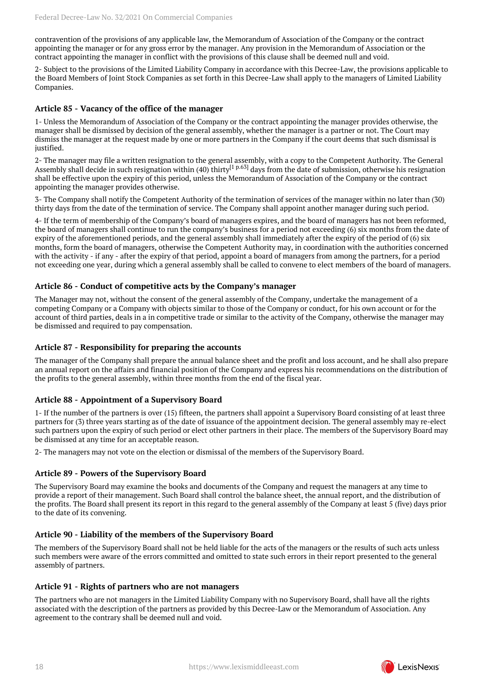contravention of the provisions of any applicable law, the Memorandum of Association of the Company or the contract appointing the manager or for any gross error by the manager. Any provision in the Memorandum of Association or the contract appointing the manager in conflict with the provisions of this clause shall be deemed null and void.

2- Subject to the provisions of the Limited Liability Company in accordance with this Decree-Law, the provisions applicable to the Board Members of Joint Stock Companies as set forth in this Decree-Law shall apply to the managers of Limited Liability Companies.

#### **Article 85 - Vacancy of the office of the manager**

1- Unless the Memorandum of Association of the Company or the contract appointing the manager provides otherwise, the manager shall be dismissed by decision of the general assembly, whether the manager is a partner or not. The Court may dismiss the manager at the request made by one or more partners in the Company if the court deems that such dismissal is justified.

<span id="page-17-0"></span>2- The manager may file a written resignation to the general assembly, with a copy to the Competent Authority. The General Assembly shall decide in such resignation within (40) thirty<sup>[\[1 p.63\]](#page-62-1)</sup> days from the date of submission, otherwise his resignation shall be effective upon the expiry of this period, unless the Memorandum of Association of the Company or the contract appointing the manager provides otherwise.

3- The Company shall notify the Competent Authority of the termination of services of the manager within no later than (30) thirty days from the date of the termination of service. The Company shall appoint another manager during such period.

4- If the term of membership of the Company's board of managers expires, and the board of managers has not been reformed, the board of managers shall continue to run the company's business for a period not exceeding (6) six months from the date of expiry of the aforementioned periods, and the general assembly shall immediately after the expiry of the period of (6) six months, form the board of managers, otherwise the Competent Authority may, in coordination with the authorities concerned with the activity - if any - after the expiry of that period, appoint a board of managers from among the partners, for a period not exceeding one year, during which a general assembly shall be called to convene to elect members of the board of managers.

#### **Article 86 - Conduct of competitive acts by the Company's manager**

The Manager may not, without the consent of the general assembly of the Company, undertake the management of a competing Company or a Company with objects similar to those of the Company or conduct, for his own account or for the account of third parties, deals in a in competitive trade or similar to the activity of the Company, otherwise the manager may be dismissed and required to pay compensation.

### **Article 87 - Responsibility for preparing the accounts**

The manager of the Company shall prepare the annual balance sheet and the profit and loss account, and he shall also prepare an annual report on the affairs and financial position of the Company and express his recommendations on the distribution of the profits to the general assembly, within three months from the end of the fiscal year.

## **Article 88 - Appointment of a Supervisory Board**

1- If the number of the partners is over (15) fifteen, the partners shall appoint a Supervisory Board consisting of at least three partners for (3) three years starting as of the date of issuance of the appointment decision. The general assembly may re-elect such partners upon the expiry of such period or elect other partners in their place. The members of the Supervisory Board may be dismissed at any time for an acceptable reason.

2- The managers may not vote on the election or dismissal of the members of the Supervisory Board.

## **Article 89 - Powers of the Supervisory Board**

The Supervisory Board may examine the books and documents of the Company and request the managers at any time to provide a report of their management. Such Board shall control the balance sheet, the annual report, and the distribution of the profits. The Board shall present its report in this regard to the general assembly of the Company at least 5 (five) days prior to the date of its convening.

#### **Article 90 - Liability of the members of the Supervisory Board**

The members of the Supervisory Board shall not be held liable for the acts of the managers or the results of such acts unless such members were aware of the errors committed and omitted to state such errors in their report presented to the general assembly of partners.

#### **Article 91 - Rights of partners who are not managers**

The partners who are not managers in the Limited Liability Company with no Supervisory Board, shall have all the rights associated with the description of the partners as provided by this Decree-Law or the Memorandum of Association. Any agreement to the contrary shall be deemed null and void.

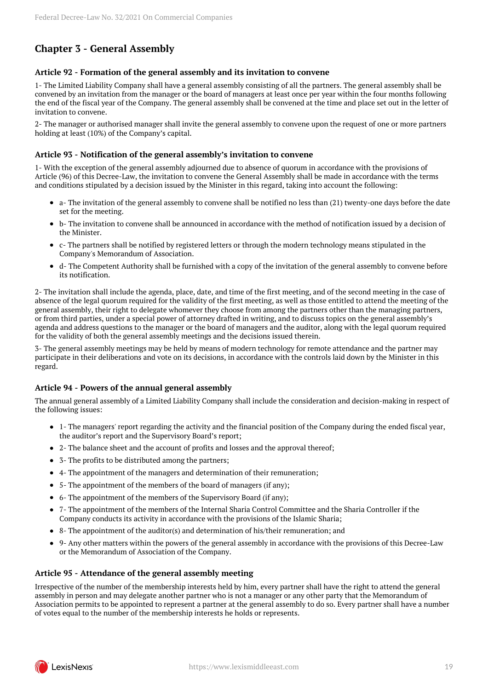## <span id="page-18-0"></span>**Chapter 3 - General Assembly**

#### **Article 92 - Formation of the general assembly and its invitation to convene**

1- The Limited Liability Company shall have a general assembly consisting of all the partners. The general assembly shall be convened by an invitation from the manager or the board of managers at least once per year within the four months following the end of the fiscal year of the Company. The general assembly shall be convened at the time and place set out in the letter of invitation to convene.

2- The manager or authorised manager shall invite the general assembly to convene upon the request of one or more partners holding at least (10%) of the Company's capital.

#### **Article 93 - Notification of the general assembly's invitation to convene**

1- With the exception of the general assembly adjourned due to absence of quorum in accordance with the provisions of Article (96) of this Decree-Law, the invitation to convene the General Assembly shall be made in accordance with the terms and conditions stipulated by a decision issued by the Minister in this regard, taking into account the following:

- a- The invitation of the general assembly to convene shall be notified no less than (21) twenty-one days before the date set for the meeting.
- b- The invitation to convene shall be announced in accordance with the method of notification issued by a decision of the Minister.
- c- The partners shall be notified by registered letters or through the modern technology means stipulated in the Company's Memorandum of Association.
- d- The Competent Authority shall be furnished with a copy of the invitation of the general assembly to convene before  $\bullet$ its notification.

2- The invitation shall include the agenda, place, date, and time of the first meeting, and of the second meeting in the case of absence of the legal quorum required for the validity of the first meeting, as well as those entitled to attend the meeting of the general assembly, their right to delegate whomever they choose from among the partners other than the managing partners, or from third parties, under a special power of attorney drafted in writing, and to discuss topics on the general assembly's agenda and address questions to the manager or the board of managers and the auditor, along with the legal quorum required for the validity of both the general assembly meetings and the decisions issued therein.

3- The general assembly meetings may be held by means of modern technology for remote attendance and the partner may participate in their deliberations and vote on its decisions, in accordance with the controls laid down by the Minister in this regard.

## **Article 94 - Powers of the annual general assembly**

The annual general assembly of a Limited Liability Company shall include the consideration and decision-making in respect of the following issues:

- 1- The managers' report regarding the activity and the financial position of the Company during the ended fiscal year, the auditor's report and the Supervisory Board's report;
- 2- The balance sheet and the account of profits and losses and the approval thereof;
- 3- The profits to be distributed among the partners;
- 4- The appointment of the managers and determination of their remuneration;
- 5- The appointment of the members of the board of managers (if any);
- 6- The appointment of the members of the Supervisory Board (if any);
- 7- The appointment of the members of the Internal Sharia Control Committee and the Sharia Controller if the Company conducts its activity in accordance with the provisions of the Islamic Sharia;
- 8- The appointment of the auditor(s) and determination of his/their remuneration; and
- 9- Any other matters within the powers of the general assembly in accordance with the provisions of this Decree-Law or the Memorandum of Association of the Company.

#### **Article 95 - Attendance of the general assembly meeting**

Irrespective of the number of the membership interests held by him, every partner shall have the right to attend the general assembly in person and may delegate another partner who is not a manager or any other party that the Memorandum of Association permits to be appointed to represent a partner at the general assembly to do so. Every partner shall have a number of votes equal to the number of the membership interests he holds or represents.

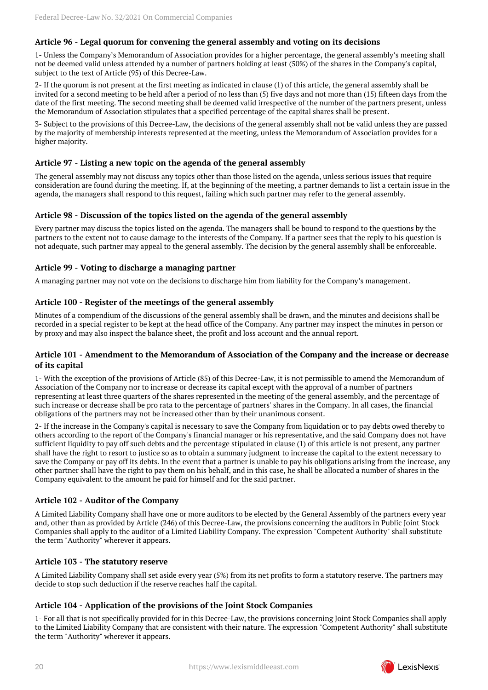## **Article 96 - Legal quorum for convening the general assembly and voting on its decisions**

1- Unless the Company's Memorandum of Association provides for a higher percentage, the general assembly's meeting shall not be deemed valid unless attended by a number of partners holding at least (50%) of the shares in the Company's capital, subject to the text of Article (95) of this Decree-Law.

2- If the quorum is not present at the first meeting as indicated in clause (1) of this article, the general assembly shall be invited for a second meeting to be held after a period of no less than (5) five days and not more than (15) fifteen days from the date of the first meeting. The second meeting shall be deemed valid irrespective of the number of the partners present, unless the Memorandum of Association stipulates that a specified percentage of the capital shares shall be present.

3- Subject to the provisions of this Decree-Law, the decisions of the general assembly shall not be valid unless they are passed by the majority of membership interests represented at the meeting, unless the Memorandum of Association provides for a higher majority.

## **Article 97 - Listing a new topic on the agenda of the general assembly**

The general assembly may not discuss any topics other than those listed on the agenda, unless serious issues that require consideration are found during the meeting. If, at the beginning of the meeting, a partner demands to list a certain issue in the agenda, the managers shall respond to this request, failing which such partner may refer to the general assembly.

## **Article 98 - Discussion of the topics listed on the agenda of the general assembly**

Every partner may discuss the topics listed on the agenda. The managers shall be bound to respond to the questions by the partners to the extent not to cause damage to the interests of the Company. If a partner sees that the reply to his question is not adequate, such partner may appeal to the general assembly. The decision by the general assembly shall be enforceable.

#### **Article 99 - Voting to discharge a managing partner**

A managing partner may not vote on the decisions to discharge him from liability for the Company's management.

#### **Article 100 - Register of the meetings of the general assembly**

Minutes of a compendium of the discussions of the general assembly shall be drawn, and the minutes and decisions shall be recorded in a special register to be kept at the head office of the Company. Any partner may inspect the minutes in person or by proxy and may also inspect the balance sheet, the profit and loss account and the annual report.

#### **Article 101 - Amendment to the Memorandum of Association of the Company and the increase or decrease of its capital**

1- With the exception of the provisions of Article (85) of this Decree-Law, it is not permissible to amend the Memorandum of Association of the Company nor to increase or decrease its capital except with the approval of a number of partners representing at least three quarters of the shares represented in the meeting of the general assembly, and the percentage of such increase or decrease shall be pro rata to the percentage of partners' shares in the Company. In all cases, the financial obligations of the partners may not be increased other than by their unanimous consent.

2- If the increase in the Company's capital is necessary to save the Company from liquidation or to pay debts owed thereby to others according to the report of the Company's financial manager or his representative, and the said Company does not have sufficient liquidity to pay off such debts and the percentage stipulated in clause (1) of this article is not present, any partner shall have the right to resort to justice so as to obtain a summary judgment to increase the capital to the extent necessary to save the Company or pay off its debts. In the event that a partner is unable to pay his obligations arising from the increase, any other partner shall have the right to pay them on his behalf, and in this case, he shall be allocated a number of shares in the Company equivalent to the amount he paid for himself and for the said partner.

## **Article 102 - Auditor of the Company**

A Limited Liability Company shall have one or more auditors to be elected by the General Assembly of the partners every year and, other than as provided by Article (246) of this Decree-Law, the provisions concerning the auditors in Public Joint Stock Companies shall apply to the auditor of a Limited Liability Company. The expression "Competent Authority" shall substitute the term "Authority" wherever it appears.

#### **Article 103 - The statutory reserve**

A Limited Liability Company shall set aside every year (5%) from its net profits to form a statutory reserve. The partners may decide to stop such deduction if the reserve reaches half the capital.

#### **Article 104 - Application of the provisions of the Joint Stock Companies**

1- For all that is not specifically provided for in this Decree-Law, the provisions concerning Joint Stock Companies shall apply to the Limited Liability Company that are consistent with their nature. The expression "Competent Authority" shall substitute the term "Authority" wherever it appears.

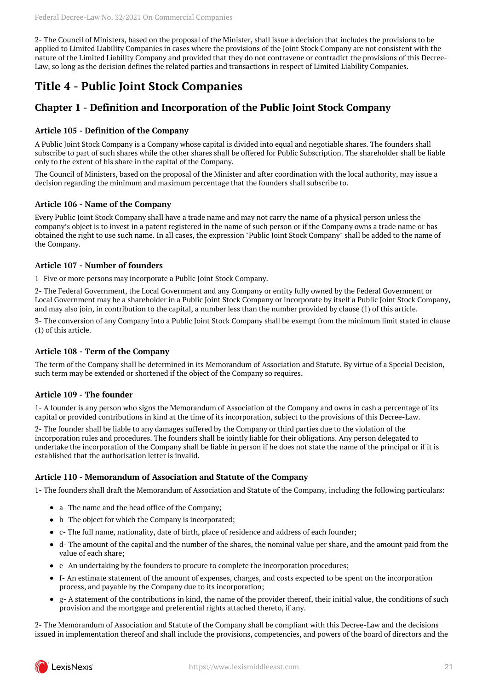2- The Council of Ministers, based on the proposal of the Minister, shall issue a decision that includes the provisions to be applied to Limited Liability Companies in cases where the provisions of the Joint Stock Company are not consistent with the nature of the Limited Liability Company and provided that they do not contravene or contradict the provisions of this Decree-Law, so long as the decision defines the related parties and transactions in respect of Limited Liability Companies.

## <span id="page-20-0"></span>**Title 4 - Public Joint Stock Companies**

## <span id="page-20-1"></span>**Chapter 1 - Definition and Incorporation of the Public Joint Stock Company**

## **Article 105 - Definition of the Company**

A Public Joint Stock Company is a Company whose capital is divided into equal and negotiable shares. The founders shall subscribe to part of such shares while the other shares shall be offered for Public Subscription. The shareholder shall be liable only to the extent of his share in the capital of the Company.

The Council of Ministers, based on the proposal of the Minister and after coordination with the local authority, may issue a decision regarding the minimum and maximum percentage that the founders shall subscribe to.

## **Article 106 - Name of the Company**

Every Public Joint Stock Company shall have a trade name and may not carry the name of a physical person unless the company's object is to invest in a patent registered in the name of such person or if the Company owns a trade name or has obtained the right to use such name. In all cases, the expression "Public Joint Stock Company" shall be added to the name of the Company.

### **Article 107 - Number of founders**

1- Five or more persons may incorporate a Public Joint Stock Company.

2- The Federal Government, the Local Government and any Company or entity fully owned by the Federal Government or Local Government may be a shareholder in a Public Joint Stock Company or incorporate by itself a Public Joint Stock Company, and may also join, in contribution to the capital, a number less than the number provided by clause (1) of this article.

3- The conversion of any Company into a Public Joint Stock Company shall be exempt from the minimum limit stated in clause (1) of this article.

## **Article 108 - Term of the Company**

The term of the Company shall be determined in its Memorandum of Association and Statute. By virtue of a Special Decision, such term may be extended or shortened if the object of the Company so requires.

## **Article 109 - The founder**

1- A founder is any person who signs the Memorandum of Association of the Company and owns in cash a percentage of its capital or provided contributions in kind at the time of its incorporation, subject to the provisions of this Decree-Law.

2- The founder shall be liable to any damages suffered by the Company or third parties due to the violation of the incorporation rules and procedures. The founders shall be jointly liable for their obligations. Any person delegated to undertake the incorporation of the Company shall be liable in person if he does not state the name of the principal or if it is established that the authorisation letter is invalid.

## **Article 110 - Memorandum of Association and Statute of the Company**

1- The founders shall draft the Memorandum of Association and Statute of the Company, including the following particulars:

- a- The name and the head office of the Company;
- b- The object for which the Company is incorporated;
- c- The full name, nationality, date of birth, place of residence and address of each founder;
- d- The amount of the capital and the number of the shares, the nominal value per share, and the amount paid from the value of each share;
- e- An undertaking by the founders to procure to complete the incorporation procedures;
- f- An estimate statement of the amount of expenses, charges, and costs expected to be spent on the incorporation process, and payable by the Company due to its incorporation;
- g- A statement of the contributions in kind, the name of the provider thereof, their initial value, the conditions of such provision and the mortgage and preferential rights attached thereto, if any.

2- The Memorandum of Association and Statute of the Company shall be compliant with this Decree-Law and the decisions issued in implementation thereof and shall include the provisions, competencies, and powers of the board of directors and the

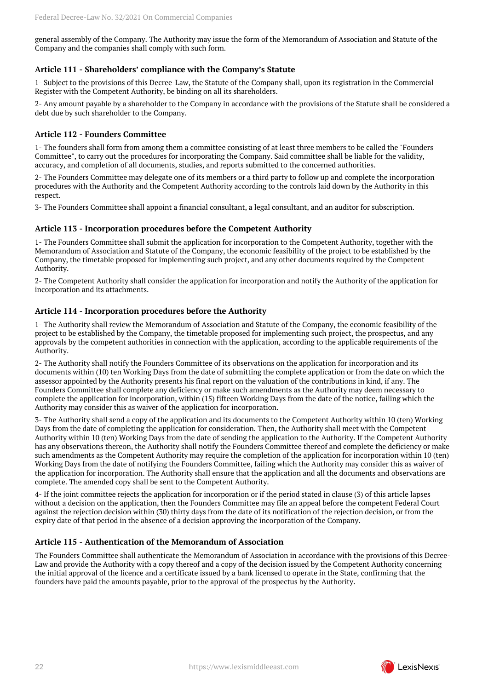general assembly of the Company. The Authority may issue the form of the Memorandum of Association and Statute of the Company and the companies shall comply with such form.

### **Article 111 - Shareholders' compliance with the Company's Statute**

1- Subject to the provisions of this Decree-Law, the Statute of the Company shall, upon its registration in the Commercial Register with the Competent Authority, be binding on all its shareholders.

2- Any amount payable by a shareholder to the Company in accordance with the provisions of the Statute shall be considered a debt due by such shareholder to the Company.

#### **Article 112 - Founders Committee**

1- The founders shall form from among them a committee consisting of at least three members to be called the "Founders Committee", to carry out the procedures for incorporating the Company. Said committee shall be liable for the validity, accuracy, and completion of all documents, studies, and reports submitted to the concerned authorities.

2- The Founders Committee may delegate one of its members or a third party to follow up and complete the incorporation procedures with the Authority and the Competent Authority according to the controls laid down by the Authority in this respect.

3- The Founders Committee shall appoint a financial consultant, a legal consultant, and an auditor for subscription.

#### **Article 113 - Incorporation procedures before the Competent Authority**

1- The Founders Committee shall submit the application for incorporation to the Competent Authority, together with the Memorandum of Association and Statute of the Company, the economic feasibility of the project to be established by the Company, the timetable proposed for implementing such project, and any other documents required by the Competent Authority.

2- The Competent Authority shall consider the application for incorporation and notify the Authority of the application for incorporation and its attachments.

#### **Article 114 - Incorporation procedures before the Authority**

1- The Authority shall review the Memorandum of Association and Statute of the Company, the economic feasibility of the project to be established by the Company, the timetable proposed for implementing such project, the prospectus, and any approvals by the competent authorities in connection with the application, according to the applicable requirements of the Authority.

2- The Authority shall notify the Founders Committee of its observations on the application for incorporation and its documents within (10) ten Working Days from the date of submitting the complete application or from the date on which the assessor appointed by the Authority presents his final report on the valuation of the contributions in kind, if any. The Founders Committee shall complete any deficiency or make such amendments as the Authority may deem necessary to complete the application for incorporation, within (15) fifteen Working Days from the date of the notice, failing which the Authority may consider this as waiver of the application for incorporation.

3- The Authority shall send a copy of the application and its documents to the Competent Authority within 10 (ten) Working Days from the date of completing the application for consideration. Then, the Authority shall meet with the Competent Authority within 10 (ten) Working Days from the date of sending the application to the Authority. If the Competent Authority has any observations thereon, the Authority shall notify the Founders Committee thereof and complete the deficiency or make such amendments as the Competent Authority may require the completion of the application for incorporation within 10 (ten) Working Days from the date of notifying the Founders Committee, failing which the Authority may consider this as waiver of the application for incorporation. The Authority shall ensure that the application and all the documents and observations are complete. The amended copy shall be sent to the Competent Authority.

4- If the joint committee rejects the application for incorporation or if the period stated in clause (3) of this article lapses without a decision on the application, then the Founders Committee may file an appeal before the competent Federal Court against the rejection decision within (30) thirty days from the date of its notification of the rejection decision, or from the expiry date of that period in the absence of a decision approving the incorporation of the Company.

#### **Article 115 - Authentication of the Memorandum of Association**

The Founders Committee shall authenticate the Memorandum of Association in accordance with the provisions of this Decree-Law and provide the Authority with a copy thereof and a copy of the decision issued by the Competent Authority concerning the initial approval of the licence and a certificate issued by a bank licensed to operate in the State, confirming that the founders have paid the amounts payable, prior to the approval of the prospectus by the Authority.

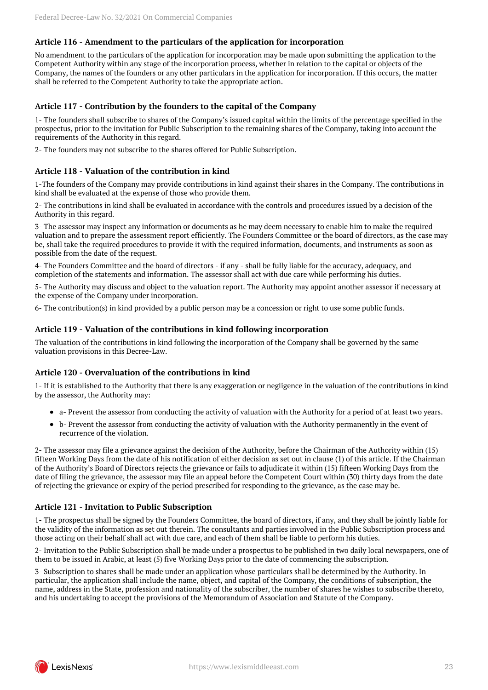## **Article 116 - Amendment to the particulars of the application for incorporation**

No amendment to the particulars of the application for incorporation may be made upon submitting the application to the Competent Authority within any stage of the incorporation process, whether in relation to the capital or objects of the Company, the names of the founders or any other particulars in the application for incorporation. If this occurs, the matter shall be referred to the Competent Authority to take the appropriate action.

### **Article 117 - Contribution by the founders to the capital of the Company**

1- The founders shall subscribe to shares of the Company's issued capital within the limits of the percentage specified in the prospectus, prior to the invitation for Public Subscription to the remaining shares of the Company, taking into account the requirements of the Authority in this regard.

2- The founders may not subscribe to the shares offered for Public Subscription.

### **Article 118 - Valuation of the contribution in kind**

1-The founders of the Company may provide contributions in kind against their shares in the Company. The contributions in kind shall be evaluated at the expense of those who provide them.

2- The contributions in kind shall be evaluated in accordance with the controls and procedures issued by a decision of the Authority in this regard.

3- The assessor may inspect any information or documents as he may deem necessary to enable him to make the required valuation and to prepare the assessment report efficiently. The Founders Committee or the board of directors, as the case may be, shall take the required procedures to provide it with the required information, documents, and instruments as soon as possible from the date of the request.

4- The Founders Committee and the board of directors - if any - shall be fully liable for the accuracy, adequacy, and completion of the statements and information. The assessor shall act with due care while performing his duties.

5- The Authority may discuss and object to the valuation report. The Authority may appoint another assessor if necessary at the expense of the Company under incorporation.

6- The contribution(s) in kind provided by a public person may be a concession or right to use some public funds.

#### **Article 119 - Valuation of the contributions in kind following incorporation**

The valuation of the contributions in kind following the incorporation of the Company shall be governed by the same valuation provisions in this Decree-Law.

#### **Article 120 - Overvaluation of the contributions in kind**

1- If it is established to the Authority that there is any exaggeration or negligence in the valuation of the contributions in kind by the assessor, the Authority may:

- a- Prevent the assessor from conducting the activity of valuation with the Authority for a period of at least two years.
- b- Prevent the assessor from conducting the activity of valuation with the Authority permanently in the event of recurrence of the violation.

2- The assessor may file a grievance against the decision of the Authority, before the Chairman of the Authority within (15) fifteen Working Days from the date of his notification of either decision as set out in clause (1) of this article. If the Chairman of the Authority's Board of Directors rejects the grievance or fails to adjudicate it within (15) fifteen Working Days from the date of filing the grievance, the assessor may file an appeal before the Competent Court within (30) thirty days from the date of rejecting the grievance or expiry of the period prescribed for responding to the grievance, as the case may be.

#### **Article 121 - Invitation to Public Subscription**

1- The prospectus shall be signed by the Founders Committee, the board of directors, if any, and they shall be jointly liable for the validity of the information as set out therein. The consultants and parties involved in the Public Subscription process and those acting on their behalf shall act with due care, and each of them shall be liable to perform his duties.

2- Invitation to the Public Subscription shall be made under a prospectus to be published in two daily local newspapers, one of them to be issued in Arabic, at least (5) five Working Days prior to the date of commencing the subscription.

3- Subscription to shares shall be made under an application whose particulars shall be determined by the Authority. In particular, the application shall include the name, object, and capital of the Company, the conditions of subscription, the name, address in the State, profession and nationality of the subscriber, the number of shares he wishes to subscribe thereto, and his undertaking to accept the provisions of the Memorandum of Association and Statute of the Company.

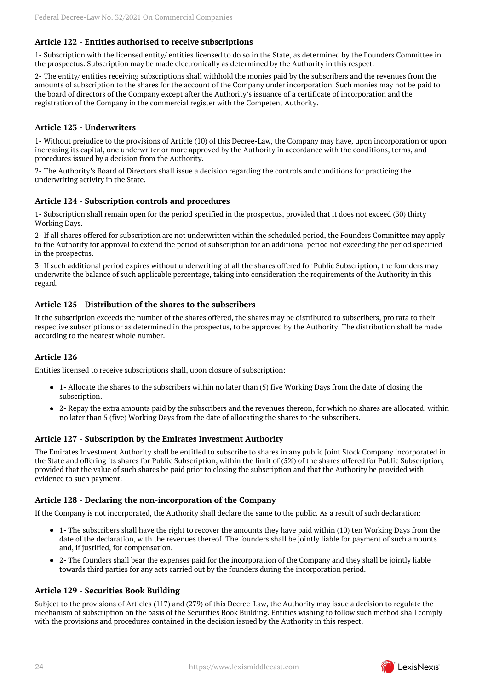## **Article 122 - Entities authorised to receive subscriptions**

1- Subscription with the licensed entity/ entities licensed to do so in the State, as determined by the Founders Committee in the prospectus. Subscription may be made electronically as determined by the Authority in this respect.

2- The entity/ entities receiving subscriptions shall withhold the monies paid by the subscribers and the revenues from the amounts of subscription to the shares for the account of the Company under incorporation. Such monies may not be paid to the board of directors of the Company except after the Authority's issuance of a certificate of incorporation and the registration of the Company in the commercial register with the Competent Authority.

## **Article 123 - Underwriters**

1- Without prejudice to the provisions of Article (10) of this Decree-Law, the Company may have, upon incorporation or upon increasing its capital, one underwriter or more approved by the Authority in accordance with the conditions, terms, and procedures issued by a decision from the Authority.

2- The Authority's Board of Directors shall issue a decision regarding the controls and conditions for practicing the underwriting activity in the State.

#### **Article 124 - Subscription controls and procedures**

1- Subscription shall remain open for the period specified in the prospectus, provided that it does not exceed (30) thirty Working Days.

2- If all shares offered for subscription are not underwritten within the scheduled period, the Founders Committee may apply to the Authority for approval to extend the period of subscription for an additional period not exceeding the period specified in the prospectus.

3- If such additional period expires without underwriting of all the shares offered for Public Subscription, the founders may underwrite the balance of such applicable percentage, taking into consideration the requirements of the Authority in this regard.

## **Article 125 - Distribution of the shares to the subscribers**

If the subscription exceeds the number of the shares offered, the shares may be distributed to subscribers, pro rata to their respective subscriptions or as determined in the prospectus, to be approved by the Authority. The distribution shall be made according to the nearest whole number.

## **Article 126**

Entities licensed to receive subscriptions shall, upon closure of subscription:

- 1- Allocate the shares to the subscribers within no later than (5) five Working Days from the date of closing the subscription.
- 2- Repay the extra amounts paid by the subscribers and the revenues thereon, for which no shares are allocated, within no later than 5 (five) Working Days from the date of allocating the shares to the subscribers.

#### **Article 127 - Subscription by the Emirates Investment Authority**

The Emirates Investment Authority shall be entitled to subscribe to shares in any public Joint Stock Company incorporated in the State and offering its shares for Public Subscription, within the limit of (5%) of the shares offered for Public Subscription, provided that the value of such shares be paid prior to closing the subscription and that the Authority be provided with evidence to such payment.

#### **Article 128 - Declaring the non-incorporation of the Company**

If the Company is not incorporated, the Authority shall declare the same to the public. As a result of such declaration:

- 1- The subscribers shall have the right to recover the amounts they have paid within (10) ten Working Days from the date of the declaration, with the revenues thereof. The founders shall be jointly liable for payment of such amounts and, if justified, for compensation.
- 2- The founders shall bear the expenses paid for the incorporation of the Company and they shall be jointly liable towards third parties for any acts carried out by the founders during the incorporation period.

#### **Article 129 - Securities Book Building**

Subject to the provisions of Articles (117) and (279) of this Decree-Law, the Authority may issue a decision to regulate the mechanism of subscription on the basis of the Securities Book Building. Entities wishing to follow such method shall comply with the provisions and procedures contained in the decision issued by the Authority in this respect.

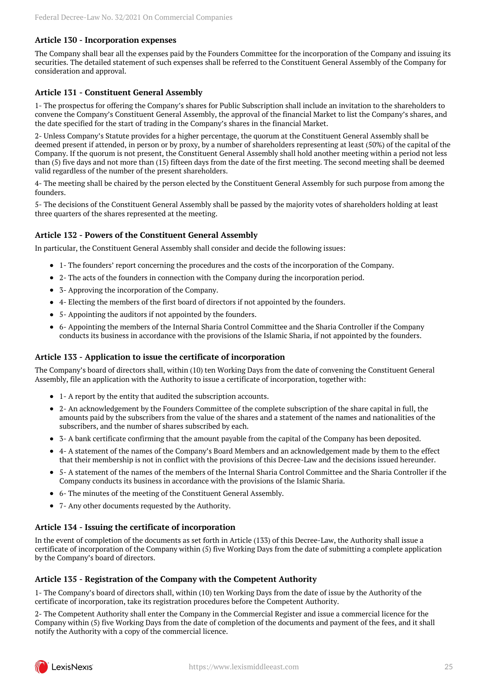#### **Article 130 - Incorporation expenses**

The Company shall bear all the expenses paid by the Founders Committee for the incorporation of the Company and issuing its securities. The detailed statement of such expenses shall be referred to the Constituent General Assembly of the Company for consideration and approval.

### **Article 131 - Constituent General Assembly**

1- The prospectus for offering the Company's shares for Public Subscription shall include an invitation to the shareholders to convene the Company's Constituent General Assembly, the approval of the financial Market to list the Company's shares, and the date specified for the start of trading in the Company's shares in the financial Market.

2- Unless Company's Statute provides for a higher percentage, the quorum at the Constituent General Assembly shall be deemed present if attended, in person or by proxy, by a number of shareholders representing at least (50%) of the capital of the Company. If the quorum is not present, the Constituent General Assembly shall hold another meeting within a period not less than (5) five days and not more than (15) fifteen days from the date of the first meeting. The second meeting shall be deemed valid regardless of the number of the present shareholders.

4- The meeting shall be chaired by the person elected by the Constituent General Assembly for such purpose from among the founders.

5- The decisions of the Constituent General Assembly shall be passed by the majority votes of shareholders holding at least three quarters of the shares represented at the meeting.

#### **Article 132 - Powers of the Constituent General Assembly**

In particular, the Constituent General Assembly shall consider and decide the following issues:

- 1- The founders' report concerning the procedures and the costs of the incorporation of the Company.
- 2- The acts of the founders in connection with the Company during the incorporation period.
- 3- Approving the incorporation of the Company.
- 4- Electing the members of the first board of directors if not appointed by the founders.
- 5- Appointing the auditors if not appointed by the founders.
- 6- Appointing the members of the Internal Sharia Control Committee and the Sharia Controller if the Company conducts its business in accordance with the provisions of the Islamic Sharia, if not appointed by the founders.

#### **Article 133 - Application to issue the certificate of incorporation**

The Company's board of directors shall, within (10) ten Working Days from the date of convening the Constituent General Assembly, file an application with the Authority to issue a certificate of incorporation, together with:

- 1- A report by the entity that audited the subscription accounts.
- 2- An acknowledgement by the Founders Committee of the complete subscription of the share capital in full, the amounts paid by the subscribers from the value of the shares and a statement of the names and nationalities of the subscribers, and the number of shares subscribed by each.
- 3- A bank certificate confirming that the amount payable from the capital of the Company has been deposited.
- 4- A statement of the names of the Company's Board Members and an acknowledgement made by them to the effect that their membership is not in conflict with the provisions of this Decree-Law and the decisions issued hereunder.
- 5- A statement of the names of the members of the Internal Sharia Control Committee and the Sharia Controller if the Company conducts its business in accordance with the provisions of the Islamic Sharia.
- 6- The minutes of the meeting of the Constituent General Assembly.
- 7- Any other documents requested by the Authority.

#### **Article 134 - Issuing the certificate of incorporation**

In the event of completion of the documents as set forth in Article (133) of this Decree-Law, the Authority shall issue a certificate of incorporation of the Company within (5) five Working Days from the date of submitting a complete application by the Company's board of directors.

#### **Article 135 - Registration of the Company with the Competent Authority**

1- The Company's board of directors shall, within (10) ten Working Days from the date of issue by the Authority of the certificate of incorporation, take its registration procedures before the Competent Authority.

2- The Competent Authority shall enter the Company in the Commercial Register and issue a commercial licence for the Company within (5) five Working Days from the date of completion of the documents and payment of the fees, and it shall notify the Authority with a copy of the commercial licence.

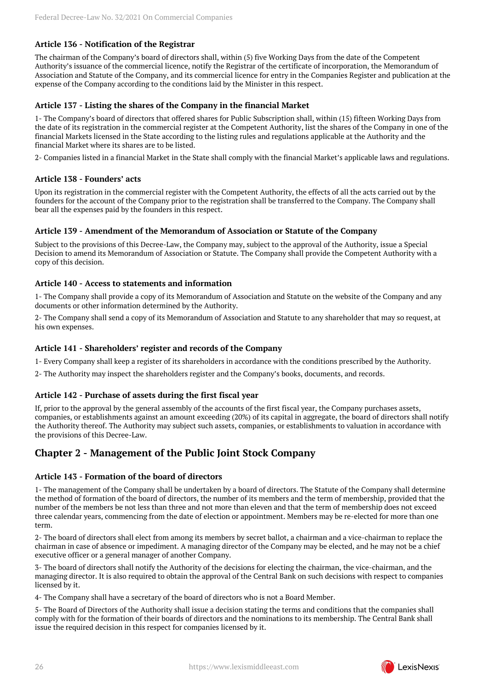## **Article 136 - Notification of the Registrar**

The chairman of the Company's board of directors shall, within (5) five Working Days from the date of the Competent Authority's issuance of the commercial licence, notify the Registrar of the certificate of incorporation, the Memorandum of Association and Statute of the Company, and its commercial licence for entry in the Companies Register and publication at the expense of the Company according to the conditions laid by the Minister in this respect.

## **Article 137 - Listing the shares of the Company in the financial Market**

1- The Company's board of directors that offered shares for Public Subscription shall, within (15) fifteen Working Days from the date of its registration in the commercial register at the Competent Authority, list the shares of the Company in one of the financial Markets licensed in the State according to the listing rules and regulations applicable at the Authority and the financial Market where its shares are to be listed.

2- Companies listed in a financial Market in the State shall comply with the financial Market's applicable laws and regulations.

#### **Article 138 - Founders' acts**

Upon its registration in the commercial register with the Competent Authority, the effects of all the acts carried out by the founders for the account of the Company prior to the registration shall be transferred to the Company. The Company shall bear all the expenses paid by the founders in this respect.

#### **Article 139 - Amendment of the Memorandum of Association or Statute of the Company**

Subject to the provisions of this Decree-Law, the Company may, subject to the approval of the Authority, issue a Special Decision to amend its Memorandum of Association or Statute. The Company shall provide the Competent Authority with a copy of this decision.

#### **Article 140 - Access to statements and information**

1- The Company shall provide a copy of its Memorandum of Association and Statute on the website of the Company and any documents or other information determined by the Authority.

2- The Company shall send a copy of its Memorandum of Association and Statute to any shareholder that may so request, at his own expenses.

### **Article 141 - Shareholders' register and records of the Company**

1- Every Company shall keep a register of its shareholders in accordance with the conditions prescribed by the Authority.

2- The Authority may inspect the shareholders register and the Company's books, documents, and records.

## **Article 142 - Purchase of assets during the first fiscal year**

If, prior to the approval by the general assembly of the accounts of the first fiscal year, the Company purchases assets, companies, or establishments against an amount exceeding (20%) of its capital in aggregate, the board of directors shall notify the Authority thereof. The Authority may subject such assets, companies, or establishments to valuation in accordance with the provisions of this Decree-Law.

## <span id="page-25-0"></span>**Chapter 2 - Management of the Public Joint Stock Company**

## **Article 143 - Formation of the board of directors**

1- The management of the Company shall be undertaken by a board of directors. The Statute of the Company shall determine the method of formation of the board of directors, the number of its members and the term of membership, provided that the number of the members be not less than three and not more than eleven and that the term of membership does not exceed three calendar years, commencing from the date of election or appointment. Members may be re-elected for more than one term.

2- The board of directors shall elect from among its members by secret ballot, a chairman and a vice-chairman to replace the chairman in case of absence or impediment. A managing director of the Company may be elected, and he may not be a chief executive officer or a general manager of another Company.

3- The board of directors shall notify the Authority of the decisions for electing the chairman, the vice-chairman, and the managing director. It is also required to obtain the approval of the Central Bank on such decisions with respect to companies licensed by it.

4- The Company shall have a secretary of the board of directors who is not a Board Member.

5- The Board of Directors of the Authority shall issue a decision stating the terms and conditions that the companies shall comply with for the formation of their boards of directors and the nominations to its membership. The Central Bank shall issue the required decision in this respect for companies licensed by it.

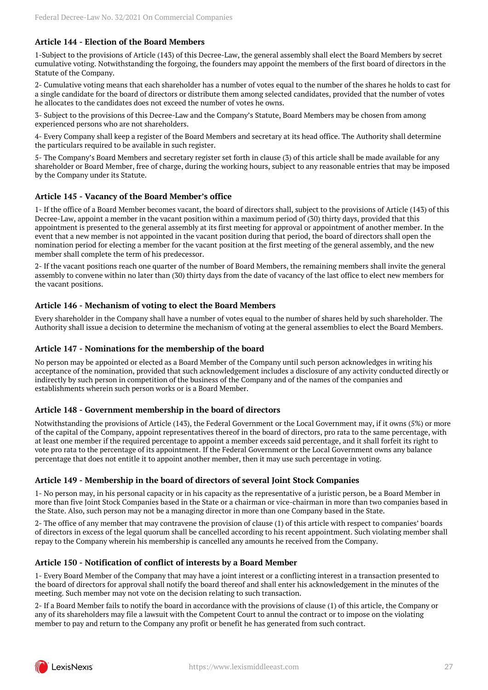## **Article 144 - Election of the Board Members**

1-Subject to the provisions of Article (143) of this Decree-Law, the general assembly shall elect the Board Members by secret cumulative voting. Notwithstanding the forgoing, the founders may appoint the members of the first board of directors in the Statute of the Company.

2- Cumulative voting means that each shareholder has a number of votes equal to the number of the shares he holds to cast for a single candidate for the board of directors or distribute them among selected candidates, provided that the number of votes he allocates to the candidates does not exceed the number of votes he owns.

3- Subject to the provisions of this Decree-Law and the Company's Statute, Board Members may be chosen from among experienced persons who are not shareholders.

4- Every Company shall keep a register of the Board Members and secretary at its head office. The Authority shall determine the particulars required to be available in such register.

5- The Company's Board Members and secretary register set forth in clause (3) of this article shall be made available for any shareholder or Board Member, free of charge, during the working hours, subject to any reasonable entries that may be imposed by the Company under its Statute.

#### **Article 145 - Vacancy of the Board Member's office**

1- If the office of a Board Member becomes vacant, the board of directors shall, subject to the provisions of Article (143) of this Decree-Law, appoint a member in the vacant position within a maximum period of (30) thirty days, provided that this appointment is presented to the general assembly at its first meeting for approval or appointment of another member. In the event that a new member is not appointed in the vacant position during that period, the board of directors shall open the nomination period for electing a member for the vacant position at the first meeting of the general assembly, and the new member shall complete the term of his predecessor.

2- If the vacant positions reach one quarter of the number of Board Members, the remaining members shall invite the general assembly to convene within no later than (30) thirty days from the date of vacancy of the last office to elect new members for the vacant positions.

#### **Article 146 - Mechanism of voting to elect the Board Members**

Every shareholder in the Company shall have a number of votes equal to the number of shares held by such shareholder. The Authority shall issue a decision to determine the mechanism of voting at the general assemblies to elect the Board Members.

### **Article 147 - Nominations for the membership of the board**

No person may be appointed or elected as a Board Member of the Company until such person acknowledges in writing his acceptance of the nomination, provided that such acknowledgement includes a disclosure of any activity conducted directly or indirectly by such person in competition of the business of the Company and of the names of the companies and establishments wherein such person works or is a Board Member.

#### **Article 148 - Government membership in the board of directors**

Notwithstanding the provisions of Article (143), the Federal Government or the Local Government may, if it owns (5%) or more of the capital of the Company, appoint representatives thereof in the board of directors, pro rata to the same percentage, with at least one member if the required percentage to appoint a member exceeds said percentage, and it shall forfeit its right to vote pro rata to the percentage of its appointment. If the Federal Government or the Local Government owns any balance percentage that does not entitle it to appoint another member, then it may use such percentage in voting.

#### **Article 149 - Membership in the board of directors of several Joint Stock Companies**

1- No person may, in his personal capacity or in his capacity as the representative of a juristic person, be a Board Member in more than five Joint Stock Companies based in the State or a chairman or vice-chairman in more than two companies based in the State. Also, such person may not be a managing director in more than one Company based in the State.

2- The office of any member that may contravene the provision of clause (1) of this article with respect to companies' boards of directors in excess of the legal quorum shall be cancelled according to his recent appointment. Such violating member shall repay to the Company wherein his membership is cancelled any amounts he received from the Company.

#### **Article 150 - Notification of conflict of interests by a Board Member**

1- Every Board Member of the Company that may have a joint interest or a conflicting interest in a transaction presented to the board of directors for approval shall notify the board thereof and shall enter his acknowledgement in the minutes of the meeting. Such member may not vote on the decision relating to such transaction.

2- If a Board Member fails to notify the board in accordance with the provisions of clause (1) of this article, the Company or any of its shareholders may file a lawsuit with the Competent Court to annul the contract or to impose on the violating member to pay and return to the Company any profit or benefit he has generated from such contract.

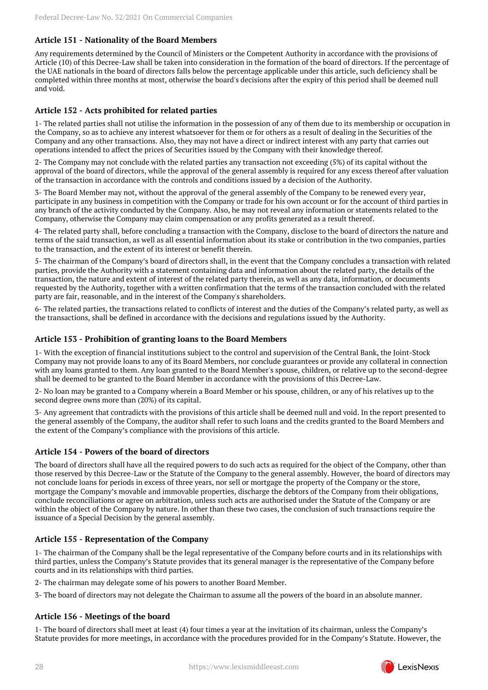## **Article 151 - Nationality of the Board Members**

Any requirements determined by the Council of Ministers or the Competent Authority in accordance with the provisions of Article (10) of this Decree-Law shall be taken into consideration in the formation of the board of directors. If the percentage of the UAE nationals in the board of directors falls below the percentage applicable under this article, such deficiency shall be completed within three months at most, otherwise the board's decisions after the expiry of this period shall be deemed null and void.

### **Article 152 - Acts prohibited for related parties**

1- The related parties shall not utilise the information in the possession of any of them due to its membership or occupation in the Company, so as to achieve any interest whatsoever for them or for others as a result of dealing in the Securities of the Company and any other transactions. Also, they may not have a direct or indirect interest with any party that carries out operations intended to affect the prices of Securities issued by the Company with their knowledge thereof.

2- The Company may not conclude with the related parties any transaction not exceeding (5%) of its capital without the approval of the board of directors, while the approval of the general assembly is required for any excess thereof after valuation of the transaction in accordance with the controls and conditions issued by a decision of the Authority.

3- The Board Member may not, without the approval of the general assembly of the Company to be renewed every year, participate in any business in competition with the Company or trade for his own account or for the account of third parties in any branch of the activity conducted by the Company. Also, he may not reveal any information or statements related to the Company, otherwise the Company may claim compensation or any profits generated as a result thereof.

4- The related party shall, before concluding a transaction with the Company, disclose to the board of directors the nature and terms of the said transaction, as well as all essential information about its stake or contribution in the two companies, parties to the transaction, and the extent of its interest or benefit therein.

5- The chairman of the Company's board of directors shall, in the event that the Company concludes a transaction with related parties, provide the Authority with a statement containing data and information about the related party, the details of the transaction, the nature and extent of interest of the related party therein, as well as any data, information, or documents requested by the Authority, together with a written confirmation that the terms of the transaction concluded with the related party are fair, reasonable, and in the interest of the Company's shareholders.

6- The related parties, the transactions related to conflicts of interest and the duties of the Company's related party, as well as the transactions, shall be defined in accordance with the decisions and regulations issued by the Authority.

#### **Article 153 - Prohibition of granting loans to the Board Members**

1- With the exception of financial institutions subject to the control and supervision of the Central Bank, the Joint-Stock Company may not provide loans to any of its Board Members, nor conclude guarantees or provide any collateral in connection with any loans granted to them. Any loan granted to the Board Member's spouse, children, or relative up to the second-degree shall be deemed to be granted to the Board Member in accordance with the provisions of this Decree-Law.

2- No loan may be granted to a Company wherein a Board Member or his spouse, children, or any of his relatives up to the second degree owns more than (20%) of its capital.

3- Any agreement that contradicts with the provisions of this article shall be deemed null and void. In the report presented to the general assembly of the Company, the auditor shall refer to such loans and the credits granted to the Board Members and the extent of the Company's compliance with the provisions of this article.

#### **Article 154 - Powers of the board of directors**

The board of directors shall have all the required powers to do such acts as required for the object of the Company, other than those reserved by this Decree-Law or the Statute of the Company to the general assembly. However, the board of directors may not conclude loans for periods in excess of three years, nor sell or mortgage the property of the Company or the store, mortgage the Company's movable and immovable properties, discharge the debtors of the Company from their obligations, conclude reconciliations or agree on arbitration, unless such acts are authorised under the Statute of the Company or are within the object of the Company by nature. In other than these two cases, the conclusion of such transactions require the issuance of a Special Decision by the general assembly.

#### **Article 155 - Representation of the Company**

1- The chairman of the Company shall be the legal representative of the Company before courts and in its relationships with third parties, unless the Company's Statute provides that its general manager is the representative of the Company before courts and in its relationships with third parties.

2- The chairman may delegate some of his powers to another Board Member.

3- The board of directors may not delegate the Chairman to assume all the powers of the board in an absolute manner.

#### **Article 156 - Meetings of the board**

1- The board of directors shall meet at least (4) four times a year at the invitation of its chairman, unless the Company's Statute provides for more meetings, in accordance with the procedures provided for in the Company's Statute. However, the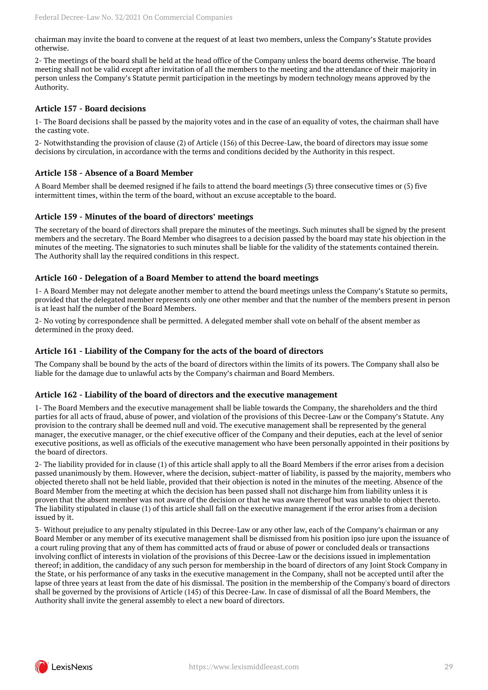chairman may invite the board to convene at the request of at least two members, unless the Company's Statute provides otherwise.

2- The meetings of the board shall be held at the head office of the Company unless the board deems otherwise. The board meeting shall not be valid except after invitation of all the members to the meeting and the attendance of their majority in person unless the Company's Statute permit participation in the meetings by modern technology means approved by the Authority.

## **Article 157 - Board decisions**

1- The Board decisions shall be passed by the majority votes and in the case of an equality of votes, the chairman shall have the casting vote.

2- Notwithstanding the provision of clause (2) of Article (156) of this Decree-Law, the board of directors may issue some decisions by circulation, in accordance with the terms and conditions decided by the Authority in this respect.

#### **Article 158 - Absence of a Board Member**

A Board Member shall be deemed resigned if he fails to attend the board meetings (3) three consecutive times or (5) five intermittent times, within the term of the board, without an excuse acceptable to the board.

#### **Article 159 - Minutes of the board of directors' meetings**

The secretary of the board of directors shall prepare the minutes of the meetings. Such minutes shall be signed by the present members and the secretary. The Board Member who disagrees to a decision passed by the board may state his objection in the minutes of the meeting. The signatories to such minutes shall be liable for the validity of the statements contained therein. The Authority shall lay the required conditions in this respect.

#### **Article 160 - Delegation of a Board Member to attend the board meetings**

1- A Board Member may not delegate another member to attend the board meetings unless the Company's Statute so permits, provided that the delegated member represents only one other member and that the number of the members present in person is at least half the number of the Board Members.

2- No voting by correspondence shall be permitted. A delegated member shall vote on behalf of the absent member as determined in the proxy deed.

## **Article 161 - Liability of the Company for the acts of the board of directors**

The Company shall be bound by the acts of the board of directors within the limits of its powers. The Company shall also be liable for the damage due to unlawful acts by the Company's chairman and Board Members.

#### **Article 162 - Liability of the board of directors and the executive management**

1- The Board Members and the executive management shall be liable towards the Company, the shareholders and the third parties for all acts of fraud, abuse of power, and violation of the provisions of this Decree-Law or the Company's Statute. Any provision to the contrary shall be deemed null and void. The executive management shall be represented by the general manager, the executive manager, or the chief executive officer of the Company and their deputies, each at the level of senior executive positions, as well as officials of the executive management who have been personally appointed in their positions by the board of directors.

2- The liability provided for in clause (1) of this article shall apply to all the Board Members if the error arises from a decision passed unanimously by them. However, where the decision, subject-matter of liability, is passed by the majority, members who objected thereto shall not be held liable, provided that their objection is noted in the minutes of the meeting. Absence of the Board Member from the meeting at which the decision has been passed shall not discharge him from liability unless it is proven that the absent member was not aware of the decision or that he was aware thereof but was unable to object thereto. The liability stipulated in clause (1) of this article shall fall on the executive management if the error arises from a decision issued by it.

3- Without prejudice to any penalty stipulated in this Decree-Law or any other law, each of the Company's chairman or any Board Member or any member of its executive management shall be dismissed from his position ipso jure upon the issuance of a court ruling proving that any of them has committed acts of fraud or abuse of power or concluded deals or transactions involving conflict of interests in violation of the provisions of this Decree-Law or the decisions issued in implementation thereof; in addition, the candidacy of any such person for membership in the board of directors of any Joint Stock Company in the State, or his performance of any tasks in the executive management in the Company, shall not be accepted until after the lapse of three years at least from the date of his dismissal. The position in the membership of the Company's board of directors shall be governed by the provisions of Article (145) of this Decree-Law. In case of dismissal of all the Board Members, the Authority shall invite the general assembly to elect a new board of directors.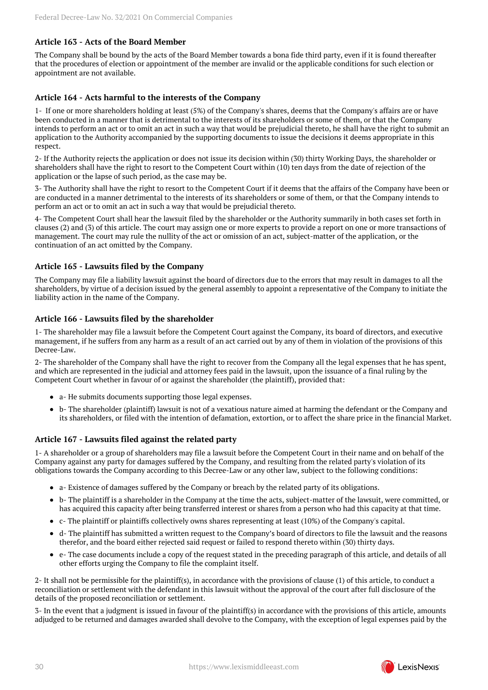## **Article 163 - Acts of the Board Member**

The Company shall be bound by the acts of the Board Member towards a bona fide third party, even if it is found thereafter that the procedures of election or appointment of the member are invalid or the applicable conditions for such election or appointment are not available.

## **Article 164 - Acts harmful to the interests of the Company**

1- If one or more shareholders holding at least (5%) of the Company's shares, deems that the Company's affairs are or have been conducted in a manner that is detrimental to the interests of its shareholders or some of them, or that the Company intends to perform an act or to omit an act in such a way that would be prejudicial thereto, he shall have the right to submit an application to the Authority accompanied by the supporting documents to issue the decisions it deems appropriate in this respect.

2- If the Authority rejects the application or does not issue its decision within (30) thirty Working Days, the shareholder or shareholders shall have the right to resort to the Competent Court within (10) ten days from the date of rejection of the application or the lapse of such period, as the case may be.

3- The Authority shall have the right to resort to the Competent Court if it deems that the affairs of the Company have been or are conducted in a manner detrimental to the interests of its shareholders or some of them, or that the Company intends to perform an act or to omit an act in such a way that would be prejudicial thereto.

4- The Competent Court shall hear the lawsuit filed by the shareholder or the Authority summarily in both cases set forth in clauses (2) and (3) of this article. The court may assign one or more experts to provide a report on one or more transactions of management. The court may rule the nullity of the act or omission of an act, subject-matter of the application, or the continuation of an act omitted by the Company.

#### **Article 165 - Lawsuits filed by the Company**

The Company may file a liability lawsuit against the board of directors due to the errors that may result in damages to all the shareholders, by virtue of a decision issued by the general assembly to appoint a representative of the Company to initiate the liability action in the name of the Company.

#### **Article 166 - Lawsuits filed by the shareholder**

1- The shareholder may file a lawsuit before the Competent Court against the Company, its board of directors, and executive management, if he suffers from any harm as a result of an act carried out by any of them in violation of the provisions of this Decree-Law.

2- The shareholder of the Company shall have the right to recover from the Company all the legal expenses that he has spent, and which are represented in the judicial and attorney fees paid in the lawsuit, upon the issuance of a final ruling by the Competent Court whether in favour of or against the shareholder (the plaintiff), provided that:

- a- He submits documents supporting those legal expenses.
- b- The shareholder (plaintiff) lawsuit is not of a vexatious nature aimed at harming the defendant or the Company and its shareholders, or filed with the intention of defamation, extortion, or to affect the share price in the financial Market.

#### **Article 167 - Lawsuits filed against the related party**

1- A shareholder or a group of shareholders may file a lawsuit before the Competent Court in their name and on behalf of the Company against any party for damages suffered by the Company, and resulting from the related party's violation of its obligations towards the Company according to this Decree-Law or any other law, subject to the following conditions:

- a- Existence of damages suffered by the Company or breach by the related party of its obligations.
- b- The plaintiff is a shareholder in the Company at the time the acts, subject-matter of the lawsuit, were committed, or has acquired this capacity after being transferred interest or shares from a person who had this capacity at that time.
- c- The plaintiff or plaintiffs collectively owns shares representing at least (10%) of the Company's capital.
- d- The plaintiff has submitted a written request to the Company's board of directors to file the lawsuit and the reasons therefor, and the board either rejected said request or failed to respond thereto within (30) thirty days.
- e- The case documents include a copy of the request stated in the preceding paragraph of this article, and details of all other efforts urging the Company to file the complaint itself.

2- It shall not be permissible for the plaintiff(s), in accordance with the provisions of clause (1) of this article, to conduct a reconciliation or settlement with the defendant in this lawsuit without the approval of the court after full disclosure of the details of the proposed reconciliation or settlement.

3- In the event that a judgment is issued in favour of the plaintiff(s) in accordance with the provisions of this article, amounts adjudged to be returned and damages awarded shall devolve to the Company, with the exception of legal expenses paid by the

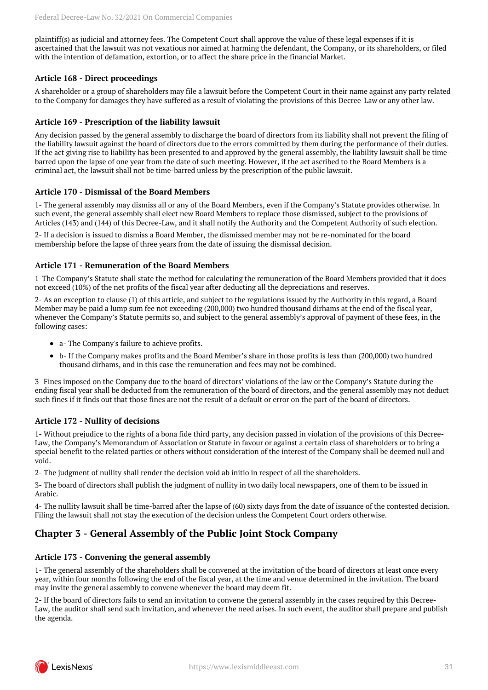plaintiff(s) as judicial and attorney fees. The Competent Court shall approve the value of these legal expenses if it is ascertained that the lawsuit was not vexatious nor aimed at harming the defendant, the Company, or its shareholders, or filed with the intention of defamation, extortion, or to affect the share price in the financial Market.

## **Article 168 - Direct proceedings**

A shareholder or a group of shareholders may file a lawsuit before the Competent Court in their name against any party related to the Company for damages they have suffered as a result of violating the provisions of this Decree-Law or any other law.

#### **Article 169 - Prescription of the liability lawsuit**

Any decision passed by the general assembly to discharge the board of directors from its liability shall not prevent the filing of the liability lawsuit against the board of directors due to the errors committed by them during the performance of their duties. If the act giving rise to liability has been presented to and approved by the general assembly, the liability lawsuit shall be timebarred upon the lapse of one year from the date of such meeting. However, if the act ascribed to the Board Members is a criminal act, the lawsuit shall not be time-barred unless by the prescription of the public lawsuit.

#### **Article 170 - Dismissal of the Board Members**

1- The general assembly may dismiss all or any of the Board Members, even if the Company's Statute provides otherwise. In such event, the general assembly shall elect new Board Members to replace those dismissed, subject to the provisions of Articles (143) and (144) of this Decree-Law, and it shall notify the Authority and the Competent Authority of such election.

2- If a decision is issued to dismiss a Board Member, the dismissed member may not be re-nominated for the board membership before the lapse of three years from the date of issuing the dismissal decision.

#### **Article 171 - Remuneration of the Board Members**

1-The Company's Statute shall state the method for calculating the remuneration of the Board Members provided that it does not exceed (10%) of the net profits of the fiscal year after deducting all the depreciations and reserves.

2- As an exception to clause (1) of this article, and subject to the regulations issued by the Authority in this regard, a Board Member may be paid a lump sum fee not exceeding (200,000) two hundred thousand dirhams at the end of the fiscal year, whenever the Company's Statute permits so, and subject to the general assembly's approval of payment of these fees, in the following cases:

- a- The Company's failure to achieve profits.
- b- If the Company makes profits and the Board Member's share in those profits is less than (200,000) two hundred thousand dirhams, and in this case the remuneration and fees may not be combined.

3- Fines imposed on the Company due to the board of directors' violations of the law or the Company's Statute during the ending fiscal year shall be deducted from the remuneration of the board of directors, and the general assembly may not deduct such fines if it finds out that those fines are not the result of a default or error on the part of the board of directors.

## **Article 172 - Nullity of decisions**

1- Without prejudice to the rights of a bona fide third party, any decision passed in violation of the provisions of this Decree-Law, the Company's Memorandum of Association or Statute in favour or against a certain class of shareholders or to bring a special benefit to the related parties or others without consideration of the interest of the Company shall be deemed null and void.

2- The judgment of nullity shall render the decision void ab initio in respect of all the shareholders.

3- The board of directors shall publish the judgment of nullity in two daily local newspapers, one of them to be issued in Arabic.

4- The nullity lawsuit shall be time-barred after the lapse of (60) sixty days from the date of issuance of the contested decision. Filing the lawsuit shall not stay the execution of the decision unless the Competent Court orders otherwise.

## <span id="page-30-0"></span>**Chapter 3 - General Assembly of the Public Joint Stock Company**

#### **Article 173 - Convening the general assembly**

1- The general assembly of the shareholders shall be convened at the invitation of the board of directors at least once every year, within four months following the end of the fiscal year, at the time and venue determined in the invitation. The board may invite the general assembly to convene whenever the board may deem fit.

2- If the board of directors fails to send an invitation to convene the general assembly in the cases required by this Decree-Law, the auditor shall send such invitation, and whenever the need arises. In such event, the auditor shall prepare and publish the agenda.

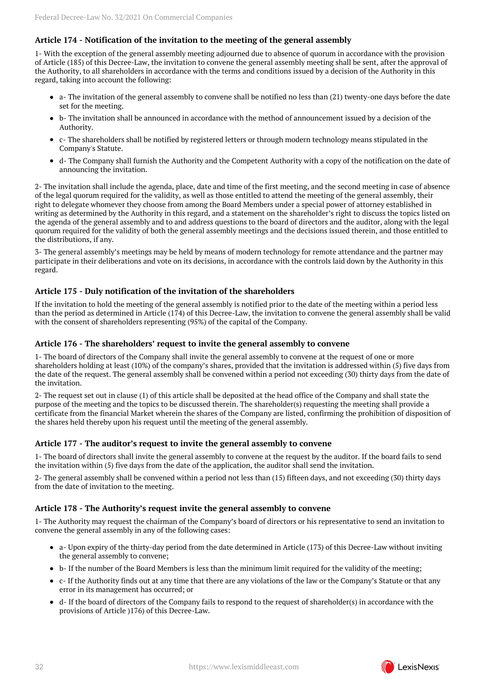## **Article 174 - Notification of the invitation to the meeting of the general assembly**

1- With the exception of the general assembly meeting adjourned due to absence of quorum in accordance with the provision of Article (185) of this Decree-Law, the invitation to convene the general assembly meeting shall be sent, after the approval of the Authority, to all shareholders in accordance with the terms and conditions issued by a decision of the Authority in this regard, taking into account the following:

- $\bullet$  a- The invitation of the general assembly to convene shall be notified no less than (21) twenty-one days before the date set for the meeting.
- b- The invitation shall be announced in accordance with the method of announcement issued by a decision of the Authority.
- c- The shareholders shall be notified by registered letters or through modern technology means stipulated in the Company's Statute.
- d- The Company shall furnish the Authority and the Competent Authority with a copy of the notification on the date of announcing the invitation.

2- The invitation shall include the agenda, place, date and time of the first meeting, and the second meeting in case of absence of the legal quorum required for the validity, as well as those entitled to attend the meeting of the general assembly, their right to delegate whomever they choose from among the Board Members under a special power of attorney established in writing as determined by the Authority in this regard, and a statement on the shareholder's right to discuss the topics listed on the agenda of the general assembly and to and address questions to the board of directors and the auditor, along with the legal quorum required for the validity of both the general assembly meetings and the decisions issued therein, and those entitled to the distributions, if any.

3- The general assembly's meetings may be held by means of modern technology for remote attendance and the partner may participate in their deliberations and vote on its decisions, in accordance with the controls laid down by the Authority in this regard.

#### **Article 175 - Duly notification of the invitation of the shareholders**

If the invitation to hold the meeting of the general assembly is notified prior to the date of the meeting within a period less than the period as determined in Article (174) of this Decree-Law, the invitation to convene the general assembly shall be valid with the consent of shareholders representing (95%) of the capital of the Company.

#### **Article 176 - The shareholders' request to invite the general assembly to convene**

1- The board of directors of the Company shall invite the general assembly to convene at the request of one or more shareholders holding at least (10%) of the company's shares, provided that the invitation is addressed within (5) five days from the date of the request. The general assembly shall be convened within a period not exceeding (30) thirty days from the date of the invitation.

2- The request set out in clause (1) of this article shall be deposited at the head office of the Company and shall state the purpose of the meeting and the topics to be discussed therein. The shareholder(s) requesting the meeting shall provide a certificate from the financial Market wherein the shares of the Company are listed, confirming the prohibition of disposition of the shares held thereby upon his request until the meeting of the general assembly.

#### **Article 177 - The auditor's request to invite the general assembly to convene**

1- The board of directors shall invite the general assembly to convene at the request by the auditor. If the board fails to send the invitation within (5) five days from the date of the application, the auditor shall send the invitation.

2- The general assembly shall be convened within a period not less than (15) fifteen days, and not exceeding (30) thirty days from the date of invitation to the meeting.

#### **Article 178 - The Authority's request invite the general assembly to convene**

1- The Authority may request the chairman of the Company's board of directors or his representative to send an invitation to convene the general assembly in any of the following cases:

- a- Upon expiry of the thirty-day period from the date determined in Article (173) of this Decree-Law without inviting the general assembly to convene;
- b- If the number of the Board Members is less than the minimum limit required for the validity of the meeting;
- c- If the Authority finds out at any time that there are any violations of the law or the Company's Statute or that any  $\bullet$ error in its management has occurred; or
- d- If the board of directors of the Company fails to respond to the request of shareholder(s) in accordance with the provisions of Article )176) of this Decree-Law.

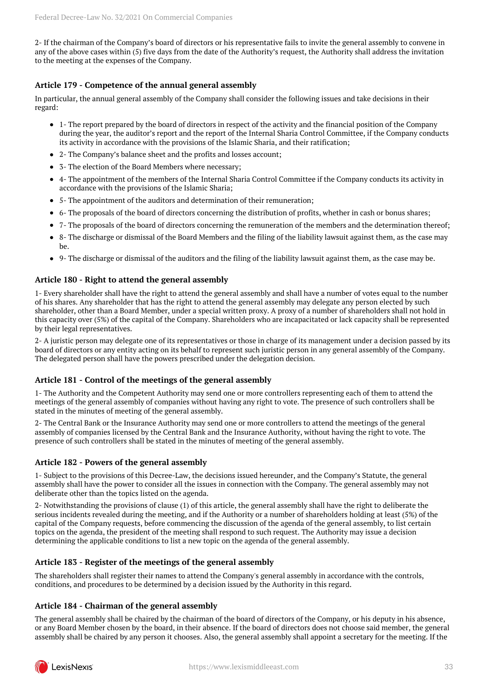2- If the chairman of the Company's board of directors or his representative fails to invite the general assembly to convene in any of the above cases within (5) five days from the date of the Authority's request, the Authority shall address the invitation to the meeting at the expenses of the Company.

## **Article 179 - Competence of the annual general assembly**

In particular, the annual general assembly of the Company shall consider the following issues and take decisions in their regard:

- 1- The report prepared by the board of directors in respect of the activity and the financial position of the Company during the year, the auditor's report and the report of the Internal Sharia Control Committee, if the Company conducts its activity in accordance with the provisions of the Islamic Sharia, and their ratification;
- 2- The Company's balance sheet and the profits and losses account;
- 3- The election of the Board Members where necessary;
- 4- The appointment of the members of the Internal Sharia Control Committee if the Company conducts its activity in accordance with the provisions of the Islamic Sharia;
- 5- The appointment of the auditors and determination of their remuneration;
- 6- The proposals of the board of directors concerning the distribution of profits, whether in cash or bonus shares;
- 7- The proposals of the board of directors concerning the remuneration of the members and the determination thereof;
- 8- The discharge or dismissal of the Board Members and the filing of the liability lawsuit against them, as the case may be.
- 9- The discharge or dismissal of the auditors and the filing of the liability lawsuit against them, as the case may be.

## **Article 180 - Right to attend the general assembly**

1- Every shareholder shall have the right to attend the general assembly and shall have a number of votes equal to the number of his shares. Any shareholder that has the right to attend the general assembly may delegate any person elected by such shareholder, other than a Board Member, under a special written proxy. A proxy of a number of shareholders shall not hold in this capacity over (5%) of the capital of the Company. Shareholders who are incapacitated or lack capacity shall be represented by their legal representatives.

2- A juristic person may delegate one of its representatives or those in charge of its management under a decision passed by its board of directors or any entity acting on its behalf to represent such juristic person in any general assembly of the Company. The delegated person shall have the powers prescribed under the delegation decision.

## **Article 181 - Control of the meetings of the general assembly**

1- The Authority and the Competent Authority may send one or more controllers representing each of them to attend the meetings of the general assembly of companies without having any right to vote. The presence of such controllers shall be stated in the minutes of meeting of the general assembly.

2- The Central Bank or the Insurance Authority may send one or more controllers to attend the meetings of the general assembly of companies licensed by the Central Bank and the Insurance Authority, without having the right to vote. The presence of such controllers shall be stated in the minutes of meeting of the general assembly.

## **Article 182 - Powers of the general assembly**

1- Subject to the provisions of this Decree-Law, the decisions issued hereunder, and the Company's Statute, the general assembly shall have the power to consider all the issues in connection with the Company. The general assembly may not deliberate other than the topics listed on the agenda.

2- Notwithstanding the provisions of clause (1) of this article, the general assembly shall have the right to deliberate the serious incidents revealed during the meeting, and if the Authority or a number of shareholders holding at least (5%) of the capital of the Company requests, before commencing the discussion of the agenda of the general assembly, to list certain topics on the agenda, the president of the meeting shall respond to such request. The Authority may issue a decision determining the applicable conditions to list a new topic on the agenda of the general assembly.

## **Article 183 - Register of the meetings of the general assembly**

The shareholders shall register their names to attend the Company's general assembly in accordance with the controls, conditions, and procedures to be determined by a decision issued by the Authority in this regard.

## **Article 184 - Chairman of the general assembly**

The general assembly shall be chaired by the chairman of the board of directors of the Company, or his deputy in his absence, or any Board Member chosen by the board, in their absence. If the board of directors does not choose said member, the general assembly shall be chaired by any person it chooses. Also, the general assembly shall appoint a secretary for the meeting. If the

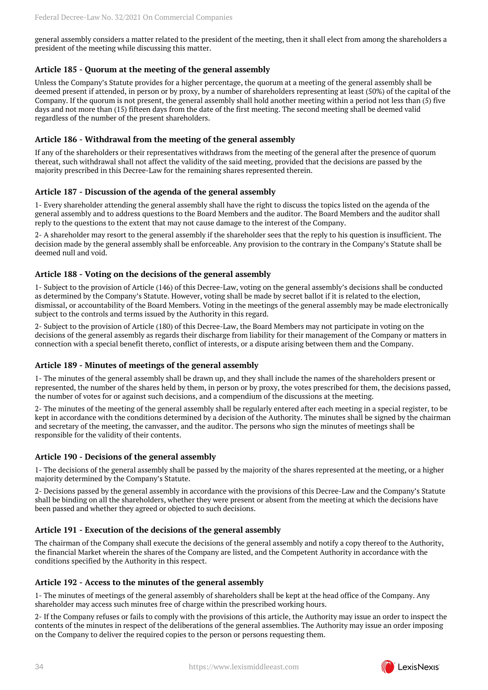general assembly considers a matter related to the president of the meeting, then it shall elect from among the shareholders a president of the meeting while discussing this matter.

## **Article 185 - Quorum at the meeting of the general assembly**

Unless the Company's Statute provides for a higher percentage, the quorum at a meeting of the general assembly shall be deemed present if attended, in person or by proxy, by a number of shareholders representing at least (50%) of the capital of the Company. If the quorum is not present, the general assembly shall hold another meeting within a period not less than (5) five days and not more than (15) fifteen days from the date of the first meeting. The second meeting shall be deemed valid regardless of the number of the present shareholders.

### **Article 186 - Withdrawal from the meeting of the general assembly**

If any of the shareholders or their representatives withdraws from the meeting of the general after the presence of quorum thereat, such withdrawal shall not affect the validity of the said meeting, provided that the decisions are passed by the majority prescribed in this Decree-Law for the remaining shares represented therein.

#### **Article 187 - Discussion of the agenda of the general assembly**

1- Every shareholder attending the general assembly shall have the right to discuss the topics listed on the agenda of the general assembly and to address questions to the Board Members and the auditor. The Board Members and the auditor shall reply to the questions to the extent that may not cause damage to the interest of the Company.

2- A shareholder may resort to the general assembly if the shareholder sees that the reply to his question is insufficient. The decision made by the general assembly shall be enforceable. Any provision to the contrary in the Company's Statute shall be deemed null and void.

#### **Article 188 - Voting on the decisions of the general assembly**

1- Subject to the provision of Article (146) of this Decree-Law, voting on the general assembly's decisions shall be conducted as determined by the Company's Statute. However, voting shall be made by secret ballot if it is related to the election, dismissal, or accountability of the Board Members. Voting in the meetings of the general assembly may be made electronically subject to the controls and terms issued by the Authority in this regard.

2- Subject to the provision of Article (180) of this Decree-Law, the Board Members may not participate in voting on the decisions of the general assembly as regards their discharge from liability for their management of the Company or matters in connection with a special benefit thereto, conflict of interests, or a dispute arising between them and the Company.

#### **Article 189 - Minutes of meetings of the general assembly**

1- The minutes of the general assembly shall be drawn up, and they shall include the names of the shareholders present or represented, the number of the shares held by them, in person or by proxy, the votes prescribed for them, the decisions passed, the number of votes for or against such decisions, and a compendium of the discussions at the meeting.

2- The minutes of the meeting of the general assembly shall be regularly entered after each meeting in a special register, to be kept in accordance with the conditions determined by a decision of the Authority. The minutes shall be signed by the chairman and secretary of the meeting, the canvasser, and the auditor. The persons who sign the minutes of meetings shall be responsible for the validity of their contents.

## **Article 190 - Decisions of the general assembly**

1- The decisions of the general assembly shall be passed by the majority of the shares represented at the meeting, or a higher majority determined by the Company's Statute.

2- Decisions passed by the general assembly in accordance with the provisions of this Decree-Law and the Company's Statute shall be binding on all the shareholders, whether they were present or absent from the meeting at which the decisions have been passed and whether they agreed or objected to such decisions.

## **Article 191 - Execution of the decisions of the general assembly**

The chairman of the Company shall execute the decisions of the general assembly and notify a copy thereof to the Authority, the financial Market wherein the shares of the Company are listed, and the Competent Authority in accordance with the conditions specified by the Authority in this respect.

#### **Article 192 - Access to the minutes of the general assembly**

1- The minutes of meetings of the general assembly of shareholders shall be kept at the head office of the Company. Any shareholder may access such minutes free of charge within the prescribed working hours.

2- If the Company refuses or fails to comply with the provisions of this article, the Authority may issue an order to inspect the contents of the minutes in respect of the deliberations of the general assemblies. The Authority may issue an order imposing on the Company to deliver the required copies to the person or persons requesting them.

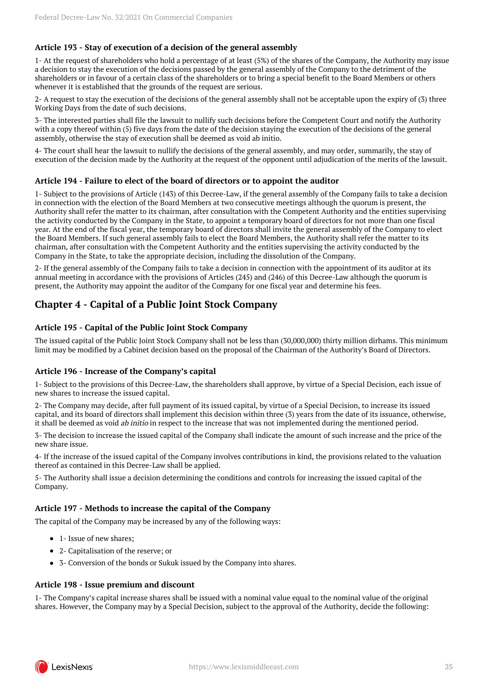## **Article 193 - Stay of execution of a decision of the general assembly**

1- At the request of shareholders who hold a percentage of at least (5%) of the shares of the Company, the Authority may issue a decision to stay the execution of the decisions passed by the general assembly of the Company to the detriment of the shareholders or in favour of a certain class of the shareholders or to bring a special benefit to the Board Members or others whenever it is established that the grounds of the request are serious.

2- A request to stay the execution of the decisions of the general assembly shall not be acceptable upon the expiry of (3) three Working Days from the date of such decisions.

3- The interested parties shall file the lawsuit to nullify such decisions before the Competent Court and notify the Authority with a copy thereof within (5) five days from the date of the decision staying the execution of the decisions of the general assembly, otherwise the stay of execution shall be deemed as void ab initio.

4- The court shall hear the lawsuit to nullify the decisions of the general assembly, and may order, summarily, the stay of execution of the decision made by the Authority at the request of the opponent until adjudication of the merits of the lawsuit.

#### **Article 194 - Failure to elect of the board of directors or to appoint the auditor**

1- Subject to the provisions of Article (143) of this Decree-Law, if the general assembly of the Company fails to take a decision in connection with the election of the Board Members at two consecutive meetings although the quorum is present, the Authority shall refer the matter to its chairman, after consultation with the Competent Authority and the entities supervising the activity conducted by the Company in the State, to appoint a temporary board of directors for not more than one fiscal year. At the end of the fiscal year, the temporary board of directors shall invite the general assembly of the Company to elect the Board Members. If such general assembly fails to elect the Board Members, the Authority shall refer the matter to its chairman, after consultation with the Competent Authority and the entities supervising the activity conducted by the Company in the State, to take the appropriate decision, including the dissolution of the Company.

2- If the general assembly of the Company fails to take a decision in connection with the appointment of its auditor at its annual meeting in accordance with the provisions of Articles (245) and (246) of this Decree-Law although the quorum is present, the Authority may appoint the auditor of the Company for one fiscal year and determine his fees.

## <span id="page-34-0"></span>**Chapter 4 - Capital of a Public Joint Stock Company**

#### **Article 195 - Capital of the Public Joint Stock Company**

The issued capital of the Public Joint Stock Company shall not be less than (30,000,000) thirty million dirhams. This minimum limit may be modified by a Cabinet decision based on the proposal of the Chairman of the Authority's Board of Directors.

#### **Article 196 - Increase of the Company's capital**

1- Subject to the provisions of this Decree-Law, the shareholders shall approve, by virtue of a Special Decision, each issue of new shares to increase the issued capital.

2- The Company may decide, after full payment of its issued capital, by virtue of a Special Decision, to increase its issued capital, and its board of directors shall implement this decision within three (3) years from the date of its issuance, otherwise, it shall be deemed as void *ab initio* in respect to the increase that was not implemented during the mentioned period.

3- The decision to increase the issued capital of the Company shall indicate the amount of such increase and the price of the new share issue.

4- If the increase of the issued capital of the Company involves contributions in kind, the provisions related to the valuation thereof as contained in this Decree-Law shall be applied.

5- The Authority shall issue a decision determining the conditions and controls for increasing the issued capital of the Company.

## **Article 197 - Methods to increase the capital of the Company**

The capital of the Company may be increased by any of the following ways:

- 1- Issue of new shares;
- 2- Capitalisation of the reserve; or
- 3- Conversion of the bonds or Sukuk issued by the Company into shares.

#### **Article 198 - Issue premium and discount**

1- The Company's capital increase shares shall be issued with a nominal value equal to the nominal value of the original shares. However, the Company may by a Special Decision, subject to the approval of the Authority, decide the following:

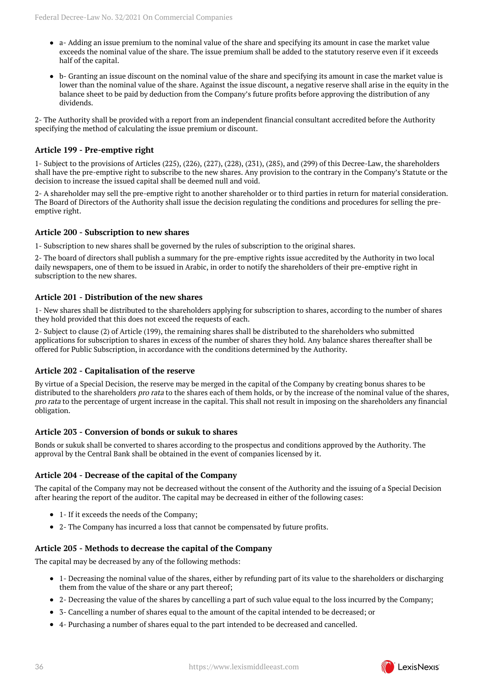- a- Adding an issue premium to the nominal value of the share and specifying its amount in case the market value exceeds the nominal value of the share. The issue premium shall be added to the statutory reserve even if it exceeds half of the capital.
- b- Granting an issue discount on the nominal value of the share and specifying its amount in case the market value is lower than the nominal value of the share. Against the issue discount, a negative reserve shall arise in the equity in the balance sheet to be paid by deduction from the Company's future profits before approving the distribution of any dividends.

2- The Authority shall be provided with a report from an independent financial consultant accredited before the Authority specifying the method of calculating the issue premium or discount.

## **Article 199 - Pre-emptive right**

1- Subject to the provisions of Articles (225), (226), (227), (228), (231), (285), and (299) of this Decree-Law, the shareholders shall have the pre-emptive right to subscribe to the new shares. Any provision to the contrary in the Company's Statute or the decision to increase the issued capital shall be deemed null and void.

2- A shareholder may sell the pre-emptive right to another shareholder or to third parties in return for material consideration. The Board of Directors of the Authority shall issue the decision regulating the conditions and procedures for selling the preemptive right.

## **Article 200 - Subscription to new shares**

1- Subscription to new shares shall be governed by the rules of subscription to the original shares.

2- The board of directors shall publish a summary for the pre-emptive rights issue accredited by the Authority in two local daily newspapers, one of them to be issued in Arabic, in order to notify the shareholders of their pre-emptive right in subscription to the new shares.

## **Article 201 - Distribution of the new shares**

1- New shares shall be distributed to the shareholders applying for subscription to shares, according to the number of shares they hold provided that this does not exceed the requests of each.

2- Subject to clause (2) of Article (199), the remaining shares shall be distributed to the shareholders who submitted applications for subscription to shares in excess of the number of shares they hold. Any balance shares thereafter shall be offered for Public Subscription, in accordance with the conditions determined by the Authority.

## **Article 202 - Capitalisation of the reserve**

By virtue of a Special Decision, the reserve may be merged in the capital of the Company by creating bonus shares to be distributed to the shareholders *pro rata* to the shares each of them holds, or by the increase of the nominal value of the shares, pro rata to the percentage of urgent increase in the capital. This shall not result in imposing on the shareholders any financial obligation.

#### **Article 203 - Conversion of bonds or sukuk to shares**

Bonds or sukuk shall be converted to shares according to the prospectus and conditions approved by the Authority. The approval by the Central Bank shall be obtained in the event of companies licensed by it.

#### **Article 204 - Decrease of the capital of the Company**

The capital of the Company may not be decreased without the consent of the Authority and the issuing of a Special Decision after hearing the report of the auditor. The capital may be decreased in either of the following cases:

- 1- If it exceeds the needs of the Company;
- 2- The Company has incurred a loss that cannot be compensated by future profits.

## **Article 205 - Methods to decrease the capital of the Company**

The capital may be decreased by any of the following methods:

- 1- Decreasing the nominal value of the shares, either by refunding part of its value to the shareholders or discharging them from the value of the share or any part thereof;
- 2- Decreasing the value of the shares by cancelling a part of such value equal to the loss incurred by the Company;
- 3- Cancelling a number of shares equal to the amount of the capital intended to be decreased; or
- 4- Purchasing a number of shares equal to the part intended to be decreased and cancelled.

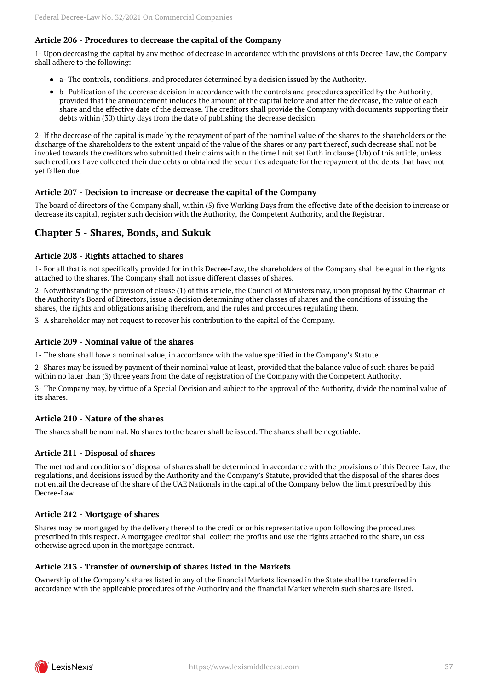## **Article 206 - Procedures to decrease the capital of the Company**

1- Upon decreasing the capital by any method of decrease in accordance with the provisions of this Decree-Law, the Company shall adhere to the following:

- a- The controls, conditions, and procedures determined by a decision issued by the Authority.
- b- Publication of the decrease decision in accordance with the controls and procedures specified by the Authority, provided that the announcement includes the amount of the capital before and after the decrease, the value of each share and the effective date of the decrease. The creditors shall provide the Company with documents supporting their debts within (30) thirty days from the date of publishing the decrease decision.

2- If the decrease of the capital is made by the repayment of part of the nominal value of the shares to the shareholders or the discharge of the shareholders to the extent unpaid of the value of the shares or any part thereof, such decrease shall not be invoked towards the creditors who submitted their claims within the time limit set forth in clause (1/b) of this article, unless such creditors have collected their due debts or obtained the securities adequate for the repayment of the debts that have not yet fallen due.

#### **Article 207 - Decision to increase or decrease the capital of the Company**

The board of directors of the Company shall, within (5) five Working Days from the effective date of the decision to increase or decrease its capital, register such decision with the Authority, the Competent Authority, and the Registrar.

## <span id="page-36-0"></span>**Chapter 5 - Shares, Bonds, and Sukuk**

#### **Article 208 - Rights attached to shares**

1- For all that is not specifically provided for in this Decree-Law, the shareholders of the Company shall be equal in the rights attached to the shares. The Company shall not issue different classes of shares.

2- Notwithstanding the provision of clause (1) of this article, the Council of Ministers may, upon proposal by the Chairman of the Authority's Board of Directors, issue a decision determining other classes of shares and the conditions of issuing the shares, the rights and obligations arising therefrom, and the rules and procedures regulating them.

3- A shareholder may not request to recover his contribution to the capital of the Company.

#### **Article 209 - Nominal value of the shares**

1- The share shall have a nominal value, in accordance with the value specified in the Company's Statute.

2- Shares may be issued by payment of their nominal value at least, provided that the balance value of such shares be paid within no later than (3) three years from the date of registration of the Company with the Competent Authority.

3- The Company may, by virtue of a Special Decision and subject to the approval of the Authority, divide the nominal value of its shares.

#### **Article 210 - Nature of the shares**

The shares shall be nominal. No shares to the bearer shall be issued. The shares shall be negotiable.

#### **Article 211 - Disposal of shares**

The method and conditions of disposal of shares shall be determined in accordance with the provisions of this Decree-Law, the regulations, and decisions issued by the Authority and the Company's Statute, provided that the disposal of the shares does not entail the decrease of the share of the UAE Nationals in the capital of the Company below the limit prescribed by this Decree-Law.

#### **Article 212 - Mortgage of shares**

Shares may be mortgaged by the delivery thereof to the creditor or his representative upon following the procedures prescribed in this respect. A mortgagee creditor shall collect the profits and use the rights attached to the share, unless otherwise agreed upon in the mortgage contract.

#### **Article 213 - Transfer of ownership of shares listed in the Markets**

Ownership of the Company's shares listed in any of the financial Markets licensed in the State shall be transferred in accordance with the applicable procedures of the Authority and the financial Market wherein such shares are listed.

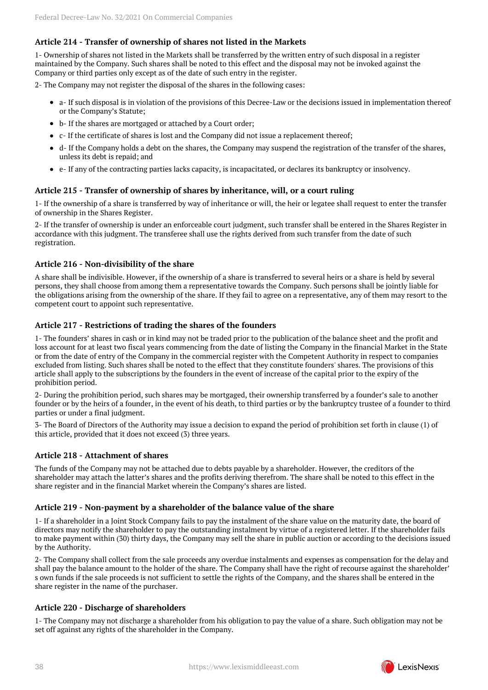## **Article 214 - Transfer of ownership of shares not listed in the Markets**

1- Ownership of shares not listed in the Markets shall be transferred by the written entry of such disposal in a register maintained by the Company. Such shares shall be noted to this effect and the disposal may not be invoked against the Company or third parties only except as of the date of such entry in the register.

2- The Company may not register the disposal of the shares in the following cases:

- a- If such disposal is in violation of the provisions of this Decree-Law or the decisions issued in implementation thereof or the Company's Statute;
- b- If the shares are mortgaged or attached by a Court order;
- $\bullet$  c- If the certificate of shares is lost and the Company did not issue a replacement thereof:
- d- If the Company holds a debt on the shares, the Company may suspend the registration of the transfer of the shares, unless its debt is repaid; and
- e- If any of the contracting parties lacks capacity, is incapacitated, or declares its bankruptcy or insolvency.

## **Article 215 - Transfer of ownership of shares by inheritance, will, or a court ruling**

1- If the ownership of a share is transferred by way of inheritance or will, the heir or legatee shall request to enter the transfer of ownership in the Shares Register.

2- If the transfer of ownership is under an enforceable court judgment, such transfer shall be entered in the Shares Register in accordance with this judgment. The transferee shall use the rights derived from such transfer from the date of such registration.

#### **Article 216 - Non-divisibility of the share**

A share shall be indivisible. However, if the ownership of a share is transferred to several heirs or a share is held by several persons, they shall choose from among them a representative towards the Company. Such persons shall be jointly liable for the obligations arising from the ownership of the share. If they fail to agree on a representative, any of them may resort to the competent court to appoint such representative.

#### **Article 217 - Restrictions of trading the shares of the founders**

1- The founders' shares in cash or in kind may not be traded prior to the publication of the balance sheet and the profit and loss account for at least two fiscal years commencing from the date of listing the Company in the financial Market in the State or from the date of entry of the Company in the commercial register with the Competent Authority in respect to companies excluded from listing. Such shares shall be noted to the effect that they constitute founders' shares. The provisions of this article shall apply to the subscriptions by the founders in the event of increase of the capital prior to the expiry of the prohibition period.

2- During the prohibition period, such shares may be mortgaged, their ownership transferred by a founder's sale to another founder or by the heirs of a founder, in the event of his death, to third parties or by the bankruptcy trustee of a founder to third parties or under a final judgment.

3- The Board of Directors of the Authority may issue a decision to expand the period of prohibition set forth in clause (1) of this article, provided that it does not exceed (3) three years.

#### **Article 218 - Attachment of shares**

The funds of the Company may not be attached due to debts payable by a shareholder. However, the creditors of the shareholder may attach the latter's shares and the profits deriving therefrom. The share shall be noted to this effect in the share register and in the financial Market wherein the Company's shares are listed.

#### **Article 219 - Non-payment by a shareholder of the balance value of the share**

1- If a shareholder in a Joint Stock Company fails to pay the instalment of the share value on the maturity date, the board of directors may notify the shareholder to pay the outstanding instalment by virtue of a registered letter. If the shareholder fails to make payment within (30) thirty days, the Company may sell the share in public auction or according to the decisions issued by the Authority.

2- The Company shall collect from the sale proceeds any overdue instalments and expenses as compensation for the delay and shall pay the balance amount to the holder of the share. The Company shall have the right of recourse against the shareholder' s own funds if the sale proceeds is not sufficient to settle the rights of the Company, and the shares shall be entered in the share register in the name of the purchaser.

#### **Article 220 - Discharge of shareholders**

1- The Company may not discharge a shareholder from his obligation to pay the value of a share. Such obligation may not be set off against any rights of the shareholder in the Company.

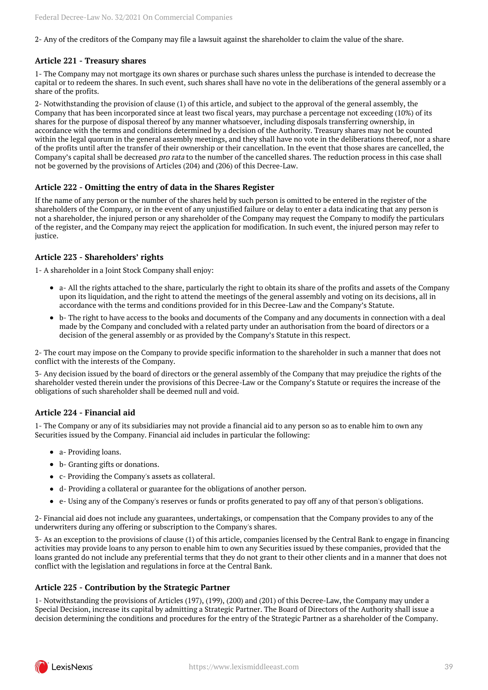2- Any of the creditors of the Company may file a lawsuit against the shareholder to claim the value of the share.

## **Article 221 - Treasury shares**

1- The Company may not mortgage its own shares or purchase such shares unless the purchase is intended to decrease the capital or to redeem the shares. In such event, such shares shall have no vote in the deliberations of the general assembly or a share of the profits.

2- Notwithstanding the provision of clause (1) of this article, and subject to the approval of the general assembly, the Company that has been incorporated since at least two fiscal years, may purchase a percentage not exceeding (10%) of its shares for the purpose of disposal thereof by any manner whatsoever, including disposals transferring ownership, in accordance with the terms and conditions determined by a decision of the Authority. Treasury shares may not be counted within the legal quorum in the general assembly meetings, and they shall have no vote in the deliberations thereof, nor a share of the profits until after the transfer of their ownership or their cancellation. In the event that those shares are cancelled, the Company's capital shall be decreased pro rata to the number of the cancelled shares. The reduction process in this case shall not be governed by the provisions of Articles (204) and (206) of this Decree-Law.

#### **Article 222 - Omitting the entry of data in the Shares Register**

If the name of any person or the number of the shares held by such person is omitted to be entered in the register of the shareholders of the Company, or in the event of any unjustified failure or delay to enter a data indicating that any person is not a shareholder, the injured person or any shareholder of the Company may request the Company to modify the particulars of the register, and the Company may reject the application for modification. In such event, the injured person may refer to justice.

#### **Article 223 - Shareholders' rights**

1- A shareholder in a Joint Stock Company shall enjoy:

- a- All the rights attached to the share, particularly the right to obtain its share of the profits and assets of the Company upon its liquidation, and the right to attend the meetings of the general assembly and voting on its decisions, all in accordance with the terms and conditions provided for in this Decree-Law and the Company's Statute.
- b- The right to have access to the books and documents of the Company and any documents in connection with a deal made by the Company and concluded with a related party under an authorisation from the board of directors or a decision of the general assembly or as provided by the Company's Statute in this respect.

2- The court may impose on the Company to provide specific information to the shareholder in such a manner that does not conflict with the interests of the Company.

3- Any decision issued by the board of directors or the general assembly of the Company that may prejudice the rights of the shareholder vested therein under the provisions of this Decree-Law or the Company's Statute or requires the increase of the obligations of such shareholder shall be deemed null and void.

#### **Article 224 - Financial aid**

1- The Company or any of its subsidiaries may not provide a financial aid to any person so as to enable him to own any Securities issued by the Company. Financial aid includes in particular the following:

- a- Providing loans.
- b- Granting gifts or donations.
- c- Providing the Company's assets as collateral.
- d- Providing a collateral or guarantee for the obligations of another person.
- e- Using any of the Company's reserves or funds or profits generated to pay off any of that person's obligations.

2- Financial aid does not include any guarantees, undertakings, or compensation that the Company provides to any of the underwriters during any offering or subscription to the Company's shares.

3- As an exception to the provisions of clause (1) of this article, companies licensed by the Central Bank to engage in financing activities may provide loans to any person to enable him to own any Securities issued by these companies, provided that the loans granted do not include any preferential terms that they do not grant to their other clients and in a manner that does not conflict with the legislation and regulations in force at the Central Bank.

#### **Article 225 - Contribution by the Strategic Partner**

1- Notwithstanding the provisions of Articles (197), (199), (200) and (201) of this Decree-Law, the Company may under a Special Decision, increase its capital by admitting a Strategic Partner. The Board of Directors of the Authority shall issue a decision determining the conditions and procedures for the entry of the Strategic Partner as a shareholder of the Company.

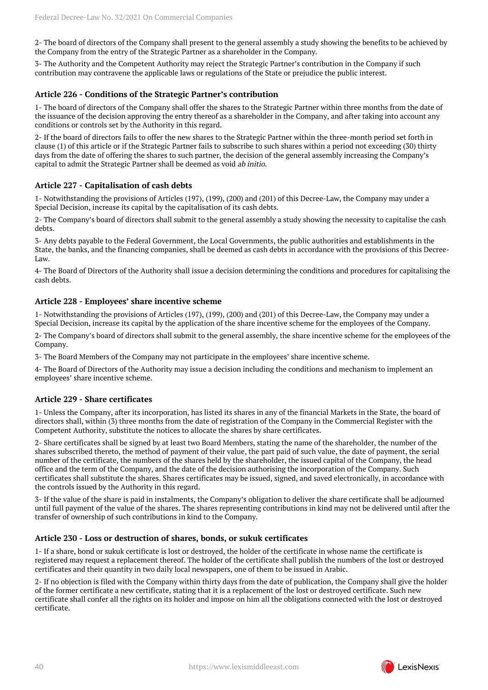2- The board of directors of the Company shall present to the general assembly a study showing the benefits to be achieved by the Company from the entry of the Strategic Partner as a shareholder in the Company.

3- The Authority and the Competent Authority may reject the Strategic Partner's contribution in the Company if such contribution may contravene the applicable laws or regulations of the State or prejudice the public interest.

#### **Article 226 - Conditions of the Strategic Partner's contribution**

1- The board of directors of the Company shall offer the shares to the Strategic Partner within three months from the date of the issuance of the decision approving the entry thereof as a shareholder in the Company, and after taking into account any conditions or controls set by the Authority in this regard.

2- If the board of directors fails to offer the new shares to the Strategic Partner within the three-month period set forth in clause (1) of this article or if the Strategic Partner fails to subscribe to such shares within a period not exceeding (30) thirty days from the date of offering the shares to such partner, the decision of the general assembly increasing the Company's capital to admit the Strategic Partner shall be deemed as void ab initio.

#### **Article 227 - Capitalisation of cash debts**

1- Notwithstanding the provisions of Articles (197), (199), (200) and (201) of this Decree-Law, the Company may under a Special Decision, increase its capital by the capitalisation of its cash debts.

2- The Company's board of directors shall submit to the general assembly a study showing the necessity to capitalise the cash debts.

3- Any debts payable to the Federal Government, the Local Governments, the public authorities and establishments in the State, the banks, and the financing companies, shall be deemed as cash debts in accordance with the provisions of this Decree-Law.

4- The Board of Directors of the Authority shall issue a decision determining the conditions and procedures for capitalising the cash debts.

#### **Article 228 - Employees' share incentive scheme**

1- Notwithstanding the provisions of Articles (197), (199), (200) and (201) of this Decree-Law, the Company may under a Special Decision, increase its capital by the application of the share incentive scheme for the employees of the Company.

2- The Company's board of directors shall submit to the general assembly, the share incentive scheme for the employees of the Company.

3- The Board Members of the Company may not participate in the employees' share incentive scheme.

4- The Board of Directors of the Authority may issue a decision including the conditions and mechanism to implement an employees' share incentive scheme.

#### **Article 229 - Share certificates**

1- Unless the Company, after its incorporation, has listed its shares in any of the financial Markets in the State, the board of directors shall, within (3) three months from the date of registration of the Company in the Commercial Register with the Competent Authority, substitute the notices to allocate the shares by share certificates.

2- Share certificates shall be signed by at least two Board Members, stating the name of the shareholder, the number of the shares subscribed thereto, the method of payment of their value, the part paid of such value, the date of payment, the serial number of the certificate, the numbers of the shares held by the shareholder, the issued capital of the Company, the head office and the term of the Company, and the date of the decision authorising the incorporation of the Company. Such certificates shall substitute the shares. Shares certificates may be issued, signed, and saved electronically, in accordance with the controls issued by the Authority in this regard.

3- If the value of the share is paid in instalments, the Company's obligation to deliver the share certificate shall be adjourned until full payment of the value of the shares. The shares representing contributions in kind may not be delivered until after the transfer of ownership of such contributions in kind to the Company.

#### **Article 230 - Loss or destruction of shares, bonds, or sukuk certificates**

1- If a share, bond or sukuk certificate is lost or destroyed, the holder of the certificate in whose name the certificate is registered may request a replacement thereof. The holder of the certificate shall publish the numbers of the lost or destroyed certificates and their quantity in two daily local newspapers, one of them to be issued in Arabic.

2- If no objection is filed with the Company within thirty days from the date of publication, the Company shall give the holder of the former certificate a new certificate, stating that it is a replacement of the lost or destroyed certificate. Such new certificate shall confer all the rights on its holder and impose on him all the obligations connected with the lost or destroyed certificate.

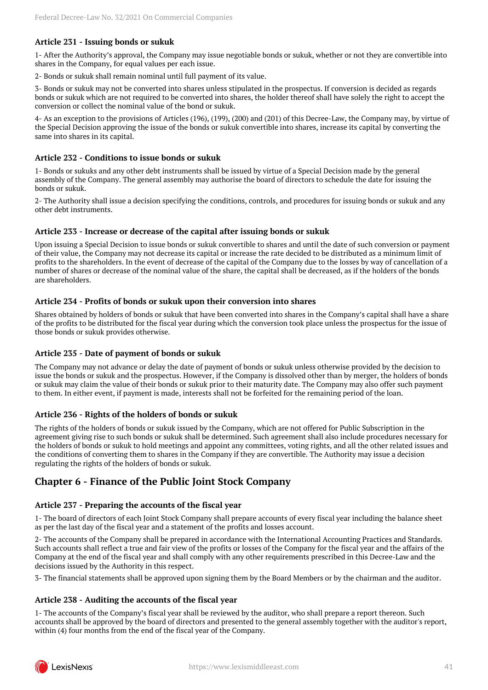## **Article 231 - Issuing bonds or sukuk**

1- After the Authority's approval, the Company may issue negotiable bonds or sukuk, whether or not they are convertible into shares in the Company, for equal values per each issue.

2- Bonds or sukuk shall remain nominal until full payment of its value.

3- Bonds or sukuk may not be converted into shares unless stipulated in the prospectus. If conversion is decided as regards bonds or sukuk which are not required to be converted into shares, the holder thereof shall have solely the right to accept the conversion or collect the nominal value of the bond or sukuk.

4- As an exception to the provisions of Articles (196), (199), (200) and (201) of this Decree-Law, the Company may, by virtue of the Special Decision approving the issue of the bonds or sukuk convertible into shares, increase its capital by converting the same into shares in its capital.

#### **Article 232 - Conditions to issue bonds or sukuk**

1- Bonds or sukuks and any other debt instruments shall be issued by virtue of a Special Decision made by the general assembly of the Company. The general assembly may authorise the board of directors to schedule the date for issuing the bonds or sukuk.

2- The Authority shall issue a decision specifying the conditions, controls, and procedures for issuing bonds or sukuk and any other debt instruments.

#### **Article 233 - Increase or decrease of the capital after issuing bonds or sukuk**

Upon issuing a Special Decision to issue bonds or sukuk convertible to shares and until the date of such conversion or payment of their value, the Company may not decrease its capital or increase the rate decided to be distributed as a minimum limit of profits to the shareholders. In the event of decrease of the capital of the Company due to the losses by way of cancellation of a number of shares or decrease of the nominal value of the share, the capital shall be decreased, as if the holders of the bonds are shareholders.

#### **Article 234 - Profits of bonds or sukuk upon their conversion into shares**

Shares obtained by holders of bonds or sukuk that have been converted into shares in the Company's capital shall have a share of the profits to be distributed for the fiscal year during which the conversion took place unless the prospectus for the issue of those bonds or sukuk provides otherwise.

#### **Article 235 - Date of payment of bonds or sukuk**

The Company may not advance or delay the date of payment of bonds or sukuk unless otherwise provided by the decision to issue the bonds or sukuk and the prospectus. However, if the Company is dissolved other than by merger, the holders of bonds or sukuk may claim the value of their bonds or sukuk prior to their maturity date. The Company may also offer such payment to them. In either event, if payment is made, interests shall not be forfeited for the remaining period of the loan.

#### **Article 236 - Rights of the holders of bonds or sukuk**

The rights of the holders of bonds or sukuk issued by the Company, which are not offered for Public Subscription in the agreement giving rise to such bonds or sukuk shall be determined. Such agreement shall also include procedures necessary for the holders of bonds or sukuk to hold meetings and appoint any committees, voting rights, and all the other related issues and the conditions of converting them to shares in the Company if they are convertible. The Authority may issue a decision regulating the rights of the holders of bonds or sukuk.

## <span id="page-40-0"></span>**Chapter 6 - Finance of the Public Joint Stock Company**

## **Article 237 - Preparing the accounts of the fiscal year**

1- The board of directors of each Joint Stock Company shall prepare accounts of every fiscal year including the balance sheet as per the last day of the fiscal year and a statement of the profits and losses account.

2- The accounts of the Company shall be prepared in accordance with the International Accounting Practices and Standards. Such accounts shall reflect a true and fair view of the profits or losses of the Company for the fiscal year and the affairs of the Company at the end of the fiscal year and shall comply with any other requirements prescribed in this Decree-Law and the decisions issued by the Authority in this respect.

3- The financial statements shall be approved upon signing them by the Board Members or by the chairman and the auditor.

## **Article 238 - Auditing the accounts of the fiscal year**

1- The accounts of the Company's fiscal year shall be reviewed by the auditor, who shall prepare a report thereon. Such accounts shall be approved by the board of directors and presented to the general assembly together with the auditor's report, within (4) four months from the end of the fiscal year of the Company.

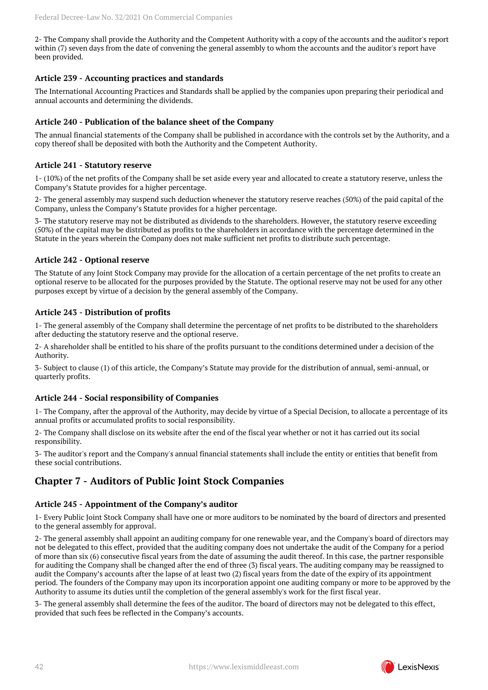2- The Company shall provide the Authority and the Competent Authority with a copy of the accounts and the auditor's report within (7) seven days from the date of convening the general assembly to whom the accounts and the auditor's report have been provided.

## **Article 239 - Accounting practices and standards**

The International Accounting Practices and Standards shall be applied by the companies upon preparing their periodical and annual accounts and determining the dividends.

## **Article 240 - Publication of the balance sheet of the Company**

The annual financial statements of the Company shall be published in accordance with the controls set by the Authority, and a copy thereof shall be deposited with both the Authority and the Competent Authority.

## **Article 241 - Statutory reserve**

1- (10%) of the net profits of the Company shall be set aside every year and allocated to create a statutory reserve, unless the Company's Statute provides for a higher percentage.

2- The general assembly may suspend such deduction whenever the statutory reserve reaches (50%) of the paid capital of the Company, unless the Company's Statute provides for a higher percentage.

3- The statutory reserve may not be distributed as dividends to the shareholders. However, the statutory reserve exceeding (50%) of the capital may be distributed as profits to the shareholders in accordance with the percentage determined in the Statute in the years wherein the Company does not make sufficient net profits to distribute such percentage.

## **Article 242 - Optional reserve**

The Statute of any Joint Stock Company may provide for the allocation of a certain percentage of the net profits to create an optional reserve to be allocated for the purposes provided by the Statute. The optional reserve may not be used for any other purposes except by virtue of a decision by the general assembly of the Company.

## **Article 243 - Distribution of profits**

1- The general assembly of the Company shall determine the percentage of net profits to be distributed to the shareholders after deducting the statutory reserve and the optional reserve.

2- A shareholder shall be entitled to his share of the profits pursuant to the conditions determined under a decision of the Authority.

3- Subject to clause (1) of this article, the Company's Statute may provide for the distribution of annual, semi-annual, or quarterly profits.

## **Article 244 - Social responsibility of Companies**

1- The Company, after the approval of the Authority, may decide by virtue of a Special Decision, to allocate a percentage of its annual profits or accumulated profits to social responsibility.

2- The Company shall disclose on its website after the end of the fiscal year whether or not it has carried out its social responsibility.

3- The auditor's report and the Company's annual financial statements shall include the entity or entities that benefit from these social contributions.

## <span id="page-41-0"></span>**Chapter 7 - Auditors of Public Joint Stock Companies**

## **Article 245 - Appointment of the Company's auditor**

1- Every Public Joint Stock Company shall have one or more auditors to be nominated by the board of directors and presented to the general assembly for approval.

2- The general assembly shall appoint an auditing company for one renewable year, and the Company's board of directors may not be delegated to this effect, provided that the auditing company does not undertake the audit of the Company for a period of more than six (6) consecutive fiscal years from the date of assuming the audit thereof. In this case, the partner responsible for auditing the Company shall be changed after the end of three (3) fiscal years. The auditing company may be reassigned to audit the Company's accounts after the lapse of at least two (2) fiscal years from the date of the expiry of its appointment period. The founders of the Company may upon its incorporation appoint one auditing company or more to be approved by the Authority to assume its duties until the completion of the general assembly's work for the first fiscal year.

3- The general assembly shall determine the fees of the auditor. The board of directors may not be delegated to this effect, provided that such fees be reflected in the Company's accounts.

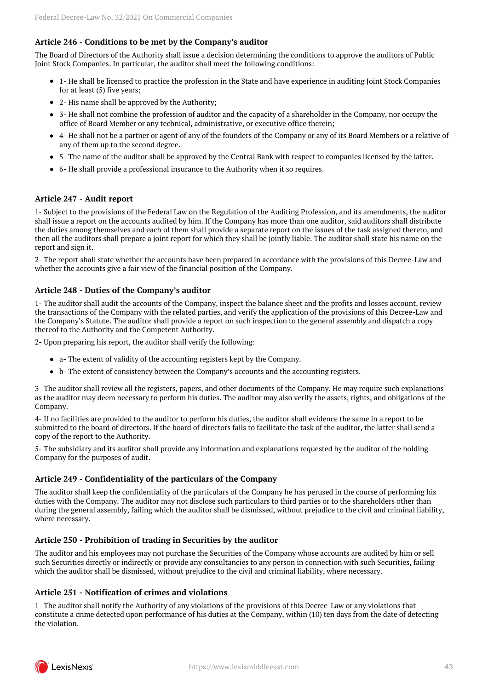## **Article 246 - Conditions to be met by the Company's auditor**

The Board of Directors of the Authority shall issue a decision determining the conditions to approve the auditors of Public Joint Stock Companies. In particular, the auditor shall meet the following conditions:

- 1- He shall be licensed to practice the profession in the State and have experience in auditing Joint Stock Companies for at least (5) five years;
- 2- His name shall be approved by the Authority;
- 3- He shall not combine the profession of auditor and the capacity of a shareholder in the Company, nor occupy the office of Board Member or any technical, administrative, or executive office therein;
- 4- He shall not be a partner or agent of any of the founders of the Company or any of its Board Members or a relative of any of them up to the second degree.
- 5- The name of the auditor shall be approved by the Central Bank with respect to companies licensed by the latter.
- 6- He shall provide a professional insurance to the Authority when it so requires.

## **Article 247 - Audit report**

1- Subject to the provisions of the Federal Law on the Regulation of the Auditing Profession, and its amendments, the auditor shall issue a report on the accounts audited by him. If the Company has more than one auditor, said auditors shall distribute the duties among themselves and each of them shall provide a separate report on the issues of the task assigned thereto, and then all the auditors shall prepare a joint report for which they shall be jointly liable. The auditor shall state his name on the report and sign it.

2- The report shall state whether the accounts have been prepared in accordance with the provisions of this Decree-Law and whether the accounts give a fair view of the financial position of the Company.

## **Article 248 - Duties of the Company's auditor**

1- The auditor shall audit the accounts of the Company, inspect the balance sheet and the profits and losses account, review the transactions of the Company with the related parties, and verify the application of the provisions of this Decree-Law and the Company's Statute. The auditor shall provide a report on such inspection to the general assembly and dispatch a copy thereof to the Authority and the Competent Authority.

2- Upon preparing his report, the auditor shall verify the following:

- a- The extent of validity of the accounting registers kept by the Company.
- b- The extent of consistency between the Company's accounts and the accounting registers.

3- The auditor shall review all the registers, papers, and other documents of the Company. He may require such explanations as the auditor may deem necessary to perform his duties. The auditor may also verify the assets, rights, and obligations of the Company.

4- If no facilities are provided to the auditor to perform his duties, the auditor shall evidence the same in a report to be submitted to the board of directors. If the board of directors fails to facilitate the task of the auditor, the latter shall send a copy of the report to the Authority.

5- The subsidiary and its auditor shall provide any information and explanations requested by the auditor of the holding Company for the purposes of audit.

## **Article 249 - Confidentiality of the particulars of the Company**

The auditor shall keep the confidentiality of the particulars of the Company he has perused in the course of performing his duties with the Company. The auditor may not disclose such particulars to third parties or to the shareholders other than during the general assembly, failing which the auditor shall be dismissed, without prejudice to the civil and criminal liability, where necessary.

## **Article 250 - Prohibition of trading in Securities by the auditor**

The auditor and his employees may not purchase the Securities of the Company whose accounts are audited by him or sell such Securities directly or indirectly or provide any consultancies to any person in connection with such Securities, failing which the auditor shall be dismissed, without prejudice to the civil and criminal liability, where necessary.

## **Article 251 - Notification of crimes and violations**

1- The auditor shall notify the Authority of any violations of the provisions of this Decree-Law or any violations that constitute a crime detected upon performance of his duties at the Company, within (10) ten days from the date of detecting the violation.

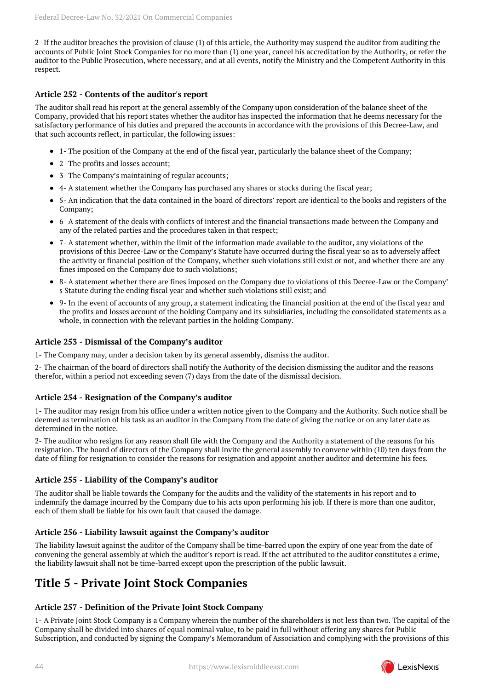2- If the auditor breaches the provision of clause (1) of this article, the Authority may suspend the auditor from auditing the accounts of Public Joint Stock Companies for no more than (1) one year, cancel his accreditation by the Authority, or refer the auditor to the Public Prosecution, where necessary, and at all events, notify the Ministry and the Competent Authority in this respect.

## **Article 252 - Contents of the auditor's report**

The auditor shall read his report at the general assembly of the Company upon consideration of the balance sheet of the Company, provided that his report states whether the auditor has inspected the information that he deems necessary for the satisfactory performance of his duties and prepared the accounts in accordance with the provisions of this Decree-Law, and that such accounts reflect, in particular, the following issues:

- 1- The position of the Company at the end of the fiscal year, particularly the balance sheet of the Company;
- 2- The profits and losses account:
- 3- The Company's maintaining of regular accounts;
- 4- A statement whether the Company has purchased any shares or stocks during the fiscal year;
- 5- An indication that the data contained in the board of directors' report are identical to the books and registers of the Company;
- 6- A statement of the deals with conflicts of interest and the financial transactions made between the Company and any of the related parties and the procedures taken in that respect;
- 7- A statement whether, within the limit of the information made available to the auditor, any violations of the provisions of this Decree-Law or the Company's Statute have occurred during the fiscal year so as to adversely affect the activity or financial position of the Company, whether such violations still exist or not, and whether there are any fines imposed on the Company due to such violations;
- 8- A statement whether there are fines imposed on the Company due to violations of this Decree-Law or the Company' s Statute during the ending fiscal year and whether such violations still exist; and
- 9- In the event of accounts of any group, a statement indicating the financial position at the end of the fiscal year and the profits and losses account of the holding Company and its subsidiaries, including the consolidated statements as a whole, in connection with the relevant parties in the holding Company.

## **Article 253 - Dismissal of the Company's auditor**

1- The Company may, under a decision taken by its general assembly, dismiss the auditor.

2- The chairman of the board of directors shall notify the Authority of the decision dismissing the auditor and the reasons therefor, within a period not exceeding seven (7) days from the date of the dismissal decision.

## **Article 254 - Resignation of the Company's auditor**

1- The auditor may resign from his office under a written notice given to the Company and the Authority. Such notice shall be deemed as termination of his task as an auditor in the Company from the date of giving the notice or on any later date as determined in the notice.

2- The auditor who resigns for any reason shall file with the Company and the Authority a statement of the reasons for his resignation. The board of directors of the Company shall invite the general assembly to convene within (10) ten days from the date of filing for resignation to consider the reasons for resignation and appoint another auditor and determine his fees.

## **Article 255 - Liability of the Company's auditor**

The auditor shall be liable towards the Company for the audits and the validity of the statements in his report and to indemnify the damage incurred by the Company due to his acts upon performing his job. If there is more than one auditor, each of them shall be liable for his own fault that caused the damage.

## **Article 256 - Liability lawsuit against the Company's auditor**

The liability lawsuit against the auditor of the Company shall be time-barred upon the expiry of one year from the date of convening the general assembly at which the auditor's report is read. If the act attributed to the auditor constitutes a crime, the liability lawsuit shall not be time-barred except upon the prescription of the public lawsuit.

## <span id="page-43-0"></span>**Title 5 - Private Joint Stock Companies**

## **Article 257 - Definition of the Private Joint Stock Company**

1- A Private Joint Stock Company is a Company wherein the number of the shareholders is not less than two. The capital of the Company shall be divided into shares of equal nominal value, to be paid in full without offering any shares for Public Subscription, and conducted by signing the Company's Memorandum of Association and complying with the provisions of this

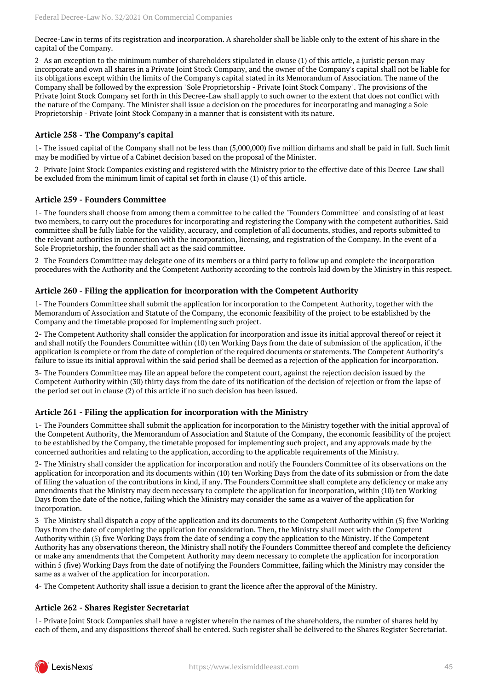Decree-Law in terms of its registration and incorporation. A shareholder shall be liable only to the extent of his share in the capital of the Company.

2- As an exception to the minimum number of shareholders stipulated in clause (1) of this article, a juristic person may incorporate and own all shares in a Private Joint Stock Company, and the owner of the Company's capital shall not be liable for its obligations except within the limits of the Company's capital stated in its Memorandum of Association. The name of the Company shall be followed by the expression "Sole Proprietorship - Private Joint Stock Company". The provisions of the Private Joint Stock Company set forth in this Decree-Law shall apply to such owner to the extent that does not conflict with the nature of the Company. The Minister shall issue a decision on the procedures for incorporating and managing a Sole Proprietorship - Private Joint Stock Company in a manner that is consistent with its nature.

### **Article 258 - The Company's capital**

1- The issued capital of the Company shall not be less than (5,000,000) five million dirhams and shall be paid in full. Such limit may be modified by virtue of a Cabinet decision based on the proposal of the Minister.

2- Private Joint Stock Companies existing and registered with the Ministry prior to the effective date of this Decree-Law shall be excluded from the minimum limit of capital set forth in clause (1) of this article.

#### **Article 259 - Founders Committee**

1- The founders shall choose from among them a committee to be called the "Founders Committee" and consisting of at least two members, to carry out the procedures for incorporating and registering the Company with the competent authorities. Said committee shall be fully liable for the validity, accuracy, and completion of all documents, studies, and reports submitted to the relevant authorities in connection with the incorporation, licensing, and registration of the Company. In the event of a Sole Proprietorship, the founder shall act as the said committee.

2- The Founders Committee may delegate one of its members or a third party to follow up and complete the incorporation procedures with the Authority and the Competent Authority according to the controls laid down by the Ministry in this respect.

#### **Article 260 - Filing the application for incorporation with the Competent Authority**

1- The Founders Committee shall submit the application for incorporation to the Competent Authority, together with the Memorandum of Association and Statute of the Company, the economic feasibility of the project to be established by the Company and the timetable proposed for implementing such project.

2- The Competent Authority shall consider the application for incorporation and issue its initial approval thereof or reject it and shall notify the Founders Committee within (10) ten Working Days from the date of submission of the application, if the application is complete or from the date of completion of the required documents or statements. The Competent Authority's failure to issue its initial approval within the said period shall be deemed as a rejection of the application for incorporation.

3- The Founders Committee may file an appeal before the competent court, against the rejection decision issued by the Competent Authority within (30) thirty days from the date of its notification of the decision of rejection or from the lapse of the period set out in clause (2) of this article if no such decision has been issued.

#### **Article 261 - Filing the application for incorporation with the Ministry**

1- The Founders Committee shall submit the application for incorporation to the Ministry together with the initial approval of the Competent Authority, the Memorandum of Association and Statute of the Company, the economic feasibility of the project to be established by the Company, the timetable proposed for implementing such project, and any approvals made by the concerned authorities and relating to the application, according to the applicable requirements of the Ministry.

2- The Ministry shall consider the application for incorporation and notify the Founders Committee of its observations on the application for incorporation and its documents within (10) ten Working Days from the date of its submission or from the date of filing the valuation of the contributions in kind, if any. The Founders Committee shall complete any deficiency or make any amendments that the Ministry may deem necessary to complete the application for incorporation, within (10) ten Working Days from the date of the notice, failing which the Ministry may consider the same as a waiver of the application for incorporation.

3- The Ministry shall dispatch a copy of the application and its documents to the Competent Authority within (5) five Working Days from the date of completing the application for consideration. Then, the Ministry shall meet with the Competent Authority within (5) five Working Days from the date of sending a copy the application to the Ministry. If the Competent Authority has any observations thereon, the Ministry shall notify the Founders Committee thereof and complete the deficiency or make any amendments that the Competent Authority may deem necessary to complete the application for incorporation within 5 (five) Working Days from the date of notifying the Founders Committee, failing which the Ministry may consider the same as a waiver of the application for incorporation.

4- The Competent Authority shall issue a decision to grant the licence after the approval of the Ministry.

#### **Article 262 - Shares Register Secretariat**

1- Private Joint Stock Companies shall have a register wherein the names of the shareholders, the number of shares held by each of them, and any dispositions thereof shall be entered. Such register shall be delivered to the Shares Register Secretariat.

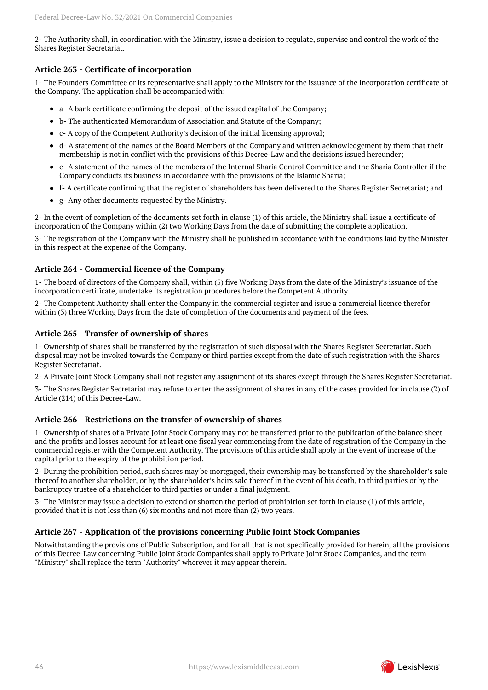2- The Authority shall, in coordination with the Ministry, issue a decision to regulate, supervise and control the work of the Shares Register Secretariat.

## **Article 263 - Certificate of incorporation**

1- The Founders Committee or its representative shall apply to the Ministry for the issuance of the incorporation certificate of the Company. The application shall be accompanied with:

- a- A bank certificate confirming the deposit of the issued capital of the Company;
- b- The authenticated Memorandum of Association and Statute of the Company;
- c- A copy of the Competent Authority's decision of the initial licensing approval;
- d- A statement of the names of the Board Members of the Company and written acknowledgement by them that their membership is not in conflict with the provisions of this Decree-Law and the decisions issued hereunder;
- e- A statement of the names of the members of the Internal Sharia Control Committee and the Sharia Controller if the Company conducts its business in accordance with the provisions of the Islamic Sharia;
- f- A certificate confirming that the register of shareholders has been delivered to the Shares Register Secretariat; and
- g- Any other documents requested by the Ministry.

2- In the event of completion of the documents set forth in clause (1) of this article, the Ministry shall issue a certificate of incorporation of the Company within (2) two Working Days from the date of submitting the complete application.

3- The registration of the Company with the Ministry shall be published in accordance with the conditions laid by the Minister in this respect at the expense of the Company.

## **Article 264 - Commercial licence of the Company**

1- The board of directors of the Company shall, within (5) five Working Days from the date of the Ministry's issuance of the incorporation certificate, undertake its registration procedures before the Competent Authority.

2- The Competent Authority shall enter the Company in the commercial register and issue a commercial licence therefor within (3) three Working Days from the date of completion of the documents and payment of the fees.

## **Article 265 - Transfer of ownership of shares**

1- Ownership of shares shall be transferred by the registration of such disposal with the Shares Register Secretariat. Such disposal may not be invoked towards the Company or third parties except from the date of such registration with the Shares Register Secretariat.

2- A Private Joint Stock Company shall not register any assignment of its shares except through the Shares Register Secretariat.

3- The Shares Register Secretariat may refuse to enter the assignment of shares in any of the cases provided for in clause (2) of Article (214) of this Decree-Law.

## **Article 266 - Restrictions on the transfer of ownership of shares**

1- Ownership of shares of a Private Joint Stock Company may not be transferred prior to the publication of the balance sheet and the profits and losses account for at least one fiscal year commencing from the date of registration of the Company in the commercial register with the Competent Authority. The provisions of this article shall apply in the event of increase of the capital prior to the expiry of the prohibition period.

2- During the prohibition period, such shares may be mortgaged, their ownership may be transferred by the shareholder's sale thereof to another shareholder, or by the shareholder's heirs sale thereof in the event of his death, to third parties or by the bankruptcy trustee of a shareholder to third parties or under a final judgment.

3- The Minister may issue a decision to extend or shorten the period of prohibition set forth in clause (1) of this article, provided that it is not less than (6) six months and not more than (2) two years.

## **Article 267 - Application of the provisions concerning Public Joint Stock Companies**

Notwithstanding the provisions of Public Subscription, and for all that is not specifically provided for herein, all the provisions of this Decree-Law concerning Public Joint Stock Companies shall apply to Private Joint Stock Companies, and the term "Ministry" shall replace the term "Authority" wherever it may appear therein.

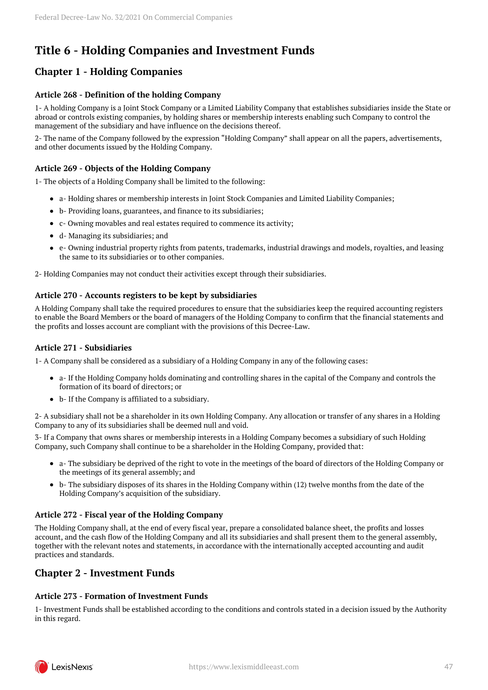## <span id="page-46-0"></span>**Title 6 - Holding Companies and Investment Funds**

## <span id="page-46-1"></span>**Chapter 1 - Holding Companies**

## **Article 268 - Definition of the holding Company**

1- A holding Company is a Joint Stock Company or a Limited Liability Company that establishes subsidiaries inside the State or abroad or controls existing companies, by holding shares or membership interests enabling such Company to control the management of the subsidiary and have influence on the decisions thereof.

2- The name of the Company followed by the expression "Holding Company" shall appear on all the papers, advertisements, and other documents issued by the Holding Company.

## **Article 269 - Objects of the Holding Company**

1- The objects of a Holding Company shall be limited to the following:

- a- Holding shares or membership interests in Joint Stock Companies and Limited Liability Companies;
- b- Providing loans, guarantees, and finance to its subsidiaries;
- c- Owning movables and real estates required to commence its activity;
- d- Managing its subsidiaries; and
- e- Owning industrial property rights from patents, trademarks, industrial drawings and models, royalties, and leasing the same to its subsidiaries or to other companies.

2- Holding Companies may not conduct their activities except through their subsidiaries.

## **Article 270 - Accounts registers to be kept by subsidiaries**

A Holding Company shall take the required procedures to ensure that the subsidiaries keep the required accounting registers to enable the Board Members or the board of managers of the Holding Company to confirm that the financial statements and the profits and losses account are compliant with the provisions of this Decree-Law.

## **Article 271 - Subsidiaries**

1- A Company shall be considered as a subsidiary of a Holding Company in any of the following cases:

- a- If the Holding Company holds dominating and controlling shares in the capital of the Company and controls the formation of its board of directors; or
- b- If the Company is affiliated to a subsidiary.

2- A subsidiary shall not be a shareholder in its own Holding Company. Any allocation or transfer of any shares in a Holding Company to any of its subsidiaries shall be deemed null and void.

3- If a Company that owns shares or membership interests in a Holding Company becomes a subsidiary of such Holding Company, such Company shall continue to be a shareholder in the Holding Company, provided that:

- a- The subsidiary be deprived of the right to vote in the meetings of the board of directors of the Holding Company or the meetings of its general assembly; and
- b- The subsidiary disposes of its shares in the Holding Company within (12) twelve months from the date of the Holding Company's acquisition of the subsidiary.

## **Article 272 - Fiscal year of the Holding Company**

The Holding Company shall, at the end of every fiscal year, prepare a consolidated balance sheet, the profits and losses account, and the cash flow of the Holding Company and all its subsidiaries and shall present them to the general assembly, together with the relevant notes and statements, in accordance with the internationally accepted accounting and audit practices and standards.

## <span id="page-46-2"></span>**Chapter 2 - Investment Funds**

## **Article 273 - Formation of Investment Funds**

1- Investment Funds shall be established according to the conditions and controls stated in a decision issued by the Authority in this regard.

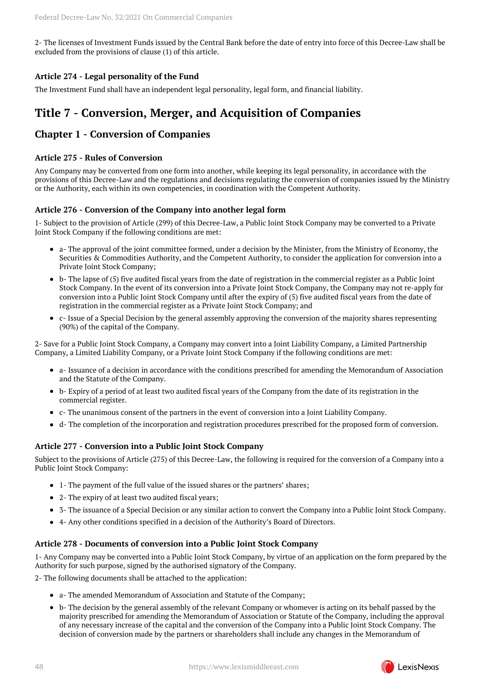2- The licenses of Investment Funds issued by the Central Bank before the date of entry into force of this Decree-Law shall be excluded from the provisions of clause (1) of this article.

## **Article 274 - Legal personality of the Fund**

The Investment Fund shall have an independent legal personality, legal form, and financial liability.

## <span id="page-47-0"></span>**Title 7 - Conversion, Merger, and Acquisition of Companies**

## <span id="page-47-1"></span>**Chapter 1 - Conversion of Companies**

## **Article 275 - Rules of Conversion**

Any Company may be converted from one form into another, while keeping its legal personality, in accordance with the provisions of this Decree-Law and the regulations and decisions regulating the conversion of companies issued by the Ministry or the Authority, each within its own competencies, in coordination with the Competent Authority.

## **Article 276 - Conversion of the Company into another legal form**

1- Subject to the provision of Article (299) of this Decree-Law, a Public Joint Stock Company may be converted to a Private Joint Stock Company if the following conditions are met:

- a- The approval of the joint committee formed, under a decision by the Minister, from the Ministry of Economy, the Securities & Commodities Authority, and the Competent Authority, to consider the application for conversion into a Private Joint Stock Company;
- b- The lapse of (5) five audited fiscal years from the date of registration in the commercial register as a Public Joint Stock Company. In the event of its conversion into a Private Joint Stock Company, the Company may not re-apply for conversion into a Public Joint Stock Company until after the expiry of (5) five audited fiscal years from the date of registration in the commercial register as a Private Joint Stock Company; and
- c- Issue of a Special Decision by the general assembly approving the conversion of the majority shares representing (90%) of the capital of the Company.

2- Save for a Public Joint Stock Company, a Company may convert into a Joint Liability Company, a Limited Partnership Company, a Limited Liability Company, or a Private Joint Stock Company if the following conditions are met:

- a- Issuance of a decision in accordance with the conditions prescribed for amending the Memorandum of Association and the Statute of the Company.
- b- Expiry of a period of at least two audited fiscal years of the Company from the date of its registration in the commercial register.
- c- The unanimous consent of the partners in the event of conversion into a Joint Liability Company.
- d- The completion of the incorporation and registration procedures prescribed for the proposed form of conversion.

## **Article 277 - Conversion into a Public Joint Stock Company**

Subject to the provisions of Article (275) of this Decree-Law, the following is required for the conversion of a Company into a Public Joint Stock Company:

- 1- The payment of the full value of the issued shares or the partners' shares;
- 2- The expiry of at least two audited fiscal years;
- 3- The issuance of a Special Decision or any similar action to convert the Company into a Public Joint Stock Company.
- 4- Any other conditions specified in a decision of the Authority's Board of Directors.

## **Article 278 - Documents of conversion into a Public Joint Stock Company**

1- Any Company may be converted into a Public Joint Stock Company, by virtue of an application on the form prepared by the Authority for such purpose, signed by the authorised signatory of the Company.

2- The following documents shall be attached to the application:

- a- The amended Memorandum of Association and Statute of the Company;
- b- The decision by the general assembly of the relevant Company or whomever is acting on its behalf passed by the majority prescribed for amending the Memorandum of Association or Statute of the Company, including the approval of any necessary increase of the capital and the conversion of the Company into a Public Joint Stock Company. The decision of conversion made by the partners or shareholders shall include any changes in the Memorandum of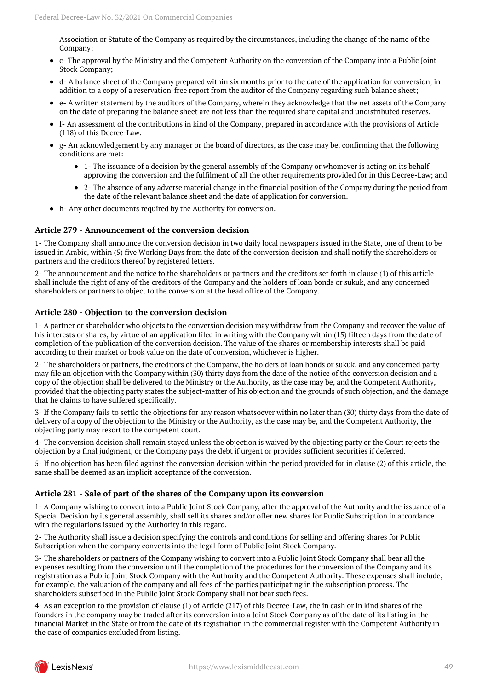Association or Statute of the Company as required by the circumstances, including the change of the name of the Company;

- c- The approval by the Ministry and the Competent Authority on the conversion of the Company into a Public Joint Stock Company;
- d- A balance sheet of the Company prepared within six months prior to the date of the application for conversion, in addition to a copy of a reservation-free report from the auditor of the Company regarding such balance sheet;
- e- A written statement by the auditors of the Company, wherein they acknowledge that the net assets of the Company on the date of preparing the balance sheet are not less than the required share capital and undistributed reserves.
- f- An assessment of the contributions in kind of the Company, prepared in accordance with the provisions of Article (118) of this Decree-Law.
- g- An acknowledgement by any manager or the board of directors, as the case may be, confirming that the following conditions are met:
	- 1- The issuance of a decision by the general assembly of the Company or whomever is acting on its behalf approving the conversion and the fulfilment of all the other requirements provided for in this Decree-Law; and
	- 2- The absence of any adverse material change in the financial position of the Company during the period from the date of the relevant balance sheet and the date of application for conversion.
- h- Any other documents required by the Authority for conversion.

#### **Article 279 - Announcement of the conversion decision**

1- The Company shall announce the conversion decision in two daily local newspapers issued in the State, one of them to be issued in Arabic, within (5) five Working Days from the date of the conversion decision and shall notify the shareholders or partners and the creditors thereof by registered letters.

2- The announcement and the notice to the shareholders or partners and the creditors set forth in clause (1) of this article shall include the right of any of the creditors of the Company and the holders of loan bonds or sukuk, and any concerned shareholders or partners to object to the conversion at the head office of the Company.

#### **Article 280 - Objection to the conversion decision**

1- A partner or shareholder who objects to the conversion decision may withdraw from the Company and recover the value of his interests or shares, by virtue of an application filed in writing with the Company within (15) fifteen days from the date of completion of the publication of the conversion decision. The value of the shares or membership interests shall be paid according to their market or book value on the date of conversion, whichever is higher.

2- The shareholders or partners, the creditors of the Company, the holders of loan bonds or sukuk, and any concerned party may file an objection with the Company within (30) thirty days from the date of the notice of the conversion decision and a copy of the objection shall be delivered to the Ministry or the Authority, as the case may be, and the Competent Authority, provided that the objecting party states the subject-matter of his objection and the grounds of such objection, and the damage that he claims to have suffered specifically.

3- If the Company fails to settle the objections for any reason whatsoever within no later than (30) thirty days from the date of delivery of a copy of the objection to the Ministry or the Authority, as the case may be, and the Competent Authority, the objecting party may resort to the competent court.

4- The conversion decision shall remain stayed unless the objection is waived by the objecting party or the Court rejects the objection by a final judgment, or the Company pays the debt if urgent or provides sufficient securities if deferred.

5- If no objection has been filed against the conversion decision within the period provided for in clause (2) of this article, the same shall be deemed as an implicit acceptance of the conversion.

## **Article 281 - Sale of part of the shares of the Company upon its conversion**

1- A Company wishing to convert into a Public Joint Stock Company, after the approval of the Authority and the issuance of a Special Decision by its general assembly, shall sell its shares and/or offer new shares for Public Subscription in accordance with the regulations issued by the Authority in this regard.

2- The Authority shall issue a decision specifying the controls and conditions for selling and offering shares for Public Subscription when the company converts into the legal form of Public Joint Stock Company.

3- The shareholders or partners of the Company wishing to convert into a Public Joint Stock Company shall bear all the expenses resulting from the conversion until the completion of the procedures for the conversion of the Company and its registration as a Public Joint Stock Company with the Authority and the Competent Authority. These expenses shall include, for example, the valuation of the company and all fees of the parties participating in the subscription process. The shareholders subscribed in the Public Joint Stock Company shall not bear such fees.

4- As an exception to the provision of clause (1) of Article (217) of this Decree-Law, the in cash or in kind shares of the founders in the company may be traded after its conversion into a Joint Stock Company as of the date of its listing in the financial Market in the State or from the date of its registration in the commercial register with the Competent Authority in the case of companies excluded from listing.

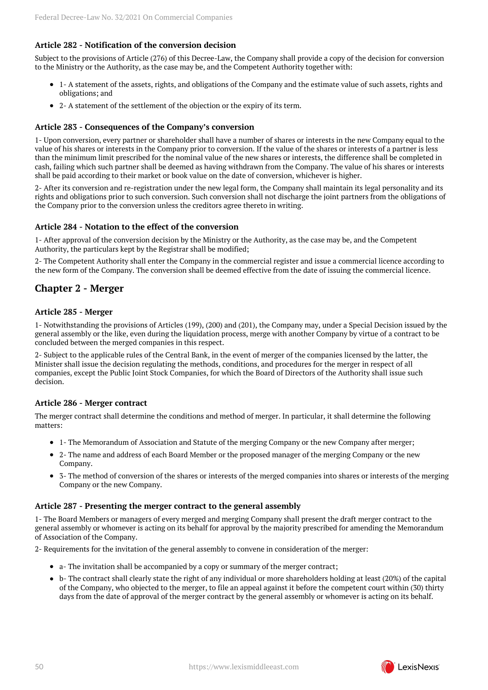## **Article 282 - Notification of the conversion decision**

Subject to the provisions of Article (276) of this Decree-Law, the Company shall provide a copy of the decision for conversion to the Ministry or the Authority, as the case may be, and the Competent Authority together with:

- 1- A statement of the assets, rights, and obligations of the Company and the estimate value of such assets, rights and obligations; and
- 2- A statement of the settlement of the objection or the expiry of its term.

#### **Article 283 - Consequences of the Company's conversion**

1- Upon conversion, every partner or shareholder shall have a number of shares or interests in the new Company equal to the value of his shares or interests in the Company prior to conversion. If the value of the shares or interests of a partner is less than the minimum limit prescribed for the nominal value of the new shares or interests, the difference shall be completed in cash, failing which such partner shall be deemed as having withdrawn from the Company. The value of his shares or interests shall be paid according to their market or book value on the date of conversion, whichever is higher.

2- After its conversion and re-registration under the new legal form, the Company shall maintain its legal personality and its rights and obligations prior to such conversion. Such conversion shall not discharge the joint partners from the obligations of the Company prior to the conversion unless the creditors agree thereto in writing.

#### **Article 284 - Notation to the effect of the conversion**

1- After approval of the conversion decision by the Ministry or the Authority, as the case may be, and the Competent Authority, the particulars kept by the Registrar shall be modified;

2- The Competent Authority shall enter the Company in the commercial register and issue a commercial licence according to the new form of the Company. The conversion shall be deemed effective from the date of issuing the commercial licence.

## <span id="page-49-0"></span>**Chapter 2 - Merger**

#### **Article 285 - Merger**

1- Notwithstanding the provisions of Articles (199), (200) and (201), the Company may, under a Special Decision issued by the general assembly or the like, even during the liquidation process, merge with another Company by virtue of a contract to be concluded between the merged companies in this respect.

2- Subject to the applicable rules of the Central Bank, in the event of merger of the companies licensed by the latter, the Minister shall issue the decision regulating the methods, conditions, and procedures for the merger in respect of all companies, except the Public Joint Stock Companies, for which the Board of Directors of the Authority shall issue such decision.

#### **Article 286 - Merger contract**

The merger contract shall determine the conditions and method of merger. In particular, it shall determine the following matters:

- 1- The Memorandum of Association and Statute of the merging Company or the new Company after merger;
- 2- The name and address of each Board Member or the proposed manager of the merging Company or the new Company.
- 3- The method of conversion of the shares or interests of the merged companies into shares or interests of the merging Company or the new Company.

#### **Article 287 - Presenting the merger contract to the general assembly**

1- The Board Members or managers of every merged and merging Company shall present the draft merger contract to the general assembly or whomever is acting on its behalf for approval by the majority prescribed for amending the Memorandum of Association of the Company.

2- Requirements for the invitation of the general assembly to convene in consideration of the merger:

- a- The invitation shall be accompanied by a copy or summary of the merger contract;
- b- The contract shall clearly state the right of any individual or more shareholders holding at least (20%) of the capital of the Company, who objected to the merger, to file an appeal against it before the competent court within (30) thirty days from the date of approval of the merger contract by the general assembly or whomever is acting on its behalf.

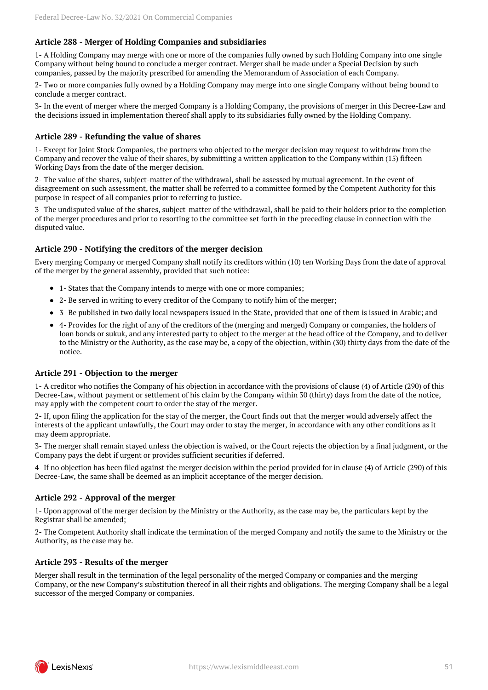## **Article 288 - Merger of Holding Companies and subsidiaries**

1- A Holding Company may merge with one or more of the companies fully owned by such Holding Company into one single Company without being bound to conclude a merger contract. Merger shall be made under a Special Decision by such companies, passed by the majority prescribed for amending the Memorandum of Association of each Company.

2- Two or more companies fully owned by a Holding Company may merge into one single Company without being bound to conclude a merger contract.

3- In the event of merger where the merged Company is a Holding Company, the provisions of merger in this Decree-Law and the decisions issued in implementation thereof shall apply to its subsidiaries fully owned by the Holding Company.

#### **Article 289 - Refunding the value of shares**

1- Except for Joint Stock Companies, the partners who objected to the merger decision may request to withdraw from the Company and recover the value of their shares, by submitting a written application to the Company within (15) fifteen Working Days from the date of the merger decision.

2- The value of the shares, subject-matter of the withdrawal, shall be assessed by mutual agreement. In the event of disagreement on such assessment, the matter shall be referred to a committee formed by the Competent Authority for this purpose in respect of all companies prior to referring to justice.

3- The undisputed value of the shares, subject-matter of the withdrawal, shall be paid to their holders prior to the completion of the merger procedures and prior to resorting to the committee set forth in the preceding clause in connection with the disputed value.

#### **Article 290 - Notifying the creditors of the merger decision**

Every merging Company or merged Company shall notify its creditors within (10) ten Working Days from the date of approval of the merger by the general assembly, provided that such notice:

- 1- States that the Company intends to merge with one or more companies;
- 2- Be served in writing to every creditor of the Company to notify him of the merger;
- 3- Be published in two daily local newspapers issued in the State, provided that one of them is issued in Arabic; and
- 4- Provides for the right of any of the creditors of the (merging and merged) Company or companies, the holders of loan bonds or sukuk, and any interested party to object to the merger at the head office of the Company, and to deliver to the Ministry or the Authority, as the case may be, a copy of the objection, within (30) thirty days from the date of the notice.

#### **Article 291 - Objection to the merger**

1- A creditor who notifies the Company of his objection in accordance with the provisions of clause (4) of Article (290) of this Decree-Law, without payment or settlement of his claim by the Company within 30 (thirty) days from the date of the notice, may apply with the competent court to order the stay of the merger.

2- If, upon filing the application for the stay of the merger, the Court finds out that the merger would adversely affect the interests of the applicant unlawfully, the Court may order to stay the merger, in accordance with any other conditions as it may deem appropriate.

3- The merger shall remain stayed unless the objection is waived, or the Court rejects the objection by a final judgment, or the Company pays the debt if urgent or provides sufficient securities if deferred.

4- If no objection has been filed against the merger decision within the period provided for in clause (4) of Article (290) of this Decree-Law, the same shall be deemed as an implicit acceptance of the merger decision.

#### **Article 292 - Approval of the merger**

1- Upon approval of the merger decision by the Ministry or the Authority, as the case may be, the particulars kept by the Registrar shall be amended;

2- The Competent Authority shall indicate the termination of the merged Company and notify the same to the Ministry or the Authority, as the case may be.

#### **Article 293 - Results of the merger**

Merger shall result in the termination of the legal personality of the merged Company or companies and the merging Company, or the new Company's substitution thereof in all their rights and obligations. The merging Company shall be a legal successor of the merged Company or companies.

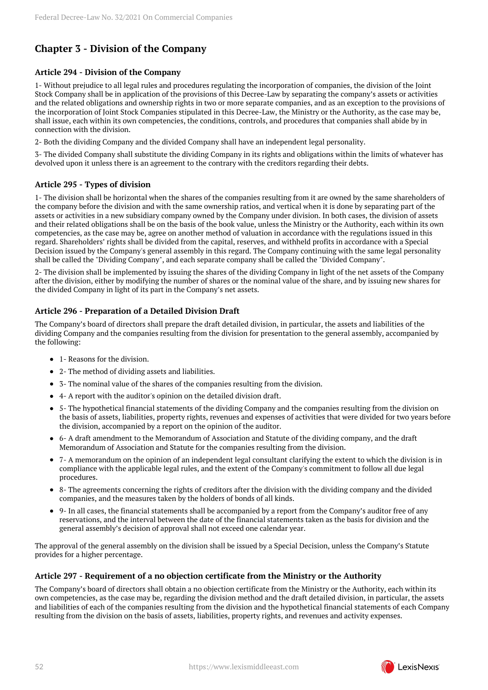## <span id="page-51-0"></span>**Chapter 3 - Division of the Company**

## **Article 294 - Division of the Company**

1- Without prejudice to all legal rules and procedures regulating the incorporation of companies, the division of the Joint Stock Company shall be in application of the provisions of this Decree-Law by separating the company's assets or activities and the related obligations and ownership rights in two or more separate companies, and as an exception to the provisions of the incorporation of Joint Stock Companies stipulated in this Decree-Law, the Ministry or the Authority, as the case may be, shall issue, each within its own competencies, the conditions, controls, and procedures that companies shall abide by in connection with the division.

2- Both the dividing Company and the divided Company shall have an independent legal personality.

3- The divided Company shall substitute the dividing Company in its rights and obligations within the limits of whatever has devolved upon it unless there is an agreement to the contrary with the creditors regarding their debts.

## **Article 295 - Types of division**

1- The division shall be horizontal when the shares of the companies resulting from it are owned by the same shareholders of the company before the division and with the same ownership ratios, and vertical when it is done by separating part of the assets or activities in a new subsidiary company owned by the Company under division. In both cases, the division of assets and their related obligations shall be on the basis of the book value, unless the Ministry or the Authority, each within its own competencies, as the case may be, agree on another method of valuation in accordance with the regulations issued in this regard. Shareholders' rights shall be divided from the capital, reserves, and withheld profits in accordance with a Special Decision issued by the Company's general assembly in this regard. The Company continuing with the same legal personality shall be called the "Dividing Company", and each separate company shall be called the "Divided Company".

2- The division shall be implemented by issuing the shares of the dividing Company in light of the net assets of the Company after the division, either by modifying the number of shares or the nominal value of the share, and by issuing new shares for the divided Company in light of its part in the Company's net assets.

## **Article 296 - Preparation of a Detailed Division Draft**

The Company's board of directors shall prepare the draft detailed division, in particular, the assets and liabilities of the dividing Company and the companies resulting from the division for presentation to the general assembly, accompanied by the following:

- 1- Reasons for the division.
- 2- The method of dividing assets and liabilities.
- 3- The nominal value of the shares of the companies resulting from the division.
- 4- A report with the auditor's opinion on the detailed division draft.
- 5- The hypothetical financial statements of the dividing Company and the companies resulting from the division on the basis of assets, liabilities, property rights, revenues and expenses of activities that were divided for two years before the division, accompanied by a report on the opinion of the auditor.
- 6- A draft amendment to the Memorandum of Association and Statute of the dividing company, and the draft Memorandum of Association and Statute for the companies resulting from the division.
- 7- A memorandum on the opinion of an independent legal consultant clarifying the extent to which the division is in compliance with the applicable legal rules, and the extent of the Company's commitment to follow all due legal procedures.
- 8- The agreements concerning the rights of creditors after the division with the dividing company and the divided companies, and the measures taken by the holders of bonds of all kinds.
- 9- In all cases, the financial statements shall be accompanied by a report from the Company's auditor free of any reservations, and the interval between the date of the financial statements taken as the basis for division and the general assembly's decision of approval shall not exceed one calendar year.

The approval of the general assembly on the division shall be issued by a Special Decision, unless the Company's Statute provides for a higher percentage.

## **Article 297 - Requirement of a no objection certificate from the Ministry or the Authority**

The Company's board of directors shall obtain a no objection certificate from the Ministry or the Authority, each within its own competencies, as the case may be, regarding the division method and the draft detailed division, in particular, the assets and liabilities of each of the companies resulting from the division and the hypothetical financial statements of each Company resulting from the division on the basis of assets, liabilities, property rights, and revenues and activity expenses.

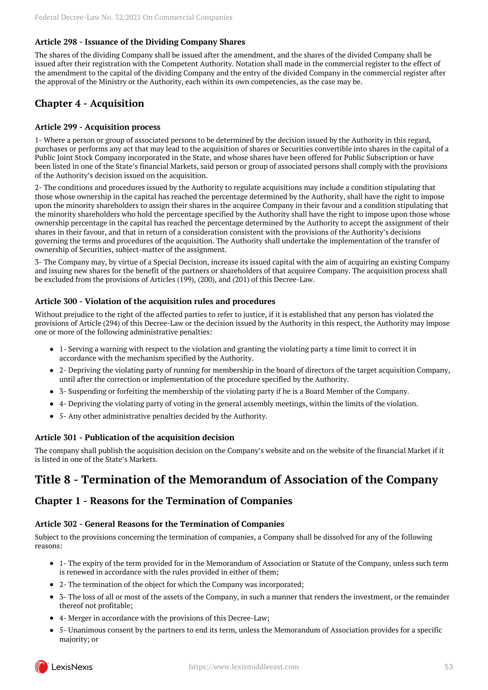## **Article 298 - Issuance of the Dividing Company Shares**

The shares of the dividing Company shall be issued after the amendment, and the shares of the divided Company shall be issued after their registration with the Competent Authority. Notation shall made in the commercial register to the effect of the amendment to the capital of the dividing Company and the entry of the divided Company in the commercial register after the approval of the Ministry or the Authority, each within its own competencies, as the case may be.

## <span id="page-52-0"></span>**Chapter 4 - Acquisition**

## **Article 299 - Acquisition process**

1- Where a person or group of associated persons to be determined by the decision issued by the Authority in this regard, purchases or performs any act that may lead to the acquisition of shares or Securities convertible into shares in the capital of a Public Joint Stock Company incorporated in the State, and whose shares have been offered for Public Subscription or have been listed in one of the State's financial Markets, said person or group of associated persons shall comply with the provisions of the Authority's decision issued on the acquisition.

2- The conditions and procedures issued by the Authority to regulate acquisitions may include a condition stipulating that those whose ownership in the capital has reached the percentage determined by the Authority, shall have the right to impose upon the minority shareholders to assign their shares in the acquiree Company in their favour and a condition stipulating that the minority shareholders who hold the percentage specified by the Authority shall have the right to impose upon those whose ownership percentage in the capital has reached the percentage determined by the Authority to accept the assignment of their shares in their favour, and that in return of a consideration consistent with the provisions of the Authority's decisions governing the terms and procedures of the acquisition. The Authority shall undertake the implementation of the transfer of ownership of Securities, subject-matter of the assignment.

3- The Company may, by virtue of a Special Decision, increase its issued capital with the aim of acquiring an existing Company and issuing new shares for the benefit of the partners or shareholders of that acquiree Company. The acquisition process shall be excluded from the provisions of Articles (199), (200), and (201) of this Decree-Law.

## **Article 300 - Violation of the acquisition rules and procedures**

Without prejudice to the right of the affected parties to refer to justice, if it is established that any person has violated the provisions of Article (294) of this Decree-Law or the decision issued by the Authority in this respect, the Authority may impose one or more of the following administrative penalties:

- 1- Serving a warning with respect to the violation and granting the violating party a time limit to correct it in accordance with the mechanism specified by the Authority.
- 2- Depriving the violating party of running for membership in the board of directors of the target acquisition Company, until after the correction or implementation of the procedure specified by the Authority.
- 3- Suspending or forfeiting the membership of the violating party if he is a Board Member of the Company.
- 4- Depriving the violating party of voting in the general assembly meetings, within the limits of the violation.
- 5- Any other administrative penalties decided by the Authority.

## **Article 301 - Publication of the acquisition decision**

The company shall publish the acquisition decision on the Company's website and on the website of the financial Market if it is listed in one of the State's Markets.

## <span id="page-52-1"></span>**Title 8 - Termination of the Memorandum of Association of the Company**

## <span id="page-52-2"></span>**Chapter 1 - Reasons for the Termination of Companies**

## **Article 302 - General Reasons for the Termination of Companies**

Subject to the provisions concerning the termination of companies, a Company shall be dissolved for any of the following reasons:

- 1- The expiry of the term provided for in the Memorandum of Association or Statute of the Company, unless such term is renewed in accordance with the rules provided in either of them;
- 2- The termination of the object for which the Company was incorporated;
- 3- The loss of all or most of the assets of the Company, in such a manner that renders the investment, or the remainder thereof not profitable;
- 4- Merger in accordance with the provisions of this Decree-Law;
- 5- Unanimous consent by the partners to end its term, unless the Memorandum of Association provides for a specific majority; or

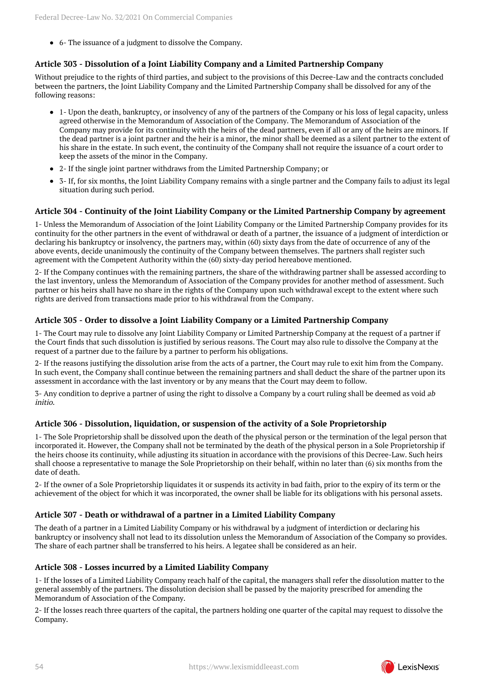majority; or

6- The issuance of a judgment to dissolve the Company.

## **Article 303 - Dissolution of a Joint Liability Company and a Limited Partnership Company**

Without prejudice to the rights of third parties, and subject to the provisions of this Decree-Law and the contracts concluded between the partners, the Joint Liability Company and the Limited Partnership Company shall be dissolved for any of the following reasons:

- 1- Upon the death, bankruptcy, or insolvency of any of the partners of the Company or his loss of legal capacity, unless agreed otherwise in the Memorandum of Association of the Company. The Memorandum of Association of the Company may provide for its continuity with the heirs of the dead partners, even if all or any of the heirs are minors. If the dead partner is a joint partner and the heir is a minor, the minor shall be deemed as a silent partner to the extent of his share in the estate. In such event, the continuity of the Company shall not require the issuance of a court order to keep the assets of the minor in the Company.
- 2- If the single joint partner withdraws from the Limited Partnership Company; or
- 3- If, for six months, the Joint Liability Company remains with a single partner and the Company fails to adjust its legal situation during such period.

## **Article 304 - Continuity of the Joint Liability Company or the Limited Partnership Company by agreement**

1- Unless the Memorandum of Association of the Joint Liability Company or the Limited Partnership Company provides for its continuity for the other partners in the event of withdrawal or death of a partner, the issuance of a judgment of interdiction or declaring his bankruptcy or insolvency, the partners may, within (60) sixty days from the date of occurrence of any of the above events, decide unanimously the continuity of the Company between themselves. The partners shall register such agreement with the Competent Authority within the (60) sixty-day period hereabove mentioned.

2- If the Company continues with the remaining partners, the share of the withdrawing partner shall be assessed according to the last inventory, unless the Memorandum of Association of the Company provides for another method of assessment. Such partner or his heirs shall have no share in the rights of the Company upon such withdrawal except to the extent where such rights are derived from transactions made prior to his withdrawal from the Company.

## **Article 305 - Order to dissolve a Joint Liability Company or a Limited Partnership Company**

1- The Court may rule to dissolve any Joint Liability Company or Limited Partnership Company at the request of a partner if the Court finds that such dissolution is justified by serious reasons. The Court may also rule to dissolve the Company at the request of a partner due to the failure by a partner to perform his obligations.

2- If the reasons justifying the dissolution arise from the acts of a partner, the Court may rule to exit him from the Company. In such event, the Company shall continue between the remaining partners and shall deduct the share of the partner upon its assessment in accordance with the last inventory or by any means that the Court may deem to follow.

3- Any condition to deprive a partner of using the right to dissolve a Company by a court ruling shall be deemed as void ab initio.

## **Article 306 - Dissolution, liquidation, or suspension of the activity of a Sole Proprietorship**

1- The Sole Proprietorship shall be dissolved upon the death of the physical person or the termination of the legal person that incorporated it. However, the Company shall not be terminated by the death of the physical person in a Sole Proprietorship if the heirs choose its continuity, while adjusting its situation in accordance with the provisions of this Decree-Law. Such heirs shall choose a representative to manage the Sole Proprietorship on their behalf, within no later than (6) six months from the date of death.

2- If the owner of a Sole Proprietorship liquidates it or suspends its activity in bad faith, prior to the expiry of its term or the achievement of the object for which it was incorporated, the owner shall be liable for its obligations with his personal assets.

## **Article 307 - Death or withdrawal of a partner in a Limited Liability Company**

The death of a partner in a Limited Liability Company or his withdrawal by a judgment of interdiction or declaring his bankruptcy or insolvency shall not lead to its dissolution unless the Memorandum of Association of the Company so provides. The share of each partner shall be transferred to his heirs. A legatee shall be considered as an heir.

## **Article 308 - Losses incurred by a Limited Liability Company**

1- If the losses of a Limited Liability Company reach half of the capital, the managers shall refer the dissolution matter to the general assembly of the partners. The dissolution decision shall be passed by the majority prescribed for amending the Memorandum of Association of the Company.

2- If the losses reach three quarters of the capital, the partners holding one quarter of the capital may request to dissolve the Company.

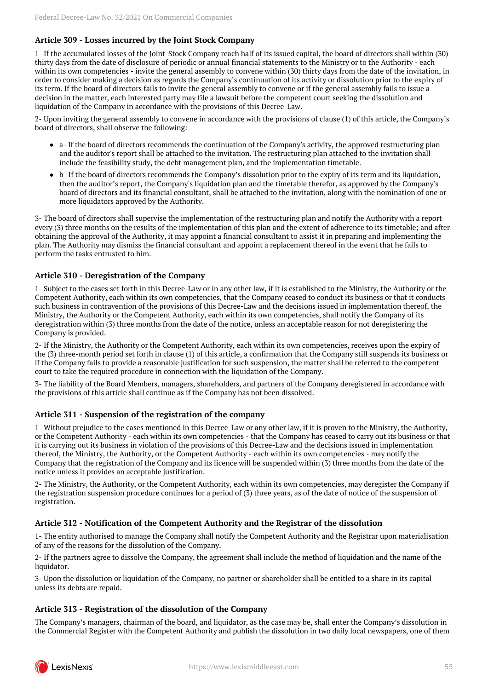## **Article 309 - Losses incurred by the Joint Stock Company**

1- If the accumulated losses of the Joint-Stock Company reach half of its issued capital, the board of directors shall within (30) thirty days from the date of disclosure of periodic or annual financial statements to the Ministry or to the Authority - each within its own competencies - invite the general assembly to convene within (30) thirty days from the date of the invitation, in order to consider making a decision as regards the Company's continuation of its activity or dissolution prior to the expiry of its term. If the board of directors fails to invite the general assembly to convene or if the general assembly fails to issue a decision in the matter, each interested party may file a lawsuit before the competent court seeking the dissolution and liquidation of the Company in accordance with the provisions of this Decree-Law.

2- Upon inviting the general assembly to convene in accordance with the provisions of clause (1) of this article, the Company's board of directors, shall observe the following:

- a- If the board of directors recommends the continuation of the Company's activity, the approved restructuring plan and the auditor's report shall be attached to the invitation. The restructuring plan attached to the invitation shall include the feasibility study, the debt management plan, and the implementation timetable.
- b- If the board of directors recommends the Company's dissolution prior to the expiry of its term and its liquidation, then the auditor's report, the Company's liquidation plan and the timetable therefor, as approved by the Company's board of directors and its financial consultant, shall be attached to the invitation, along with the nomination of one or more liquidators approved by the Authority.

3- The board of directors shall supervise the implementation of the restructuring plan and notify the Authority with a report every (3) three months on the results of the implementation of this plan and the extent of adherence to its timetable; and after obtaining the approval of the Authority, it may appoint a financial consultant to assist it in preparing and implementing the plan. The Authority may dismiss the financial consultant and appoint a replacement thereof in the event that he fails to perform the tasks entrusted to him.

#### **Article 310 - Deregistration of the Company**

1- Subject to the cases set forth in this Decree-Law or in any other law, if it is established to the Ministry, the Authority or the Competent Authority, each within its own competencies, that the Company ceased to conduct its business or that it conducts such business in contravention of the provisions of this Decree-Law and the decisions issued in implementation thereof, the Ministry, the Authority or the Competent Authority, each within its own competencies, shall notify the Company of its deregistration within (3) three months from the date of the notice, unless an acceptable reason for not deregistering the Company is provided.

2- If the Ministry, the Authority or the Competent Authority, each within its own competencies, receives upon the expiry of the (3) three-month period set forth in clause (1) of this article, a confirmation that the Company still suspends its business or if the Company fails to provide a reasonable justification for such suspension, the matter shall be referred to the competent court to take the required procedure in connection with the liquidation of the Company.

3- The liability of the Board Members, managers, shareholders, and partners of the Company deregistered in accordance with the provisions of this article shall continue as if the Company has not been dissolved.

#### **Article 311 - Suspension of the registration of the company**

1- Without prejudice to the cases mentioned in this Decree-Law or any other law, if it is proven to the Ministry, the Authority, or the Competent Authority - each within its own competencies - that the Company has ceased to carry out its business or that it is carrying out its business in violation of the provisions of this Decree-Law and the decisions issued in implementation thereof, the Ministry, the Authority, or the Competent Authority - each within its own competencies - may notify the Company that the registration of the Company and its licence will be suspended within (3) three months from the date of the notice unless it provides an acceptable justification.

2- The Ministry, the Authority, or the Competent Authority, each within its own competencies, may deregister the Company if the registration suspension procedure continues for a period of (3) three years, as of the date of notice of the suspension of registration.

## **Article 312 - Notification of the Competent Authority and the Registrar of the dissolution**

1- The entity authorised to manage the Company shall notify the Competent Authority and the Registrar upon materialisation of any of the reasons for the dissolution of the Company.

2- If the partners agree to dissolve the Company, the agreement shall include the method of liquidation and the name of the liquidator.

3- Upon the dissolution or liquidation of the Company, no partner or shareholder shall be entitled to a share in its capital unless its debts are repaid.

## **Article 313 - Registration of the dissolution of the Company**

The Company's managers, chairman of the board, and liquidator, as the case may be, shall enter the Company's dissolution in the Commercial Register with the Competent Authority and publish the dissolution in two daily local newspapers, one of them

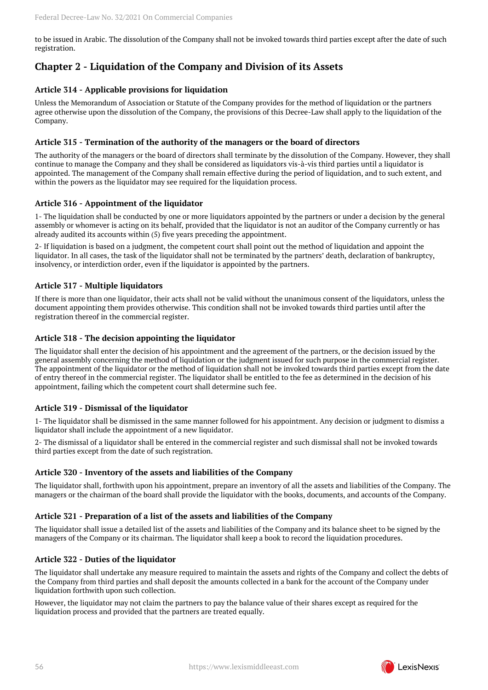to be issued in Arabic. The dissolution of the Company shall not be invoked towards third parties except after the date of such registration.

## <span id="page-55-0"></span>**Chapter 2 - Liquidation of the Company and Division of its Assets**

## **Article 314 - Applicable provisions for liquidation**

Unless the Memorandum of Association or Statute of the Company provides for the method of liquidation or the partners agree otherwise upon the dissolution of the Company, the provisions of this Decree-Law shall apply to the liquidation of the Company.

### **Article 315 - Termination of the authority of the managers or the board of directors**

The authority of the managers or the board of directors shall terminate by the dissolution of the Company. However, they shall continue to manage the Company and they shall be considered as liquidators vis-à-vis third parties until a liquidator is appointed. The management of the Company shall remain effective during the period of liquidation, and to such extent, and within the powers as the liquidator may see required for the liquidation process.

### **Article 316 - Appointment of the liquidator**

1- The liquidation shall be conducted by one or more liquidators appointed by the partners or under a decision by the general assembly or whomever is acting on its behalf, provided that the liquidator is not an auditor of the Company currently or has already audited its accounts within (5) five years preceding the appointment.

2- If liquidation is based on a judgment, the competent court shall point out the method of liquidation and appoint the liquidator. In all cases, the task of the liquidator shall not be terminated by the partners' death, declaration of bankruptcy, insolvency, or interdiction order, even if the liquidator is appointed by the partners.

#### **Article 317 - Multiple liquidators**

If there is more than one liquidator, their acts shall not be valid without the unanimous consent of the liquidators, unless the document appointing them provides otherwise. This condition shall not be invoked towards third parties until after the registration thereof in the commercial register.

#### **Article 318 - The decision appointing the liquidator**

The liquidator shall enter the decision of his appointment and the agreement of the partners, or the decision issued by the general assembly concerning the method of liquidation or the judgment issued for such purpose in the commercial register. The appointment of the liquidator or the method of liquidation shall not be invoked towards third parties except from the date of entry thereof in the commercial register. The liquidator shall be entitled to the fee as determined in the decision of his appointment, failing which the competent court shall determine such fee.

## **Article 319 - Dismissal of the liquidator**

1- The liquidator shall be dismissed in the same manner followed for his appointment. Any decision or judgment to dismiss a liquidator shall include the appointment of a new liquidator.

2- The dismissal of a liquidator shall be entered in the commercial register and such dismissal shall not be invoked towards third parties except from the date of such registration.

#### **Article 320 - Inventory of the assets and liabilities of the Company**

The liquidator shall, forthwith upon his appointment, prepare an inventory of all the assets and liabilities of the Company. The managers or the chairman of the board shall provide the liquidator with the books, documents, and accounts of the Company.

## **Article 321 - Preparation of a list of the assets and liabilities of the Company**

The liquidator shall issue a detailed list of the assets and liabilities of the Company and its balance sheet to be signed by the managers of the Company or its chairman. The liquidator shall keep a book to record the liquidation procedures.

## **Article 322 - Duties of the liquidator**

The liquidator shall undertake any measure required to maintain the assets and rights of the Company and collect the debts of the Company from third parties and shall deposit the amounts collected in a bank for the account of the Company under liquidation forthwith upon such collection.

However, the liquidator may not claim the partners to pay the balance value of their shares except as required for the liquidation process and provided that the partners are treated equally.

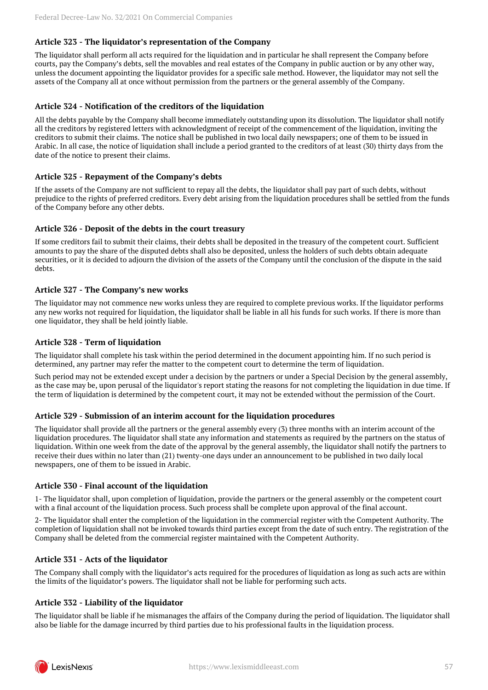## **Article 323 - The liquidator's representation of the Company**

The liquidator shall perform all acts required for the liquidation and in particular he shall represent the Company before courts, pay the Company's debts, sell the movables and real estates of the Company in public auction or by any other way, unless the document appointing the liquidator provides for a specific sale method. However, the liquidator may not sell the assets of the Company all at once without permission from the partners or the general assembly of the Company.

#### **Article 324 - Notification of the creditors of the liquidation**

All the debts payable by the Company shall become immediately outstanding upon its dissolution. The liquidator shall notify all the creditors by registered letters with acknowledgment of receipt of the commencement of the liquidation, inviting the creditors to submit their claims. The notice shall be published in two local daily newspapers; one of them to be issued in Arabic. In all case, the notice of liquidation shall include a period granted to the creditors of at least (30) thirty days from the date of the notice to present their claims.

#### **Article 325 - Repayment of the Company's debts**

If the assets of the Company are not sufficient to repay all the debts, the liquidator shall pay part of such debts, without prejudice to the rights of preferred creditors. Every debt arising from the liquidation procedures shall be settled from the funds of the Company before any other debts.

#### **Article 326 - Deposit of the debts in the court treasury**

If some creditors fail to submit their claims, their debts shall be deposited in the treasury of the competent court. Sufficient amounts to pay the share of the disputed debts shall also be deposited, unless the holders of such debts obtain adequate securities, or it is decided to adjourn the division of the assets of the Company until the conclusion of the dispute in the said debts.

#### **Article 327 - The Company's new works**

The liquidator may not commence new works unless they are required to complete previous works. If the liquidator performs any new works not required for liquidation, the liquidator shall be liable in all his funds for such works. If there is more than one liquidator, they shall be held jointly liable.

#### **Article 328 - Term of liquidation**

The liquidator shall complete his task within the period determined in the document appointing him. If no such period is determined, any partner may refer the matter to the competent court to determine the term of liquidation.

Such period may not be extended except under a decision by the partners or under a Special Decision by the general assembly, as the case may be, upon perusal of the liquidator's report stating the reasons for not completing the liquidation in due time. If the term of liquidation is determined by the competent court, it may not be extended without the permission of the Court.

#### **Article 329 - Submission of an interim account for the liquidation procedures**

The liquidator shall provide all the partners or the general assembly every (3) three months with an interim account of the liquidation procedures. The liquidator shall state any information and statements as required by the partners on the status of liquidation. Within one week from the date of the approval by the general assembly, the liquidator shall notify the partners to receive their dues within no later than (21) twenty-one days under an announcement to be published in two daily local newspapers, one of them to be issued in Arabic.

#### **Article 330 - Final account of the liquidation**

1- The liquidator shall, upon completion of liquidation, provide the partners or the general assembly or the competent court with a final account of the liquidation process. Such process shall be complete upon approval of the final account.

2- The liquidator shall enter the completion of the liquidation in the commercial register with the Competent Authority. The completion of liquidation shall not be invoked towards third parties except from the date of such entry. The registration of the Company shall be deleted from the commercial register maintained with the Competent Authority.

## **Article 331 - Acts of the liquidator**

The Company shall comply with the liquidator's acts required for the procedures of liquidation as long as such acts are within the limits of the liquidator's powers. The liquidator shall not be liable for performing such acts.

#### **Article 332 - Liability of the liquidator**

The liquidator shall be liable if he mismanages the affairs of the Company during the period of liquidation. The liquidator shall also be liable for the damage incurred by third parties due to his professional faults in the liquidation process.

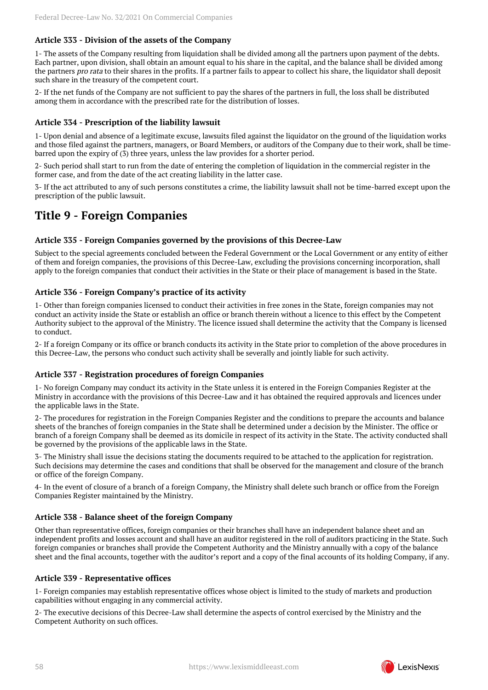## **Article 333 - Division of the assets of the Company**

1- The assets of the Company resulting from liquidation shall be divided among all the partners upon payment of the debts. Each partner, upon division, shall obtain an amount equal to his share in the capital, and the balance shall be divided among the partners pro rata to their shares in the profits. If a partner fails to appear to collect his share, the liquidator shall deposit such share in the treasury of the competent court.

2- If the net funds of the Company are not sufficient to pay the shares of the partners in full, the loss shall be distributed among them in accordance with the prescribed rate for the distribution of losses.

#### **Article 334 - Prescription of the liability lawsuit**

1- Upon denial and absence of a legitimate excuse, lawsuits filed against the liquidator on the ground of the liquidation works and those filed against the partners, managers, or Board Members, or auditors of the Company due to their work, shall be timebarred upon the expiry of (3) three years, unless the law provides for a shorter period.

2- Such period shall start to run from the date of entering the completion of liquidation in the commercial register in the former case, and from the date of the act creating liability in the latter case.

3- If the act attributed to any of such persons constitutes a crime, the liability lawsuit shall not be time-barred except upon the prescription of the public lawsuit.

## <span id="page-57-0"></span>**Title 9 - Foreign Companies**

#### **Article 335 - Foreign Companies governed by the provisions of this Decree-Law**

Subject to the special agreements concluded between the Federal Government or the Local Government or any entity of either of them and foreign companies, the provisions of this Decree-Law, excluding the provisions concerning incorporation, shall apply to the foreign companies that conduct their activities in the State or their place of management is based in the State.

## **Article 336 - Foreign Company's practice of its activity**

1- Other than foreign companies licensed to conduct their activities in free zones in the State, foreign companies may not conduct an activity inside the State or establish an office or branch therein without a licence to this effect by the Competent Authority subject to the approval of the Ministry. The licence issued shall determine the activity that the Company is licensed to conduct.

2- If a foreign Company or its office or branch conducts its activity in the State prior to completion of the above procedures in this Decree-Law, the persons who conduct such activity shall be severally and jointly liable for such activity.

#### **Article 337 - Registration procedures of foreign Companies**

1- No foreign Company may conduct its activity in the State unless it is entered in the Foreign Companies Register at the Ministry in accordance with the provisions of this Decree-Law and it has obtained the required approvals and licences under the applicable laws in the State.

2- The procedures for registration in the Foreign Companies Register and the conditions to prepare the accounts and balance sheets of the branches of foreign companies in the State shall be determined under a decision by the Minister. The office or branch of a foreign Company shall be deemed as its domicile in respect of its activity in the State. The activity conducted shall be governed by the provisions of the applicable laws in the State.

3- The Ministry shall issue the decisions stating the documents required to be attached to the application for registration. Such decisions may determine the cases and conditions that shall be observed for the management and closure of the branch or office of the foreign Company.

4- In the event of closure of a branch of a foreign Company, the Ministry shall delete such branch or office from the Foreign Companies Register maintained by the Ministry.

#### **Article 338 - Balance sheet of the foreign Company**

Other than representative offices, foreign companies or their branches shall have an independent balance sheet and an independent profits and losses account and shall have an auditor registered in the roll of auditors practicing in the State. Such foreign companies or branches shall provide the Competent Authority and the Ministry annually with a copy of the balance sheet and the final accounts, together with the auditor's report and a copy of the final accounts of its holding Company, if any.

#### **Article 339 - Representative offices**

1- Foreign companies may establish representative offices whose object is limited to the study of markets and production capabilities without engaging in any commercial activity.

<span id="page-57-1"></span>2- The executive decisions of this Decree-Law shall determine the aspects of control exercised by the Ministry and the Competent Authority on such offices.

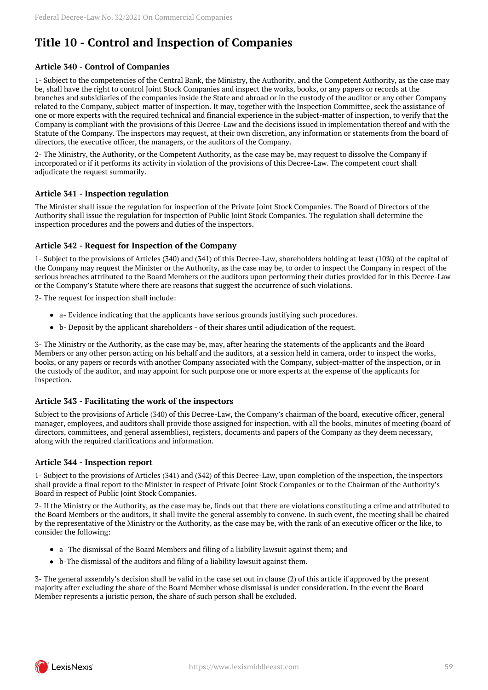# **Title 10 - Control and Inspection of Companies**

## **Article 340 - Control of Companies**

1- Subject to the competencies of the Central Bank, the Ministry, the Authority, and the Competent Authority, as the case may be, shall have the right to control Joint Stock Companies and inspect the works, books, or any papers or records at the branches and subsidiaries of the companies inside the State and abroad or in the custody of the auditor or any other Company related to the Company, subject-matter of inspection. It may, together with the Inspection Committee, seek the assistance of one or more experts with the required technical and financial experience in the subject-matter of inspection, to verify that the Company is compliant with the provisions of this Decree-Law and the decisions issued in implementation thereof and with the Statute of the Company. The inspectors may request, at their own discretion, any information or statements from the board of directors, the executive officer, the managers, or the auditors of the Company.

2- The Ministry, the Authority, or the Competent Authority, as the case may be, may request to dissolve the Company if incorporated or if it performs its activity in violation of the provisions of this Decree-Law. The competent court shall adjudicate the request summarily.

## **Article 341 - Inspection regulation**

The Minister shall issue the regulation for inspection of the Private Joint Stock Companies. The Board of Directors of the Authority shall issue the regulation for inspection of Public Joint Stock Companies. The regulation shall determine the inspection procedures and the powers and duties of the inspectors.

#### **Article 342 - Request for Inspection of the Company**

1- Subject to the provisions of Articles (340) and (341) of this Decree-Law, shareholders holding at least (10%) of the capital of the Company may request the Minister or the Authority, as the case may be, to order to inspect the Company in respect of the serious breaches attributed to the Board Members or the auditors upon performing their duties provided for in this Decree-Law or the Company's Statute where there are reasons that suggest the occurrence of such violations.

2- The request for inspection shall include:

- a- Evidence indicating that the applicants have serious grounds justifying such procedures.
- b- Deposit by the applicant shareholders of their shares until adjudication of the request.

3- The Ministry or the Authority, as the case may be, may, after hearing the statements of the applicants and the Board Members or any other person acting on his behalf and the auditors, at a session held in camera, order to inspect the works, books, or any papers or records with another Company associated with the Company, subject-matter of the inspection, or in the custody of the auditor, and may appoint for such purpose one or more experts at the expense of the applicants for inspection.

## **Article 343 - Facilitating the work of the inspectors**

Subject to the provisions of Article (340) of this Decree-Law, the Company's chairman of the board, executive officer, general manager, employees, and auditors shall provide those assigned for inspection, with all the books, minutes of meeting (board of directors, committees, and general assemblies), registers, documents and papers of the Company as they deem necessary, along with the required clarifications and information.

## **Article 344 - Inspection report**

1- Subject to the provisions of Articles (341) and (342) of this Decree-Law, upon completion of the inspection, the inspectors shall provide a final report to the Minister in respect of Private Joint Stock Companies or to the Chairman of the Authority's Board in respect of Public Joint Stock Companies.

2- If the Ministry or the Authority, as the case may be, finds out that there are violations constituting a crime and attributed to the Board Members or the auditors, it shall invite the general assembly to convene. In such event, the meeting shall be chaired by the representative of the Ministry or the Authority, as the case may be, with the rank of an executive officer or the like, to consider the following:

- a- The dismissal of the Board Members and filing of a liability lawsuit against them; and
- b-The dismissal of the auditors and filing of a liability lawsuit against them.

3- The general assembly's decision shall be valid in the case set out in clause (2) of this article if approved by the present majority after excluding the share of the Board Member whose dismissal is under consideration. In the event the Board Member represents a juristic person, the share of such person shall be excluded.

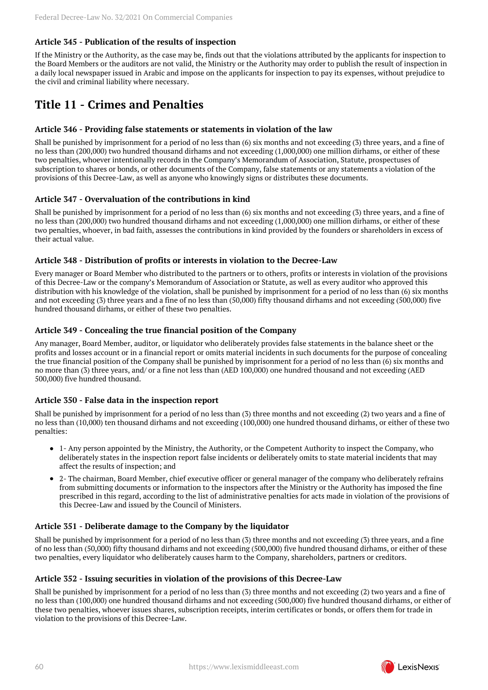## **Article 345 - Publication of the results of inspection**

If the Ministry or the Authority, as the case may be, finds out that the violations attributed by the applicants for inspection to the Board Members or the auditors are not valid, the Ministry or the Authority may order to publish the result of inspection in a daily local newspaper issued in Arabic and impose on the applicants for inspection to pay its expenses, without prejudice to the civil and criminal liability where necessary.

## <span id="page-59-0"></span>**Title 11 - Crimes and Penalties**

#### **Article 346 - Providing false statements or statements in violation of the law**

Shall be punished by imprisonment for a period of no less than (6) six months and not exceeding (3) three years, and a fine of no less than (200,000) two hundred thousand dirhams and not exceeding (1,000,000) one million dirhams, or either of these two penalties, whoever intentionally records in the Company's Memorandum of Association, Statute, prospectuses of subscription to shares or bonds, or other documents of the Company, false statements or any statements a violation of the provisions of this Decree-Law, as well as anyone who knowingly signs or distributes these documents.

#### **Article 347 - Overvaluation of the contributions in kind**

Shall be punished by imprisonment for a period of no less than (6) six months and not exceeding (3) three years, and a fine of no less than (200,000) two hundred thousand dirhams and not exceeding (1,000,000) one million dirhams, or either of these two penalties, whoever, in bad faith, assesses the contributions in kind provided by the founders or shareholders in excess of their actual value.

#### **Article 348 - Distribution of profits or interests in violation to the Decree-Law**

Every manager or Board Member who distributed to the partners or to others, profits or interests in violation of the provisions of this Decree-Law or the company's Memorandum of Association or Statute, as well as every auditor who approved this distribution with his knowledge of the violation, shall be punished by imprisonment for a period of no less than (6) six months and not exceeding (3) three years and a fine of no less than (50,000) fifty thousand dirhams and not exceeding (500,000) five hundred thousand dirhams, or either of these two penalties.

#### **Article 349 - Concealing the true financial position of the Company**

Any manager, Board Member, auditor, or liquidator who deliberately provides false statements in the balance sheet or the profits and losses account or in a financial report or omits material incidents in such documents for the purpose of concealing the true financial position of the Company shall be punished by imprisonment for a period of no less than (6) six months and no more than (3) three years, and/ or a fine not less than (AED 100,000) one hundred thousand and not exceeding (AED 500,000) five hundred thousand.

## **Article 350 - False data in the inspection report**

Shall be punished by imprisonment for a period of no less than (3) three months and not exceeding (2) two years and a fine of no less than (10,000) ten thousand dirhams and not exceeding (100,000) one hundred thousand dirhams, or either of these two penalties:

- 1- Any person appointed by the Ministry, the Authority, or the Competent Authority to inspect the Company, who deliberately states in the inspection report false incidents or deliberately omits to state material incidents that may affect the results of inspection; and
- 2- The chairman, Board Member, chief executive officer or general manager of the company who deliberately refrains from submitting documents or information to the inspectors after the Ministry or the Authority has imposed the fine prescribed in this regard, according to the list of administrative penalties for acts made in violation of the provisions of this Decree-Law and issued by the Council of Ministers.

#### **Article 351 - Deliberate damage to the Company by the liquidator**

Shall be punished by imprisonment for a period of no less than (3) three months and not exceeding (3) three years, and a fine of no less than (50,000) fifty thousand dirhams and not exceeding (500,000) five hundred thousand dirhams, or either of these two penalties, every liquidator who deliberately causes harm to the Company, shareholders, partners or creditors.

#### **Article 352 - Issuing securities in violation of the provisions of this Decree-Law**

Shall be punished by imprisonment for a period of no less than (3) three months and not exceeding (2) two years and a fine of no less than (100,000) one hundred thousand dirhams and not exceeding (500,000) five hundred thousand dirhams, or either of these two penalties, whoever issues shares, subscription receipts, interim certificates or bonds, or offers them for trade in violation to the provisions of this Decree-Law.

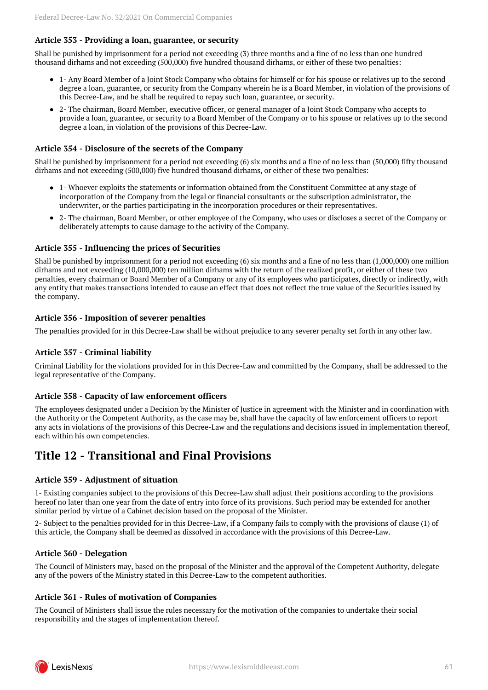## **Article 353 - Providing a loan, guarantee, or security**

Shall be punished by imprisonment for a period not exceeding (3) three months and a fine of no less than one hundred thousand dirhams and not exceeding (500,000) five hundred thousand dirhams, or either of these two penalties:

- 1- Any Board Member of a Joint Stock Company who obtains for himself or for his spouse or relatives up to the second degree a loan, guarantee, or security from the Company wherein he is a Board Member, in violation of the provisions of this Decree-Law, and he shall be required to repay such loan, guarantee, or security.
- 2- The chairman, Board Member, executive officer, or general manager of a Joint Stock Company who accepts to provide a loan, guarantee, or security to a Board Member of the Company or to his spouse or relatives up to the second degree a loan, in violation of the provisions of this Decree-Law.

### **Article 354 - Disclosure of the secrets of the Company**

Shall be punished by imprisonment for a period not exceeding (6) six months and a fine of no less than (50,000) fifty thousand dirhams and not exceeding (500,000) five hundred thousand dirhams, or either of these two penalties:

- 1- Whoever exploits the statements or information obtained from the Constituent Committee at any stage of incorporation of the Company from the legal or financial consultants or the subscription administrator, the underwriter, or the parties participating in the incorporation procedures or their representatives.
- 2- The chairman, Board Member, or other employee of the Company, who uses or discloses a secret of the Company or deliberately attempts to cause damage to the activity of the Company.

#### **Article 355 - Influencing the prices of Securities**

Shall be punished by imprisonment for a period not exceeding (6) six months and a fine of no less than (1,000,000) one million dirhams and not exceeding (10,000,000) ten million dirhams with the return of the realized profit, or either of these two penalties, every chairman or Board Member of a Company or any of its employees who participates, directly or indirectly, with any entity that makes transactions intended to cause an effect that does not reflect the true value of the Securities issued by the company.

#### **Article 356 - Imposition of severer penalties**

The penalties provided for in this Decree-Law shall be without prejudice to any severer penalty set forth in any other law.

#### **Article 357 - Criminal liability**

Criminal Liability for the violations provided for in this Decree-Law and committed by the Company, shall be addressed to the legal representative of the Company.

#### **Article 358 - Capacity of law enforcement officers**

The employees designated under a Decision by the Minister of Justice in agreement with the Minister and in coordination with the Authority or the Competent Authority, as the case may be, shall have the capacity of law enforcement officers to report any acts in violations of the provisions of this Decree-Law and the regulations and decisions issued in implementation thereof, each within his own competencies.

## <span id="page-60-0"></span>**Title 12 - Transitional and Final Provisions**

#### **Article 359 - Adjustment of situation**

1- Existing companies subject to the provisions of this Decree-Law shall adjust their positions according to the provisions hereof no later than one year from the date of entry into force of its provisions. Such period may be extended for another similar period by virtue of a Cabinet decision based on the proposal of the Minister.

2- Subject to the penalties provided for in this Decree-Law, if a Company fails to comply with the provisions of clause (1) of this article, the Company shall be deemed as dissolved in accordance with the provisions of this Decree-Law.

#### **Article 360 - Delegation**

The Council of Ministers may, based on the proposal of the Minister and the approval of the Competent Authority, delegate any of the powers of the Ministry stated in this Decree-Law to the competent authorities.

#### **Article 361 - Rules of motivation of Companies**

The Council of Ministers shall issue the rules necessary for the motivation of the companies to undertake their social responsibility and the stages of implementation thereof.

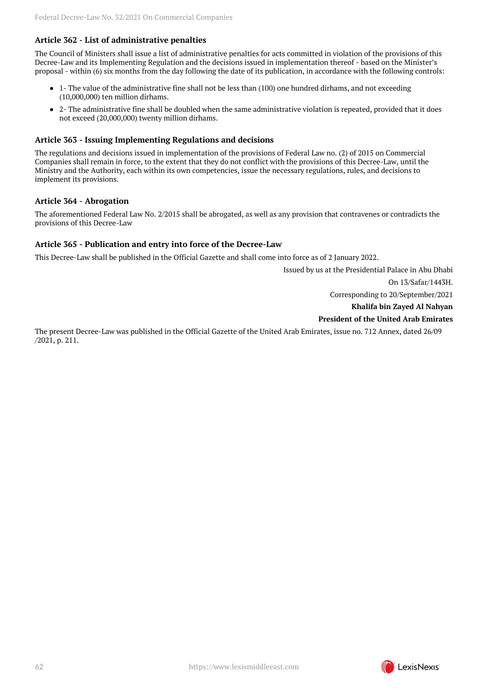## **Article 362 - List of administrative penalties**

The Council of Ministers shall issue a list of administrative penalties for acts committed in violation of the provisions of this Decree-Law and its Implementing Regulation and the decisions issued in implementation thereof - based on the Minister's proposal - within (6) six months from the day following the date of its publication, in accordance with the following controls:

- 1- The value of the administrative fine shall not be less than (100) one hundred dirhams, and not exceeding (10,000,000) ten million dirhams.
- 2- The administrative fine shall be doubled when the same administrative violation is repeated, provided that it does not exceed (20,000,000) twenty million dirhams.

#### **Article 363 - Issuing Implementing Regulations and decisions**

The regulations and decisions issued in implementation of the provisions of Federal Law no. (2) of 2015 on Commercial Companies shall remain in force, to the extent that they do not conflict with the provisions of this Decree-Law, until the Ministry and the Authority, each within its own competencies, issue the necessary regulations, rules, and decisions to implement its provisions.

#### **Article 364 - Abrogation**

The aforementioned Federal Law No. 2/2015 shall be abrogated, as well as any provision that contravenes or contradicts the provisions of this Decree-Law

#### **Article 365 - Publication and entry into force of the Decree-Law**

This Decree-Law shall be published in the Official Gazette and shall come into force as of 2 January 2022.

Issued by us at the Presidential Palace in Abu Dhabi

On 13/Safar/1443H.

Corresponding to 20/September/2021

**Khalifa bin Zayed Al Nahyan**

#### **President of the United Arab Emirates**

The present Decree-Law was published in the Official Gazette of the United Arab Emirates, issue no. 712 Annex, dated 26/09 /2021, p. 211.